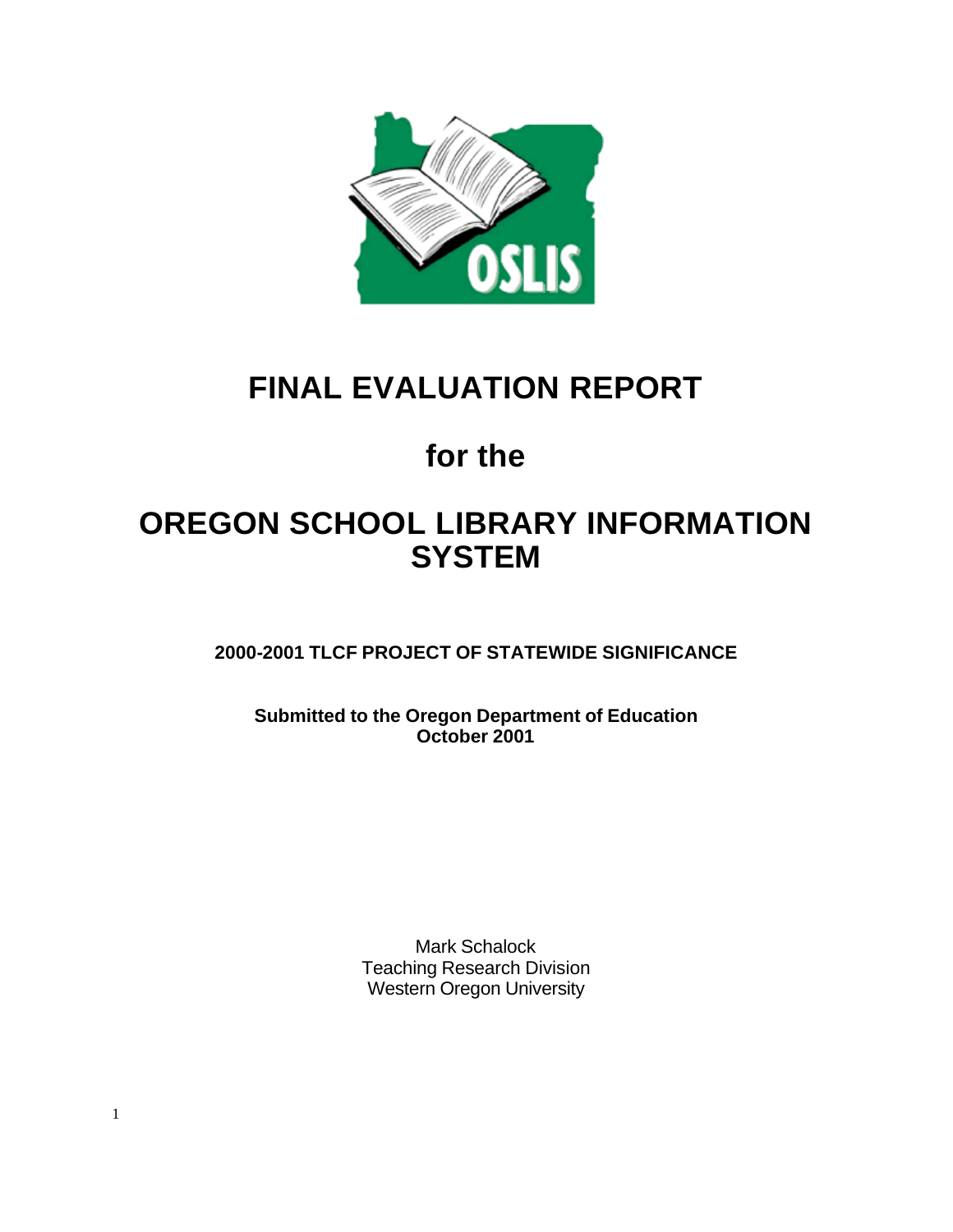

## **FINAL EVALUATION REPORT**

# **for the**

## **OREGON SCHOOL LIBRARY INFORMATION SYSTEM**

**2000-2001 TLCF PROJECT OF STATEWIDE SIGNIFICANCE**

**Submitted to the Oregon Department of Education October 2001**

> Mark Schalock Teaching Research Division Western Oregon University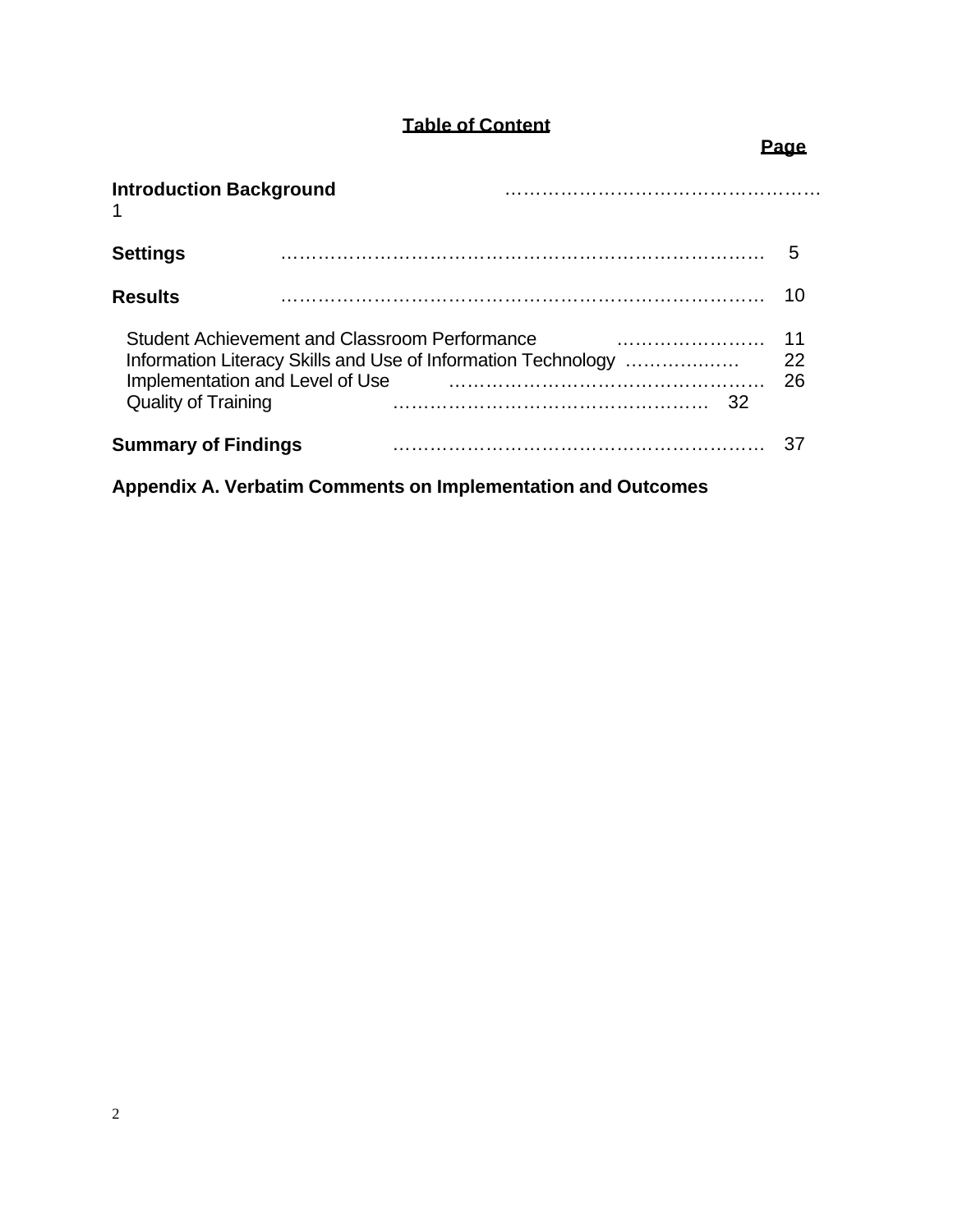## **Table of Content**

## **Page**

| <b>Introduction Background</b>                                                                                 |                                                                     |          |
|----------------------------------------------------------------------------------------------------------------|---------------------------------------------------------------------|----------|
| <b>Settings</b>                                                                                                |                                                                     | 5        |
| <b>Results</b>                                                                                                 |                                                                     | 10       |
| Student Achievement and Classroom Performance<br>Implementation and Level of Use<br><b>Quality of Training</b> | Information Literacy Skills and Use of Information Technology<br>32 | 22<br>26 |
| <b>Summary of Findings</b>                                                                                     |                                                                     |          |

**Appendix A. Verbatim Comments on Implementation and Outcomes**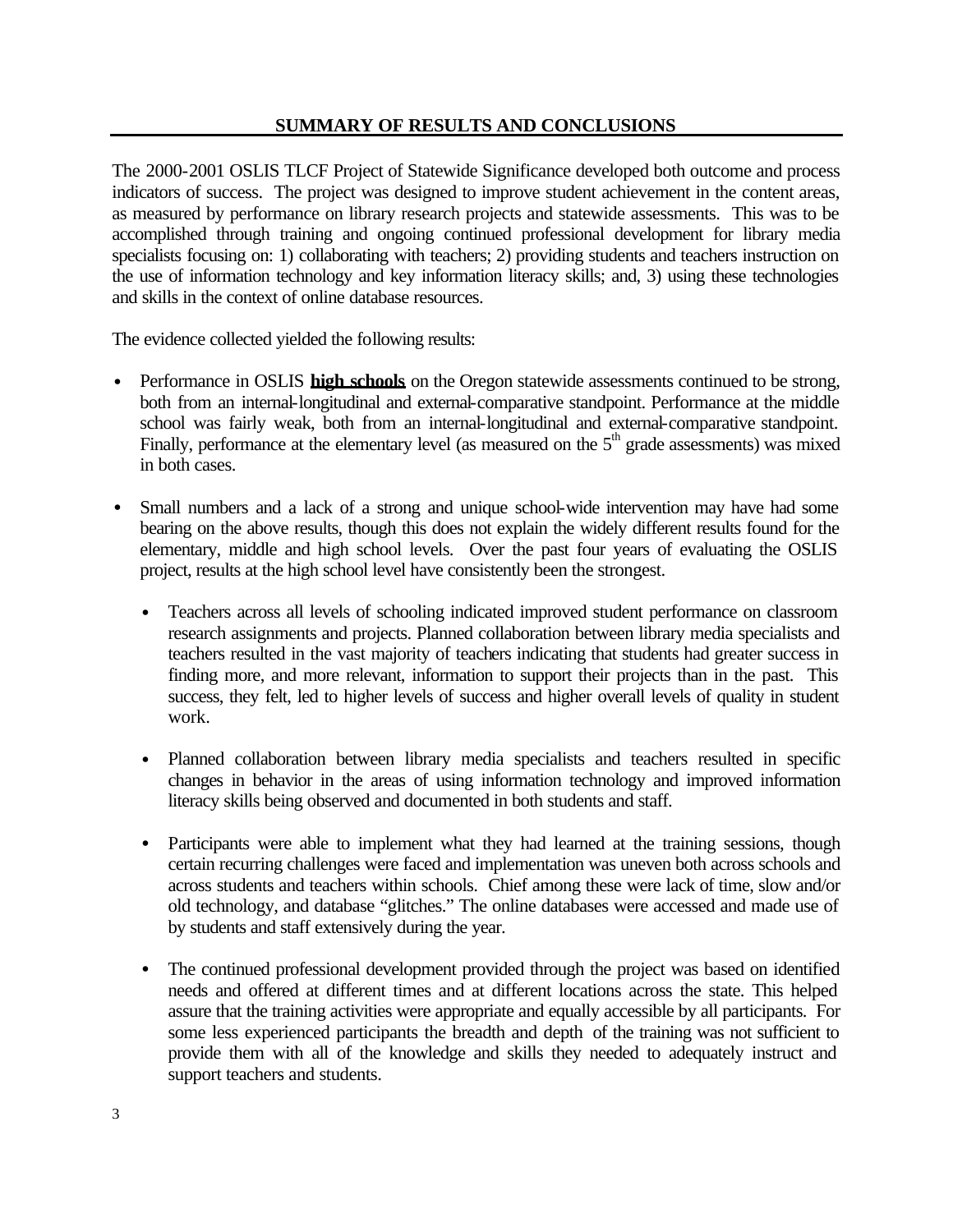The 2000-2001 OSLIS TLCF Project of Statewide Significance developed both outcome and process indicators of success. The project was designed to improve student achievement in the content areas, as measured by performance on library research projects and statewide assessments. This was to be accomplished through training and ongoing continued professional development for library media specialists focusing on: 1) collaborating with teachers; 2) providing students and teachers instruction on the use of information technology and key information literacy skills; and, 3) using these technologies and skills in the context of online database resources.

The evidence collected yielded the following results:

- Performance in OSLIS **high schools** on the Oregon statewide assessments continued to be strong, both from an internal-longitudinal and external-comparative standpoint. Performance at the middle school was fairly weak, both from an internal-longitudinal and external-comparative standpoint. Finally, performance at the elementary level (as measured on the  $5<sup>th</sup>$  grade assessments) was mixed in both cases.
- Small numbers and a lack of a strong and unique school-wide intervention may have had some bearing on the above results, though this does not explain the widely different results found for the elementary, middle and high school levels. Over the past four years of evaluating the OSLIS project, results at the high school level have consistently been the strongest.
	- Teachers across all levels of schooling indicated improved student performance on classroom research assignments and projects. Planned collaboration between library media specialists and teachers resulted in the vast majority of teachers indicating that students had greater success in finding more, and more relevant, information to support their projects than in the past. This success, they felt, led to higher levels of success and higher overall levels of quality in student work.
	- Planned collaboration between library media specialists and teachers resulted in specific changes in behavior in the areas of using information technology and improved information literacy skills being observed and documented in both students and staff.
	- Participants were able to implement what they had learned at the training sessions, though certain recurring challenges were faced and implementation was uneven both across schools and across students and teachers within schools. Chief among these were lack of time, slow and/or old technology, and database "glitches." The online databases were accessed and made use of by students and staff extensively during the year.
	- The continued professional development provided through the project was based on identified needs and offered at different times and at different locations across the state. This helped assure that the training activities were appropriate and equally accessible by all participants. For some less experienced participants the breadth and depth of the training was not sufficient to provide them with all of the knowledge and skills they needed to adequately instruct and support teachers and students.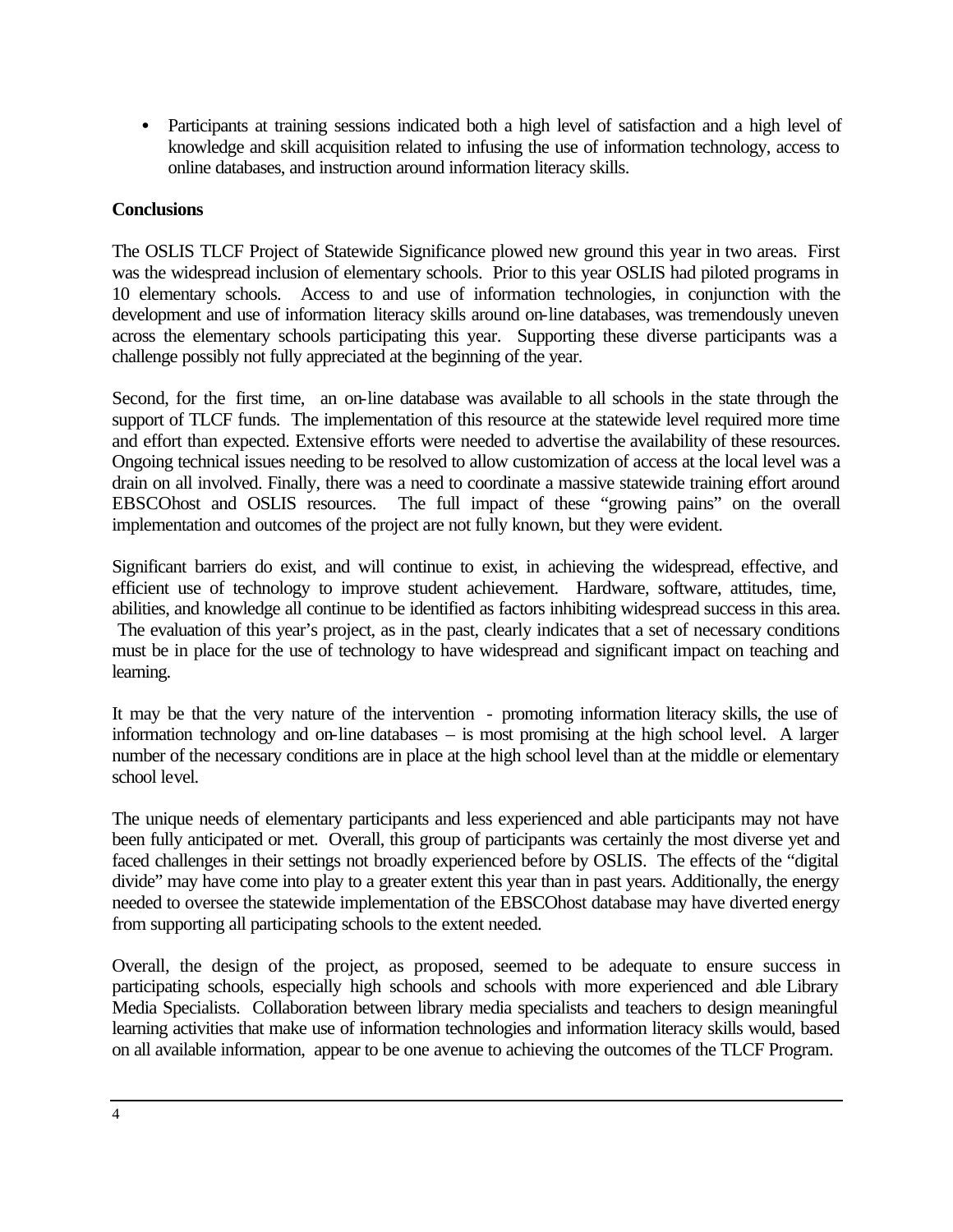• Participants at training sessions indicated both a high level of satisfaction and a high level of knowledge and skill acquisition related to infusing the use of information technology, access to online databases, and instruction around information literacy skills.

## **Conclusions**

The OSLIS TLCF Project of Statewide Significance plowed new ground this year in two areas. First was the widespread inclusion of elementary schools. Prior to this year OSLIS had piloted programs in 10 elementary schools. Access to and use of information technologies, in conjunction with the development and use of information literacy skills around on-line databases, was tremendously uneven across the elementary schools participating this year. Supporting these diverse participants was a challenge possibly not fully appreciated at the beginning of the year.

Second, for the first time, an on-line database was available to all schools in the state through the support of TLCF funds. The implementation of this resource at the statewide level required more time and effort than expected. Extensive efforts were needed to advertise the availability of these resources. Ongoing technical issues needing to be resolved to allow customization of access at the local level was a drain on all involved. Finally, there was a need to coordinate a massive statewide training effort around EBSCOhost and OSLIS resources. The full impact of these "growing pains" on the overall implementation and outcomes of the project are not fully known, but they were evident.

Significant barriers do exist, and will continue to exist, in achieving the widespread, effective, and efficient use of technology to improve student achievement. Hardware, software, attitudes, time, abilities, and knowledge all continue to be identified as factors inhibiting widespread success in this area. The evaluation of this year's project, as in the past, clearly indicates that a set of necessary conditions must be in place for the use of technology to have widespread and significant impact on teaching and learning.

It may be that the very nature of the intervention - promoting information literacy skills, the use of information technology and on-line databases – is most promising at the high school level. A larger number of the necessary conditions are in place at the high school level than at the middle or elementary school level.

The unique needs of elementary participants and less experienced and able participants may not have been fully anticipated or met. Overall, this group of participants was certainly the most diverse yet and faced challenges in their settings not broadly experienced before by OSLIS. The effects of the "digital divide" may have come into play to a greater extent this year than in past years. Additionally, the energy needed to oversee the statewide implementation of the EBSCOhost database may have diverted energy from supporting all participating schools to the extent needed.

Overall, the design of the project, as proposed, seemed to be adequate to ensure success in participating schools, especially high schools and schools with more experienced and able Library Media Specialists. Collaboration between library media specialists and teachers to design meaningful learning activities that make use of information technologies and information literacy skills would, based on all available information, appear to be one avenue to achieving the outcomes of the TLCF Program.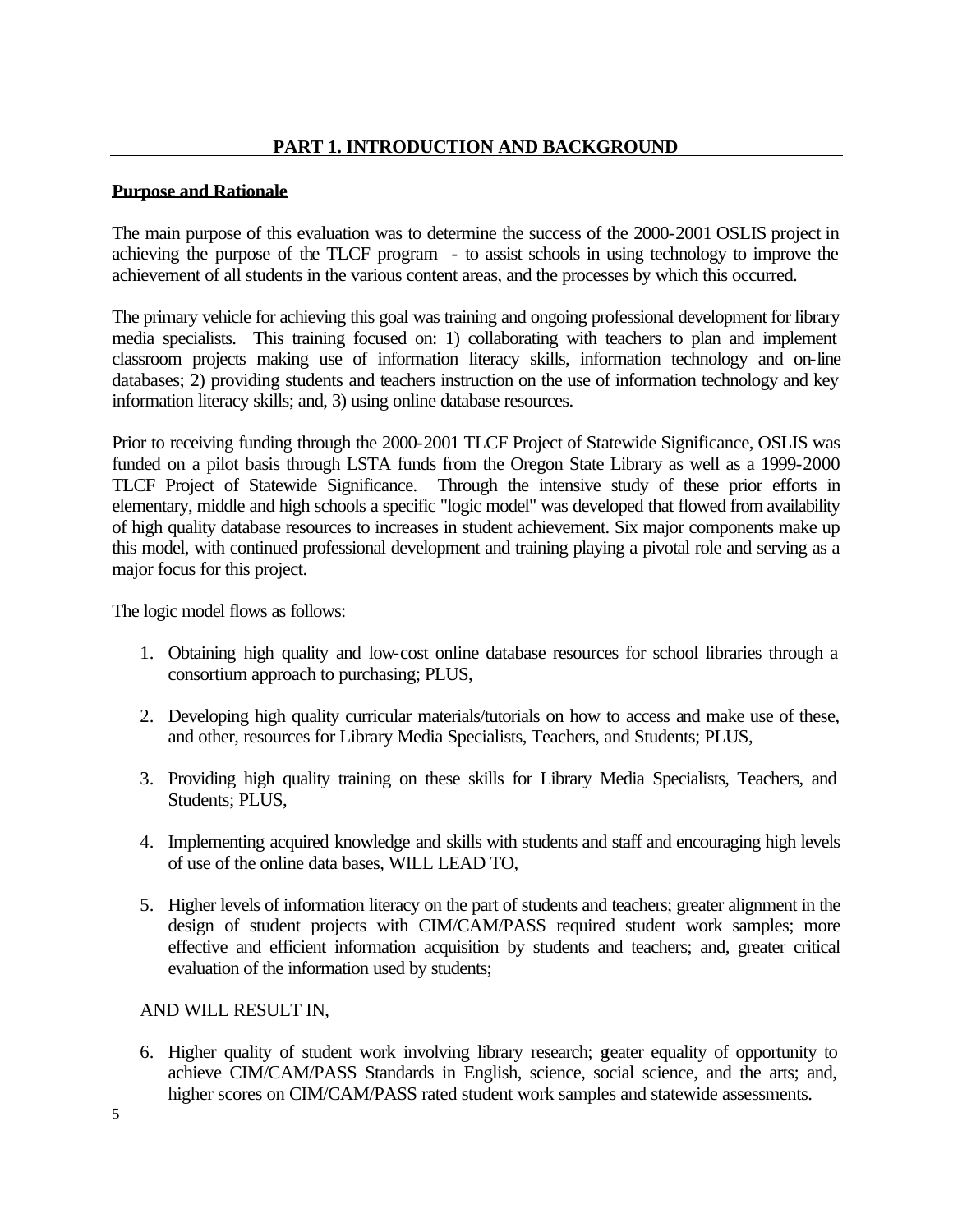## **Purpose and Rationale**

The main purpose of this evaluation was to determine the success of the 2000-2001 OSLIS project in achieving the purpose of the TLCF program - to assist schools in using technology to improve the achievement of all students in the various content areas, and the processes by which this occurred.

The primary vehicle for achieving this goal was training and ongoing professional development for library media specialists. This training focused on: 1) collaborating with teachers to plan and implement classroom projects making use of information literacy skills, information technology and on-line databases; 2) providing students and teachers instruction on the use of information technology and key information literacy skills; and, 3) using online database resources.

Prior to receiving funding through the 2000-2001 TLCF Project of Statewide Significance, OSLIS was funded on a pilot basis through LSTA funds from the Oregon State Library as well as a 1999-2000 TLCF Project of Statewide Significance. Through the intensive study of these prior efforts in elementary, middle and high schools a specific "logic model" was developed that flowed from availability of high quality database resources to increases in student achievement. Six major components make up this model, with continued professional development and training playing a pivotal role and serving as a major focus for this project.

The logic model flows as follows:

- 1. Obtaining high quality and low-cost online database resources for school libraries through a consortium approach to purchasing; PLUS,
- 2. Developing high quality curricular materials/tutorials on how to access and make use of these, and other, resources for Library Media Specialists, Teachers, and Students; PLUS,
- 3. Providing high quality training on these skills for Library Media Specialists, Teachers, and Students; PLUS,
- 4. Implementing acquired knowledge and skills with students and staff and encouraging high levels of use of the online data bases, WILL LEAD TO,
- 5. Higher levels of information literacy on the part of students and teachers; greater alignment in the design of student projects with CIM/CAM/PASS required student work samples; more effective and efficient information acquisition by students and teachers; and, greater critical evaluation of the information used by students;

AND WILL RESULT IN,

6. Higher quality of student work involving library research; greater equality of opportunity to achieve CIM/CAM/PASS Standards in English, science, social science, and the arts; and, higher scores on CIM/CAM/PASS rated student work samples and statewide assessments.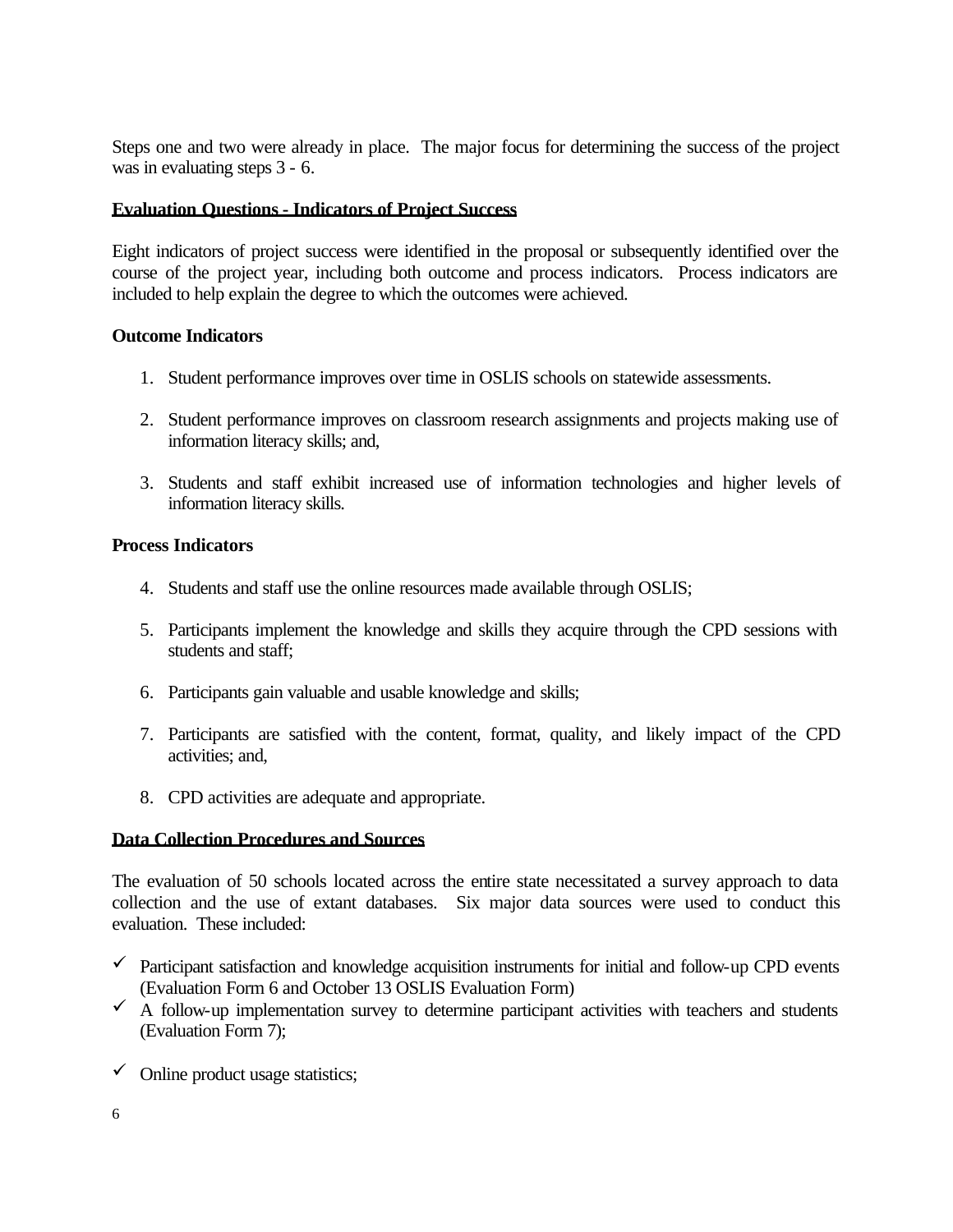Steps one and two were already in place. The major focus for determining the success of the project was in evaluating steps 3 - 6.

## **Evaluation Questions - Indicators of Project Success**

Eight indicators of project success were identified in the proposal or subsequently identified over the course of the project year, including both outcome and process indicators. Process indicators are included to help explain the degree to which the outcomes were achieved.

## **Outcome Indicators**

- 1. Student performance improves over time in OSLIS schools on statewide assessments.
- 2. Student performance improves on classroom research assignments and projects making use of information literacy skills; and,
- 3. Students and staff exhibit increased use of information technologies and higher levels of information literacy skills.

## **Process Indicators**

- 4. Students and staff use the online resources made available through OSLIS;
- 5. Participants implement the knowledge and skills they acquire through the CPD sessions with students and staff;
- 6. Participants gain valuable and usable knowledge and skills;
- 7. Participants are satisfied with the content, format, quality, and likely impact of the CPD activities; and,
- 8. CPD activities are adequate and appropriate.

## **Data Collection Procedures and Sources**

The evaluation of 50 schools located across the entire state necessitated a survey approach to data collection and the use of extant databases. Six major data sources were used to conduct this evaluation. These included:

- $\checkmark$  Participant satisfaction and knowledge acquisition instruments for initial and follow-up CPD events (Evaluation Form 6 and October 13 OSLIS Evaluation Form)
- $\overrightarrow{A}$  A follow-up implementation survey to determine participant activities with teachers and students (Evaluation Form 7);
- $\checkmark$  Online product usage statistics;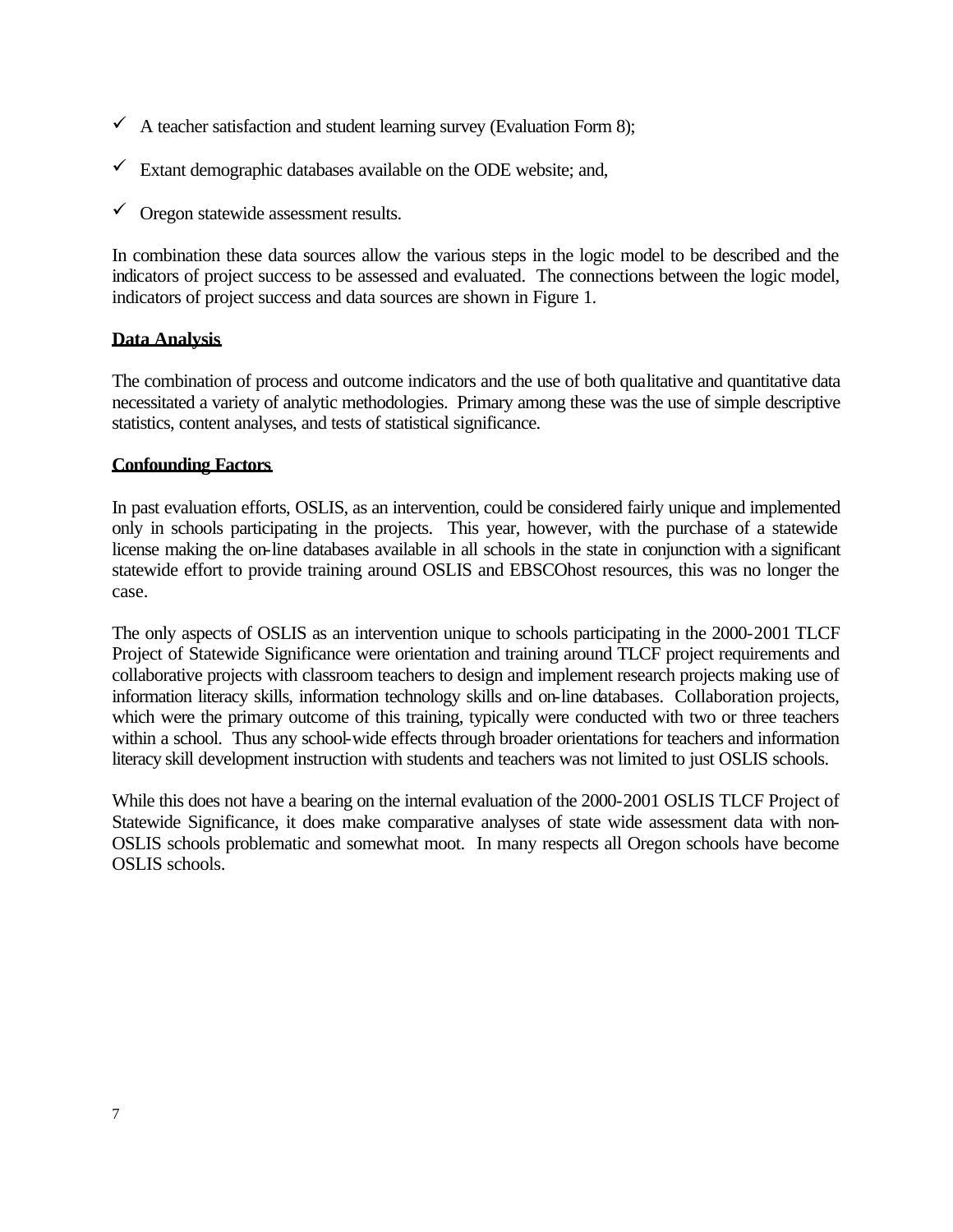- $\checkmark$  A teacher satisfaction and student learning survey (Evaluation Form 8);
- $\checkmark$  Extant demographic databases available on the ODE website; and,
- $\checkmark$  Oregon statewide assessment results.

In combination these data sources allow the various steps in the logic model to be described and the indicators of project success to be assessed and evaluated. The connections between the logic model, indicators of project success and data sources are shown in Figure 1.

## **Data Analysis**

The combination of process and outcome indicators and the use of both qualitative and quantitative data necessitated a variety of analytic methodologies. Primary among these was the use of simple descriptive statistics, content analyses, and tests of statistical significance.

## **Confounding Factors**

In past evaluation efforts, OSLIS, as an intervention, could be considered fairly unique and implemented only in schools participating in the projects. This year, however, with the purchase of a statewide license making the on-line databases available in all schools in the state in conjunction with a significant statewide effort to provide training around OSLIS and EBSCOhost resources, this was no longer the case.

The only aspects of OSLIS as an intervention unique to schools participating in the 2000-2001 TLCF Project of Statewide Significance were orientation and training around TLCF project requirements and collaborative projects with classroom teachers to design and implement research projects making use of information literacy skills, information technology skills and on-line databases. Collaboration projects, which were the primary outcome of this training, typically were conducted with two or three teachers within a school. Thus any school-wide effects through broader orientations for teachers and information literacy skill development instruction with students and teachers was not limited to just OSLIS schools.

While this does not have a bearing on the internal evaluation of the 2000-2001 OSLIS TLCF Project of Statewide Significance, it does make comparative analyses of state wide assessment data with non-OSLIS schools problematic and somewhat moot. In many respects all Oregon schools have become OSLIS schools.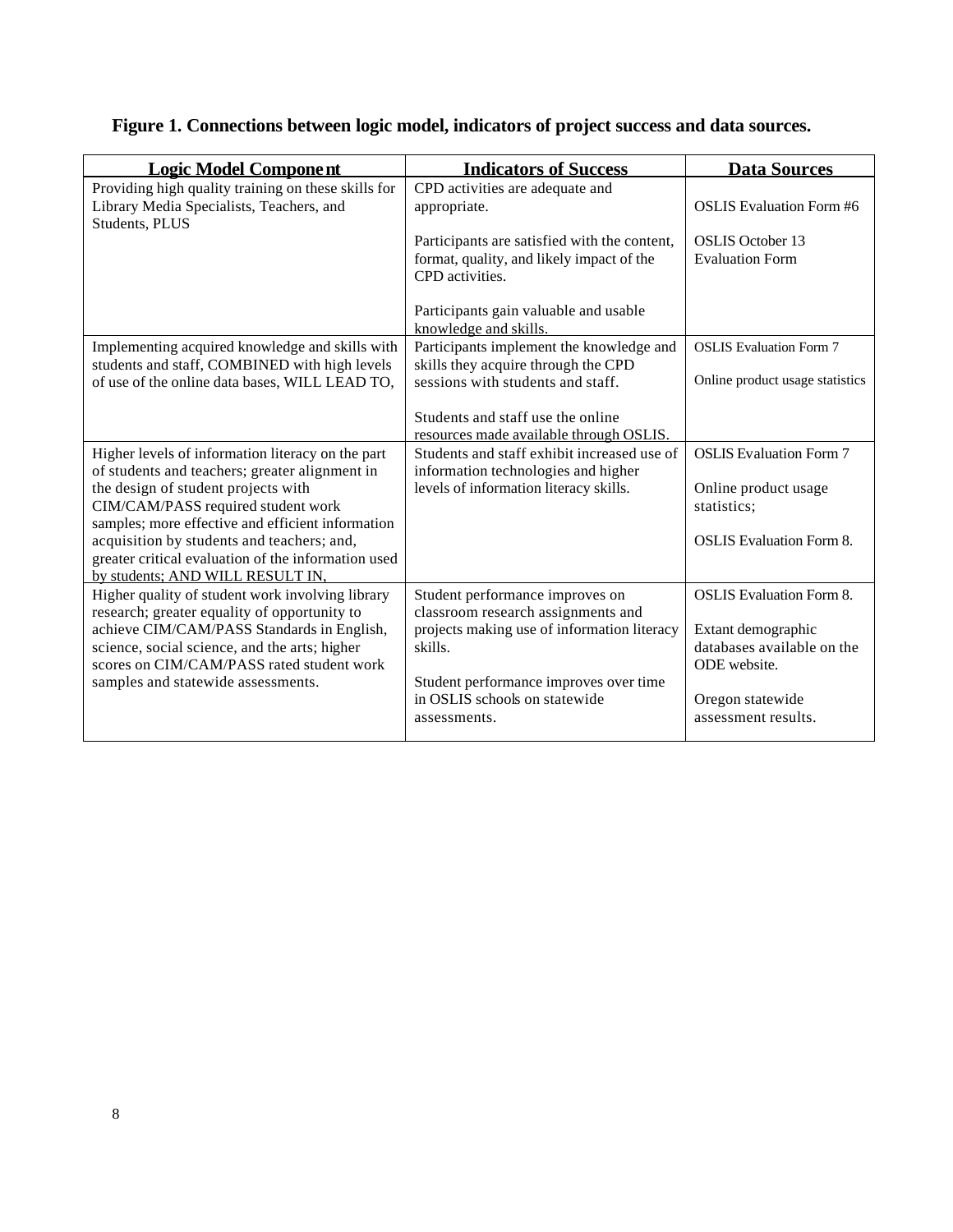| <b>Logic Model Component</b>                                                                                                                                                               | <b>Indicators of Success</b>                                                                                 | <b>Data Sources</b>                                              |
|--------------------------------------------------------------------------------------------------------------------------------------------------------------------------------------------|--------------------------------------------------------------------------------------------------------------|------------------------------------------------------------------|
| Providing high quality training on these skills for<br>Library Media Specialists, Teachers, and<br>Students, PLUS                                                                          | CPD activities are adequate and<br>appropriate.                                                              | <b>OSLIS</b> Evaluation Form #6                                  |
|                                                                                                                                                                                            | Participants are satisfied with the content,<br>format, quality, and likely impact of the<br>CPD activities. | <b>OSLIS</b> October 13<br><b>Evaluation Form</b>                |
|                                                                                                                                                                                            | Participants gain valuable and usable<br>knowledge and skills.                                               |                                                                  |
| Implementing acquired knowledge and skills with<br>students and staff, COMBINED with high levels                                                                                           | Participants implement the knowledge and<br>skills they acquire through the CPD                              | <b>OSLIS</b> Evaluation Form 7                                   |
| of use of the online data bases, WILL LEAD TO,                                                                                                                                             | sessions with students and staff.                                                                            | Online product usage statistics                                  |
|                                                                                                                                                                                            | Students and staff use the online<br>resources made available through OSLIS.                                 |                                                                  |
| Higher levels of information literacy on the part<br>of students and teachers; greater alignment in                                                                                        | Students and staff exhibit increased use of<br>information technologies and higher                           | <b>OSLIS</b> Evaluation Form 7                                   |
| the design of student projects with<br>CIM/CAM/PASS required student work                                                                                                                  | levels of information literacy skills.                                                                       | Online product usage<br>statistics;                              |
| samples; more effective and efficient information<br>acquisition by students and teachers; and,<br>greater critical evaluation of the information used<br>by students; AND WILL RESULT IN. |                                                                                                              | <b>OSLIS</b> Evaluation Form 8.                                  |
| Higher quality of student work involving library<br>research; greater equality of opportunity to                                                                                           | Student performance improves on<br>classroom research assignments and                                        | <b>OSLIS</b> Evaluation Form 8.                                  |
| achieve CIM/CAM/PASS Standards in English,<br>science, social science, and the arts; higher<br>scores on CIM/CAM/PASS rated student work                                                   | projects making use of information literacy<br>skills.                                                       | Extant demographic<br>databases available on the<br>ODE website. |
| samples and statewide assessments.                                                                                                                                                         | Student performance improves over time<br>in OSLIS schools on statewide<br>assessments.                      | Oregon statewide<br>assessment results.                          |

## **Figure 1. Connections between logic model, indicators of project success and data sources.**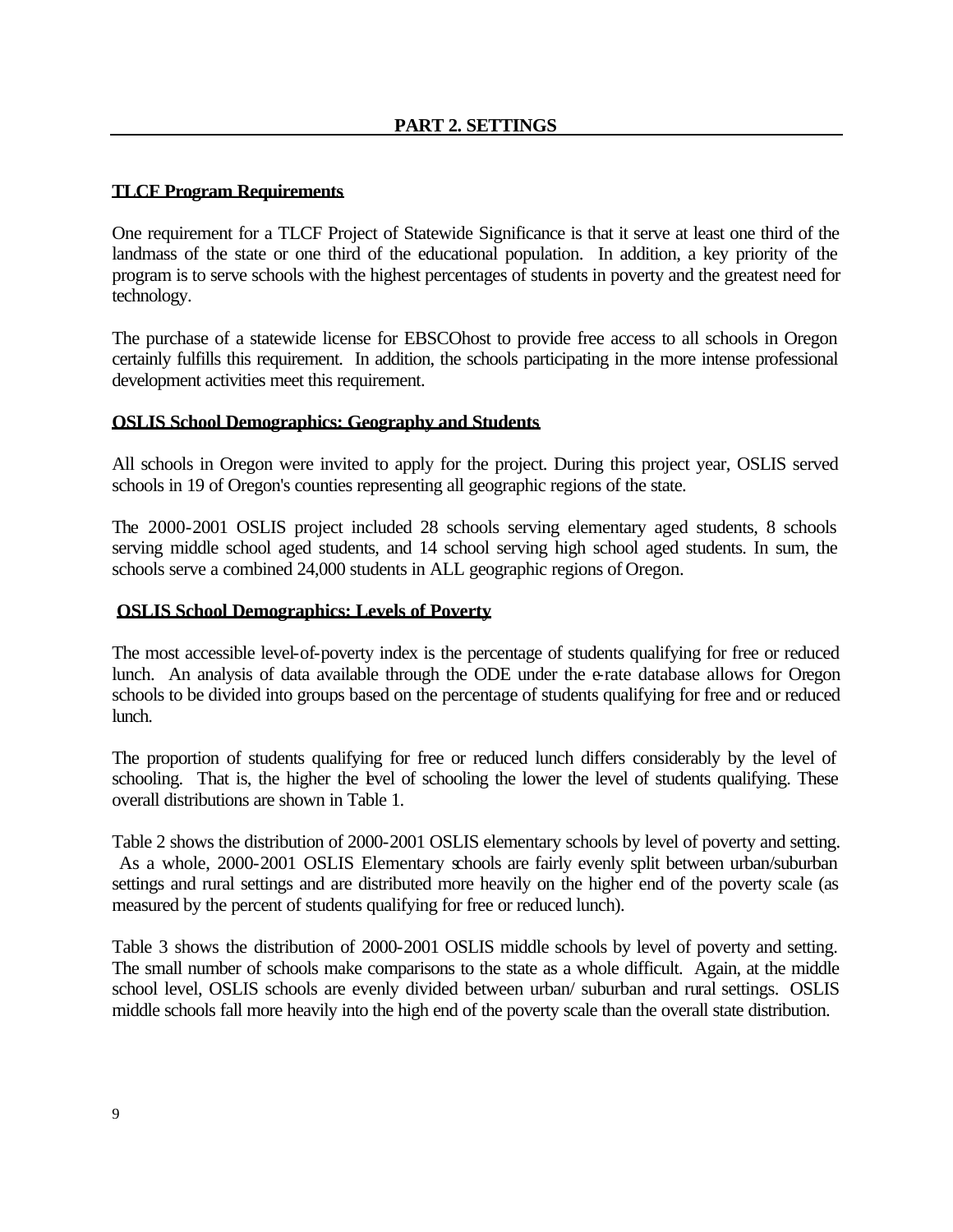#### **TLCF Program Requirements**

One requirement for a TLCF Project of Statewide Significance is that it serve at least one third of the landmass of the state or one third of the educational population. In addition, a key priority of the program is to serve schools with the highest percentages of students in poverty and the greatest need for technology.

The purchase of a statewide license for EBSCOhost to provide free access to all schools in Oregon certainly fulfills this requirement. In addition, the schools participating in the more intense professional development activities meet this requirement.

#### **OSLIS School Demographics: Geography and Students**

All schools in Oregon were invited to apply for the project. During this project year, OSLIS served schools in 19 of Oregon's counties representing all geographic regions of the state.

The 2000-2001 OSLIS project included 28 schools serving elementary aged students, 8 schools serving middle school aged students, and 14 school serving high school aged students. In sum, the schools serve a combined 24,000 students in ALL geographic regions of Oregon.

## **OSLIS School Demographics: Levels of Poverty**

The most accessible level-of-poverty index is the percentage of students qualifying for free or reduced lunch. An analysis of data available through the ODE under the e-rate database allows for Oregon schools to be divided into groups based on the percentage of students qualifying for free and or reduced lunch.

The proportion of students qualifying for free or reduced lunch differs considerably by the level of schooling. That is, the higher the level of schooling the lower the level of students qualifying. These overall distributions are shown in Table 1.

Table 2 shows the distribution of 2000-2001 OSLIS elementary schools by level of poverty and setting. As a whole, 2000-2001 OSLIS Elementary schools are fairly evenly split between urban/suburban settings and rural settings and are distributed more heavily on the higher end of the poverty scale (as measured by the percent of students qualifying for free or reduced lunch).

Table 3 shows the distribution of 2000-2001 OSLIS middle schools by level of poverty and setting. The small number of schools make comparisons to the state as a whole difficult. Again, at the middle school level, OSLIS schools are evenly divided between urban/ suburban and rural settings. OSLIS middle schools fall more heavily into the high end of the poverty scale than the overall state distribution.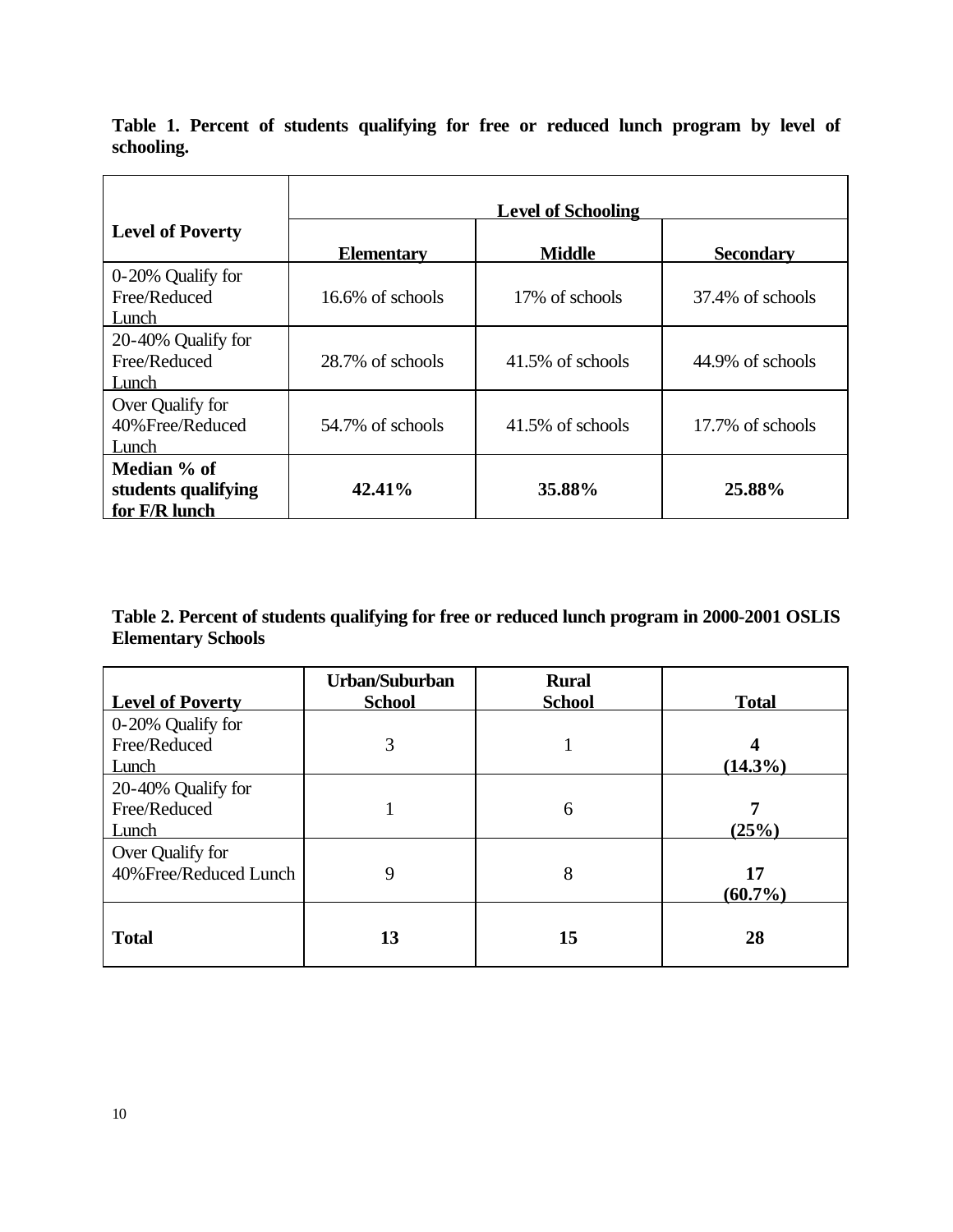**Level of Schooling Level of Poverty Elementary Middle Secondary** 0-20% Qualify for Free/Reduced Lunch 16.6% of schools 17% of schools 37.4% of schools 20-40% Qualify for Free/Reduced Lunch  $28.7\%$  of schools  $41.5\%$  of schools  $44.9\%$  of schools Over Qualify for 40%Free/Reduced Lunch 54.7% of schools  $\begin{array}{|c|c|c|c|c|} \hline 41.5\% & \hline \end{array}$  of schools 17.7% of schools **Median % of students qualifying for F/R lunch 42.41% 35.88% 25.88%**

**Table 1. Percent of students qualifying for free or reduced lunch program by level of schooling.**

## **Table 2. Percent of students qualifying for free or reduced lunch program in 2000-2001 OSLIS Elementary Schools**

| <b>Level of Poverty</b>                     | Urban/Suburban<br><b>School</b> | <b>Rural</b><br><b>School</b> | <b>Total</b>     |
|---------------------------------------------|---------------------------------|-------------------------------|------------------|
| 0-20% Qualify for<br>Free/Reduced<br>Lunch  | 3                               |                               | 4<br>$(14.3\%)$  |
| 20-40% Qualify for<br>Free/Reduced<br>Lunch |                                 | 6                             | 7<br>(25%)       |
| Over Qualify for<br>40% Free/Reduced Lunch  | 9                               | 8                             | 17<br>$(60.7\%)$ |
| <b>Total</b>                                | 13                              | 15                            | 28               |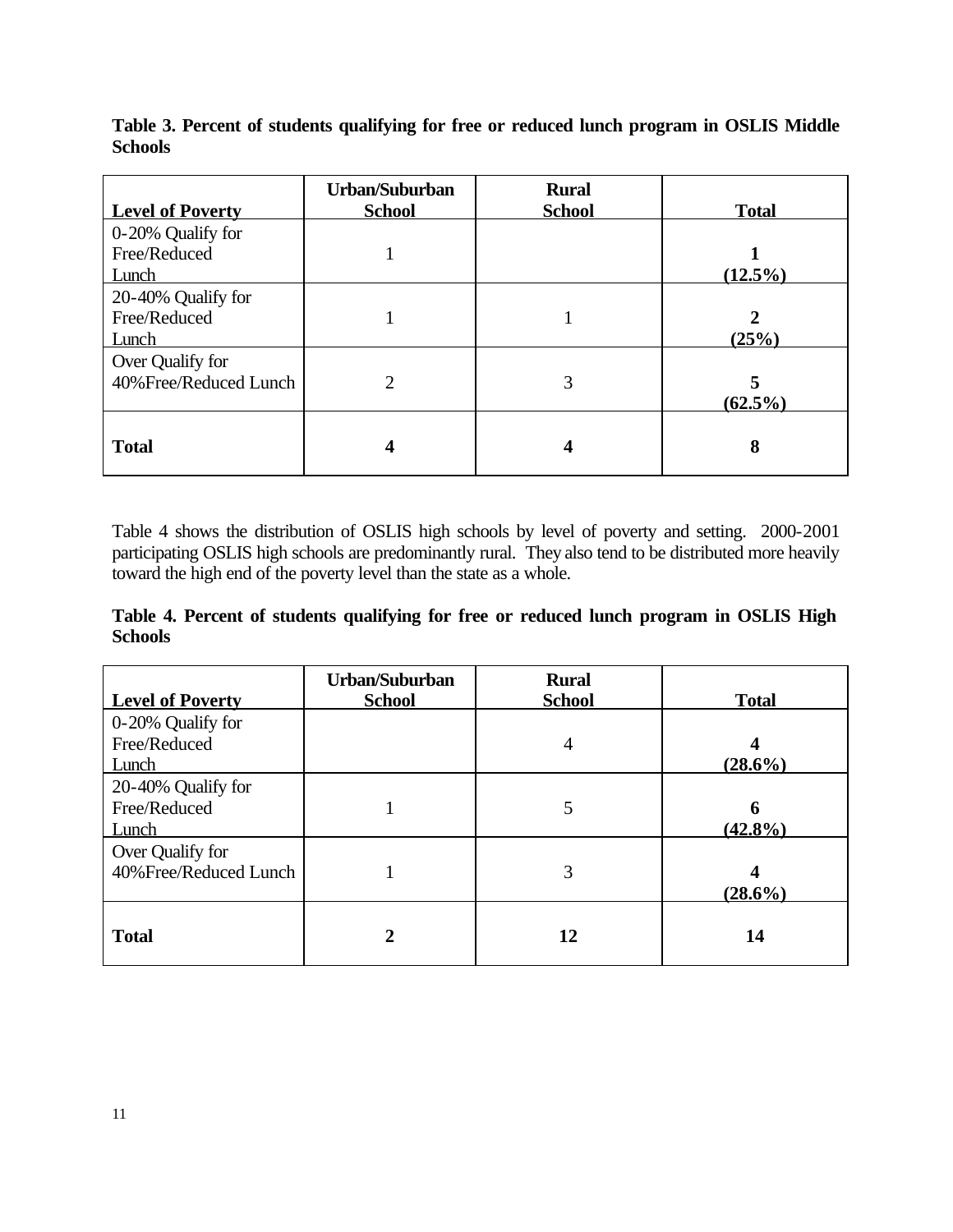| <b>Level of Poverty</b>                     | Urban/Suburban<br><b>School</b> | <b>Rural</b><br><b>School</b> | <b>Total</b>         |
|---------------------------------------------|---------------------------------|-------------------------------|----------------------|
| 0-20% Qualify for<br>Free/Reduced           |                                 |                               |                      |
| Lunch                                       |                                 |                               | $(12.5\%)$           |
| 20-40% Qualify for<br>Free/Reduced<br>Lunch |                                 |                               | $\mathbf 2$<br>(25%) |
| Over Qualify for<br>40% Free/Reduced Lunch  | 2                               | 3                             | 5<br>$(62.5\%)$      |
| <b>Total</b>                                | $\boldsymbol{4}$                | 4                             | 8                    |

**Table 3. Percent of students qualifying for free or reduced lunch program in OSLIS Middle Schools**

Table 4 shows the distribution of OSLIS high schools by level of poverty and setting. 2000-2001 participating OSLIS high schools are predominantly rural. They also tend to be distributed more heavily toward the high end of the poverty level than the state as a whole.

**Table 4. Percent of students qualifying for free or reduced lunch program in OSLIS High Schools**

| <b>Level of Poverty</b>                     | Urban/Suburban<br><b>School</b> | <b>Rural</b><br><b>School</b> | <b>Total</b>    |
|---------------------------------------------|---------------------------------|-------------------------------|-----------------|
| 0-20% Qualify for<br>Free/Reduced<br>Lunch  |                                 | 4                             | 4<br>$(28.6\%)$ |
| 20-40% Qualify for<br>Free/Reduced<br>Lunch |                                 | 5                             | 6<br>$(42.8\%)$ |
| Over Qualify for<br>40% Free/Reduced Lunch  |                                 | 3                             | 4<br>$(28.6\%)$ |
| <b>Total</b>                                | 2                               | 12                            | 14              |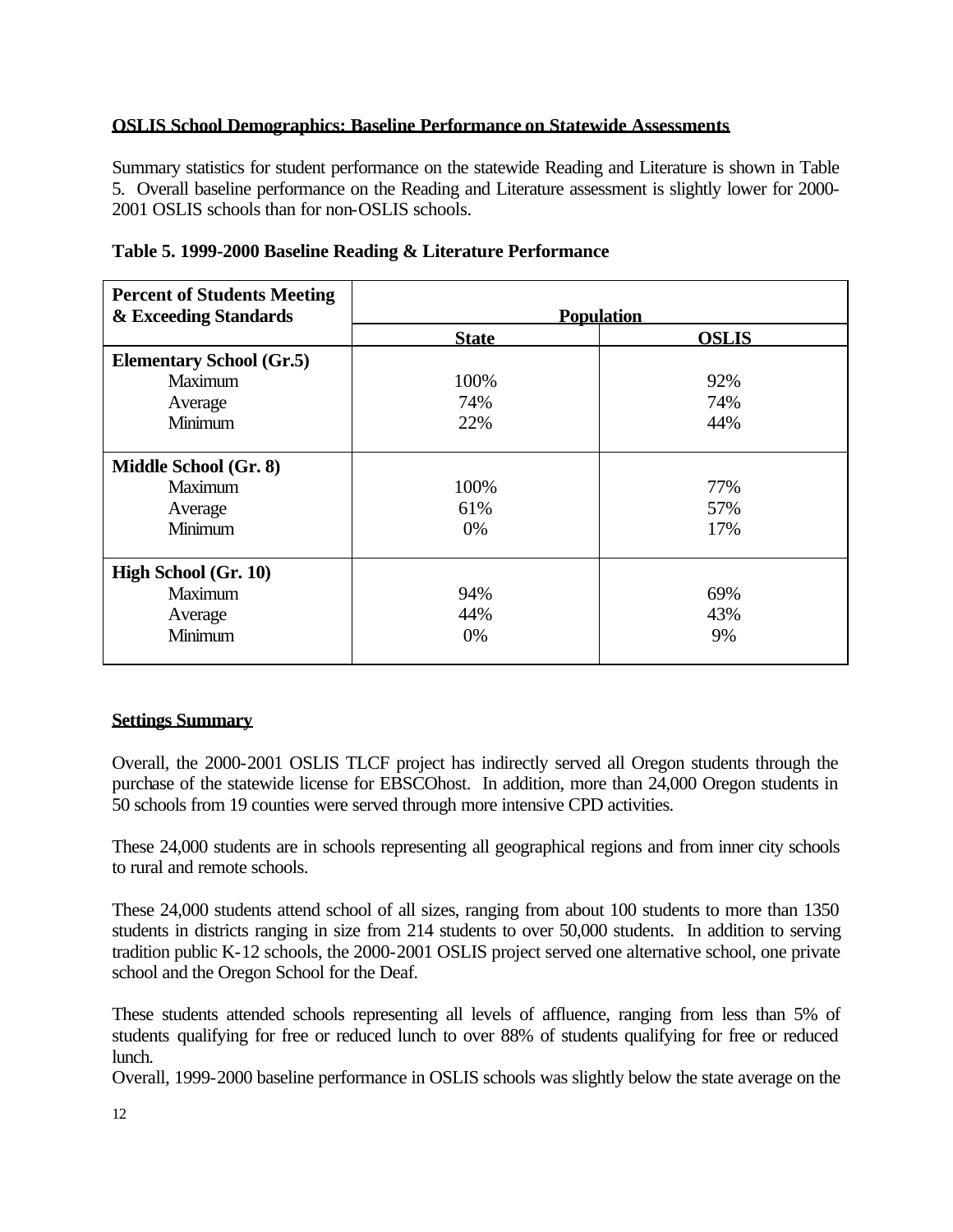## **OSLIS School Demographics: Baseline Performance on Statewide Assessments**

Summary statistics for student performance on the statewide Reading and Literature is shown in Table 5. Overall baseline performance on the Reading and Literature assessment is slightly lower for 2000- 2001 OSLIS schools than for non-OSLIS schools.

| <b>Percent of Students Meeting</b> |                   |              |
|------------------------------------|-------------------|--------------|
| & Exceeding Standards              | <b>Population</b> |              |
|                                    | <b>State</b>      | <b>OSLIS</b> |
| <b>Elementary School (Gr.5)</b>    |                   |              |
| <b>Maximum</b>                     | 100%              | 92%          |
| Average                            | 74%               | 74%          |
| Minimum                            | 22%               | 44%          |
|                                    |                   |              |
| Middle School (Gr. 8)              |                   |              |
| <b>Maximum</b>                     | 100%              | 77%          |
| Average                            | 61%               | 57%          |
| Minimum                            | 0%                | 17%          |
|                                    |                   |              |
| High School (Gr. 10)               |                   |              |
| Maximum                            | 94%               | 69%          |
| Average                            | 44%               | 43%          |
| Minimum                            | 0%                | 9%           |
|                                    |                   |              |

**Table 5. 1999-2000 Baseline Reading & Literature Performance**

## **Settings Summary**

Overall, the 2000-2001 OSLIS TLCF project has indirectly served all Oregon students through the purchase of the statewide license for EBSCOhost. In addition, more than 24,000 Oregon students in 50 schools from 19 counties were served through more intensive CPD activities.

These 24,000 students are in schools representing all geographical regions and from inner city schools to rural and remote schools.

These 24,000 students attend school of all sizes, ranging from about 100 students to more than 1350 students in districts ranging in size from 214 students to over 50,000 students. In addition to serving tradition public K-12 schools, the 2000-2001 OSLIS project served one alternative school, one private school and the Oregon School for the Deaf.

These students attended schools representing all levels of affluence, ranging from less than 5% of students qualifying for free or reduced lunch to over 88% of students qualifying for free or reduced lunch.

Overall, 1999-2000 baseline performance in OSLIS schools was slightly below the state average on the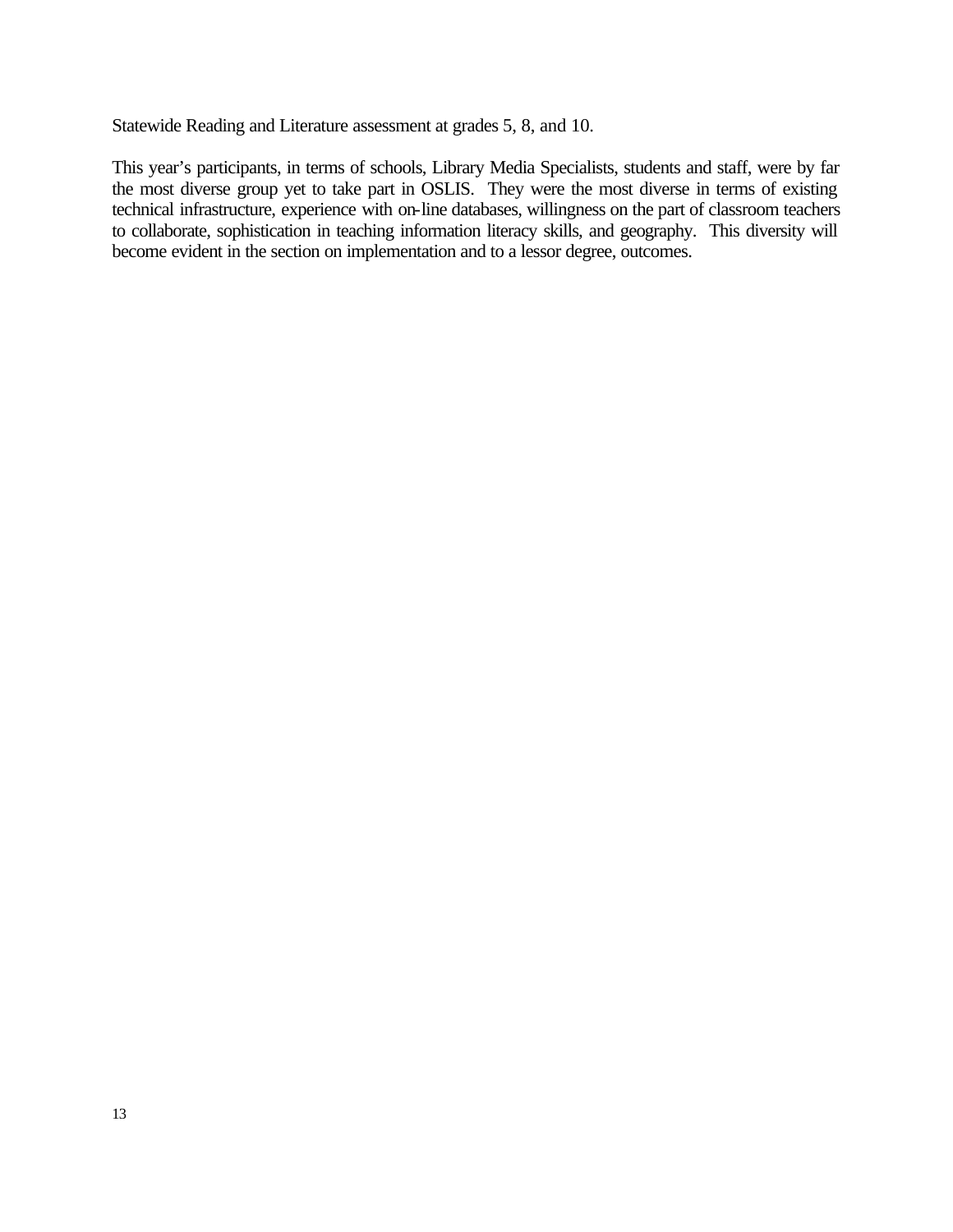Statewide Reading and Literature assessment at grades 5, 8, and 10.

This year's participants, in terms of schools, Library Media Specialists, students and staff, were by far the most diverse group yet to take part in OSLIS. They were the most diverse in terms of existing technical infrastructure, experience with on-line databases, willingness on the part of classroom teachers to collaborate, sophistication in teaching information literacy skills, and geography. This diversity will become evident in the section on implementation and to a lessor degree, outcomes.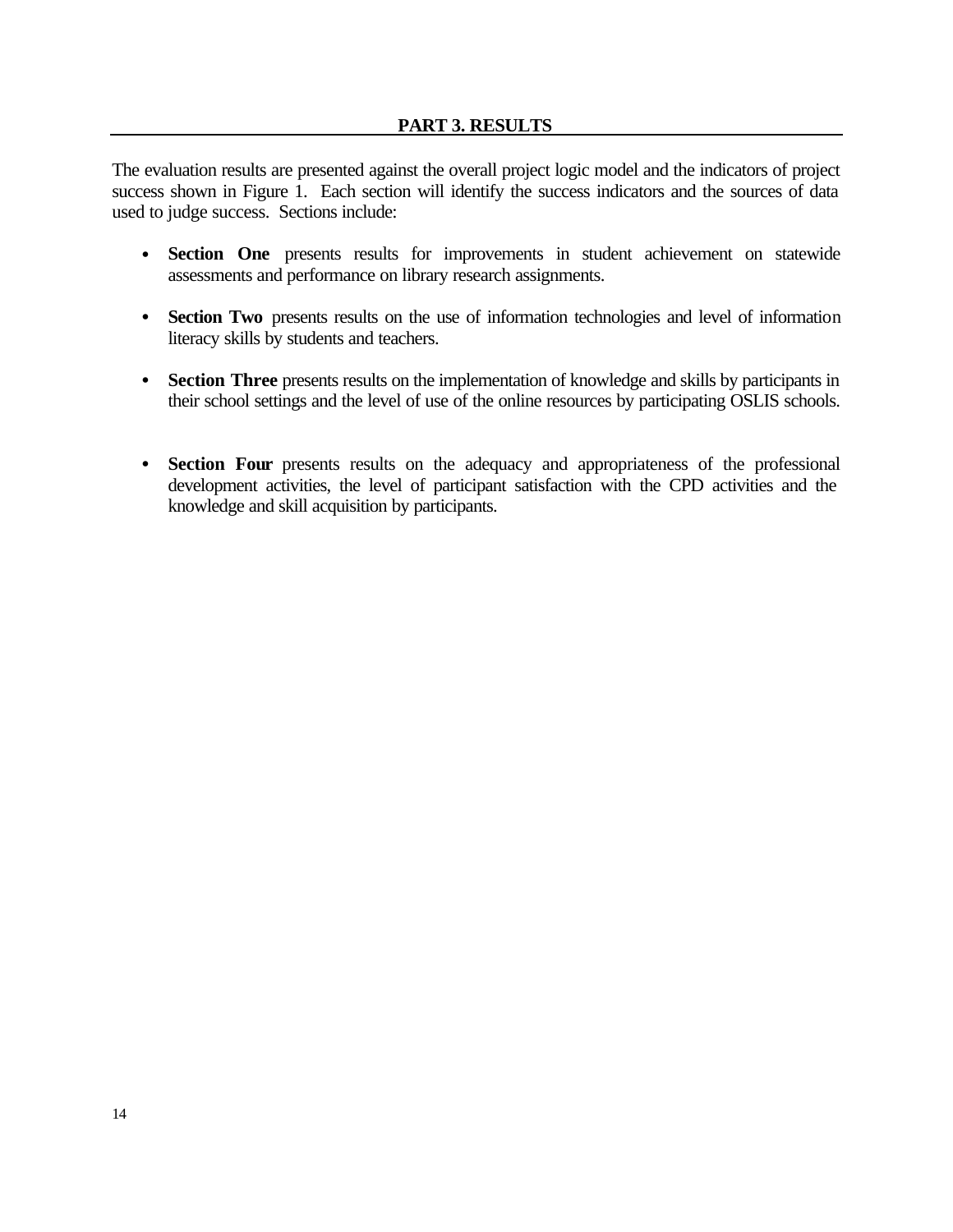The evaluation results are presented against the overall project logic model and the indicators of project success shown in Figure 1. Each section will identify the success indicators and the sources of data used to judge success. Sections include:

- **Section One** presents results for improvements in student achievement on statewide assessments and performance on library research assignments.
- **Section Two** presents results on the use of information technologies and level of information literacy skills by students and teachers.
- **Section Three** presents results on the implementation of knowledge and skills by participants in their school settings and the level of use of the online resources by participating OSLIS schools.
- **Section Four** presents results on the adequacy and appropriateness of the professional development activities, the level of participant satisfaction with the CPD activities and the knowledge and skill acquisition by participants.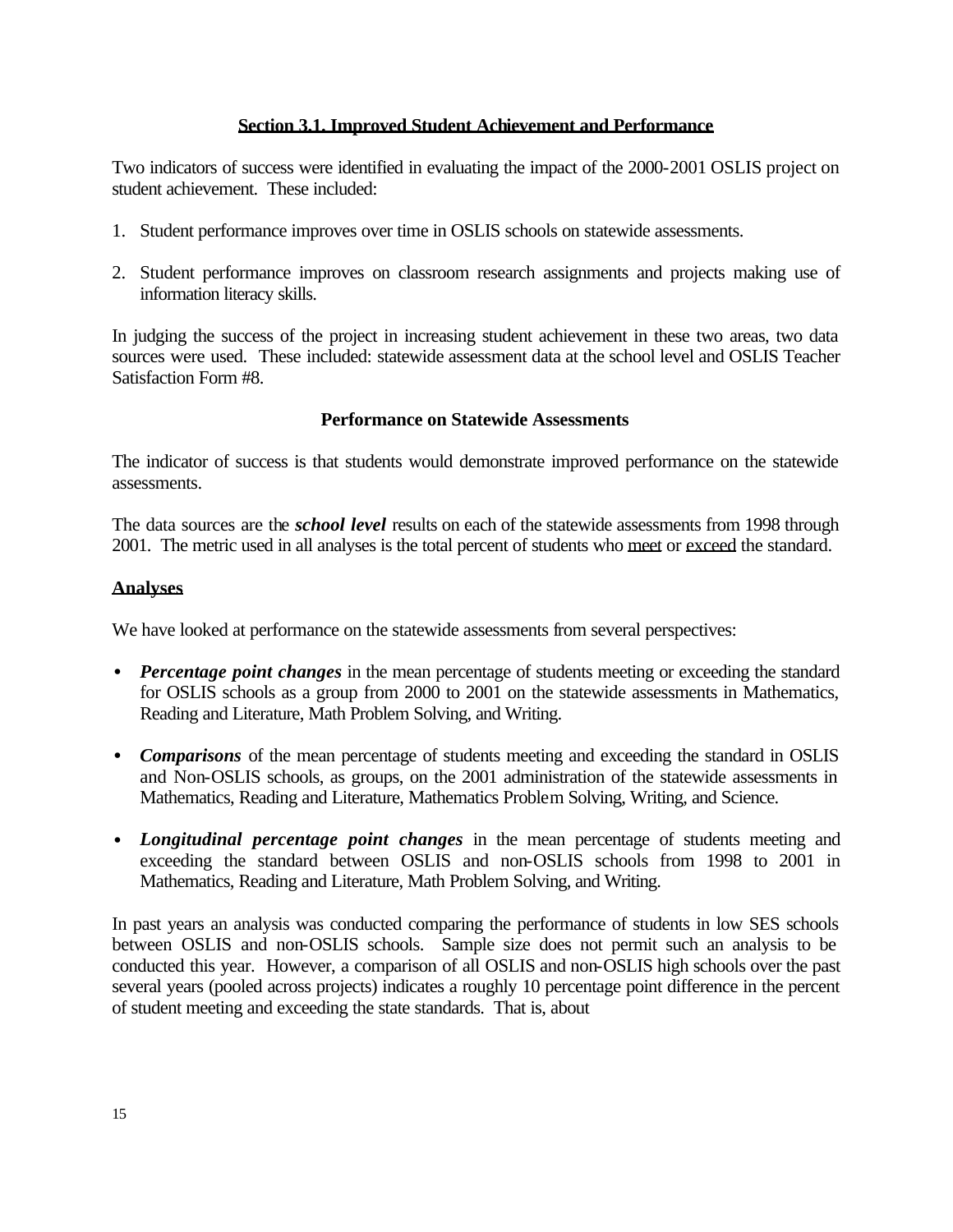## **Section 3.1. Improved Student Achievement and Performance**

Two indicators of success were identified in evaluating the impact of the 2000-2001 OSLIS project on student achievement. These included:

- 1. Student performance improves over time in OSLIS schools on statewide assessments.
- 2. Student performance improves on classroom research assignments and projects making use of information literacy skills.

In judging the success of the project in increasing student achievement in these two areas, two data sources were used. These included: statewide assessment data at the school level and OSLIS Teacher Satisfaction Form #8.

## **Performance on Statewide Assessments**

The indicator of success is that students would demonstrate improved performance on the statewide assessments.

The data sources are the *school level* results on each of the statewide assessments from 1998 through 2001. The metric used in all analyses is the total percent of students who meet or exceed the standard.

## **Analyses**

We have looked at performance on the statewide assessments from several perspectives:

- *Percentage point changes* in the mean percentage of students meeting or exceeding the standard for OSLIS schools as a group from 2000 to 2001 on the statewide assessments in Mathematics, Reading and Literature, Math Problem Solving, and Writing.
- *Comparisons* of the mean percentage of students meeting and exceeding the standard in OSLIS and Non-OSLIS schools, as groups, on the 2001 administration of the statewide assessments in Mathematics, Reading and Literature, Mathematics Problem Solving, Writing, and Science.
- *Longitudinal percentage point changes* in the mean percentage of students meeting and exceeding the standard between OSLIS and non-OSLIS schools from 1998 to 2001 in Mathematics, Reading and Literature, Math Problem Solving, and Writing.

In past years an analysis was conducted comparing the performance of students in low SES schools between OSLIS and non-OSLIS schools. Sample size does not permit such an analysis to be conducted this year. However, a comparison of all OSLIS and non-OSLIS high schools over the past several years (pooled across projects) indicates a roughly 10 percentage point difference in the percent of student meeting and exceeding the state standards. That is, about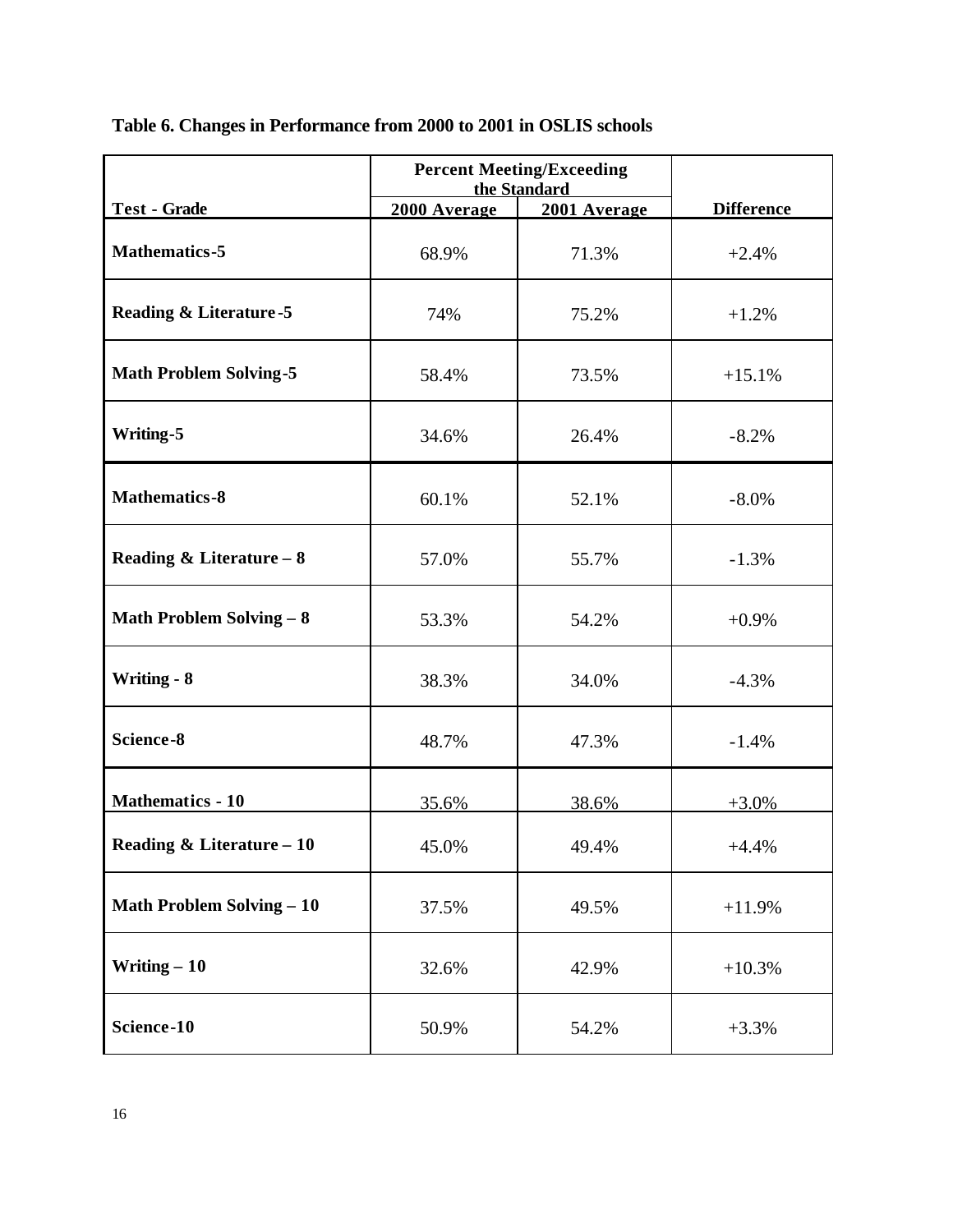|                                    |              | <b>Percent Meeting/Exceeding</b><br>the Standard |                   |
|------------------------------------|--------------|--------------------------------------------------|-------------------|
| <b>Test - Grade</b>                | 2000 Average | 2001 Average                                     | <b>Difference</b> |
| <b>Mathematics-5</b>               | 68.9%        | 71.3%                                            | $+2.4%$           |
| <b>Reading &amp; Literature -5</b> | 74%          | 75.2%                                            | $+1.2%$           |
| <b>Math Problem Solving-5</b>      | 58.4%        | 73.5%                                            | $+15.1%$          |
| Writing-5                          | 34.6%        | 26.4%                                            | $-8.2%$           |
| <b>Mathematics-8</b>               | 60.1%        | 52.1%                                            | $-8.0\%$          |
| Reading & Literature $-8$          | 57.0%        | 55.7%                                            | $-1.3%$           |
| <b>Math Problem Solving - 8</b>    | 53.3%        | 54.2%                                            | $+0.9%$           |
| <b>Writing - 8</b>                 | 38.3%        | 34.0%                                            | $-4.3%$           |
| Science-8                          | 48.7%        | 47.3%                                            | $-1.4%$           |
| <b>Mathematics - 10</b>            | 35.6%        | 38.6%                                            | $+3.0%$           |
| Reading & Literature - 10          | 45.0%        | 49.4%                                            | $+4.4%$           |
| <b>Math Problem Solving - 10</b>   | 37.5%        | 49.5%                                            | $+11.9%$          |
| Writing $-10$                      | 32.6%        | 42.9%                                            | $+10.3%$          |
| Science-10                         | 50.9%        | 54.2%                                            | $+3.3%$           |

**Table 6. Changes in Performance from 2000 to 2001 in OSLIS schools**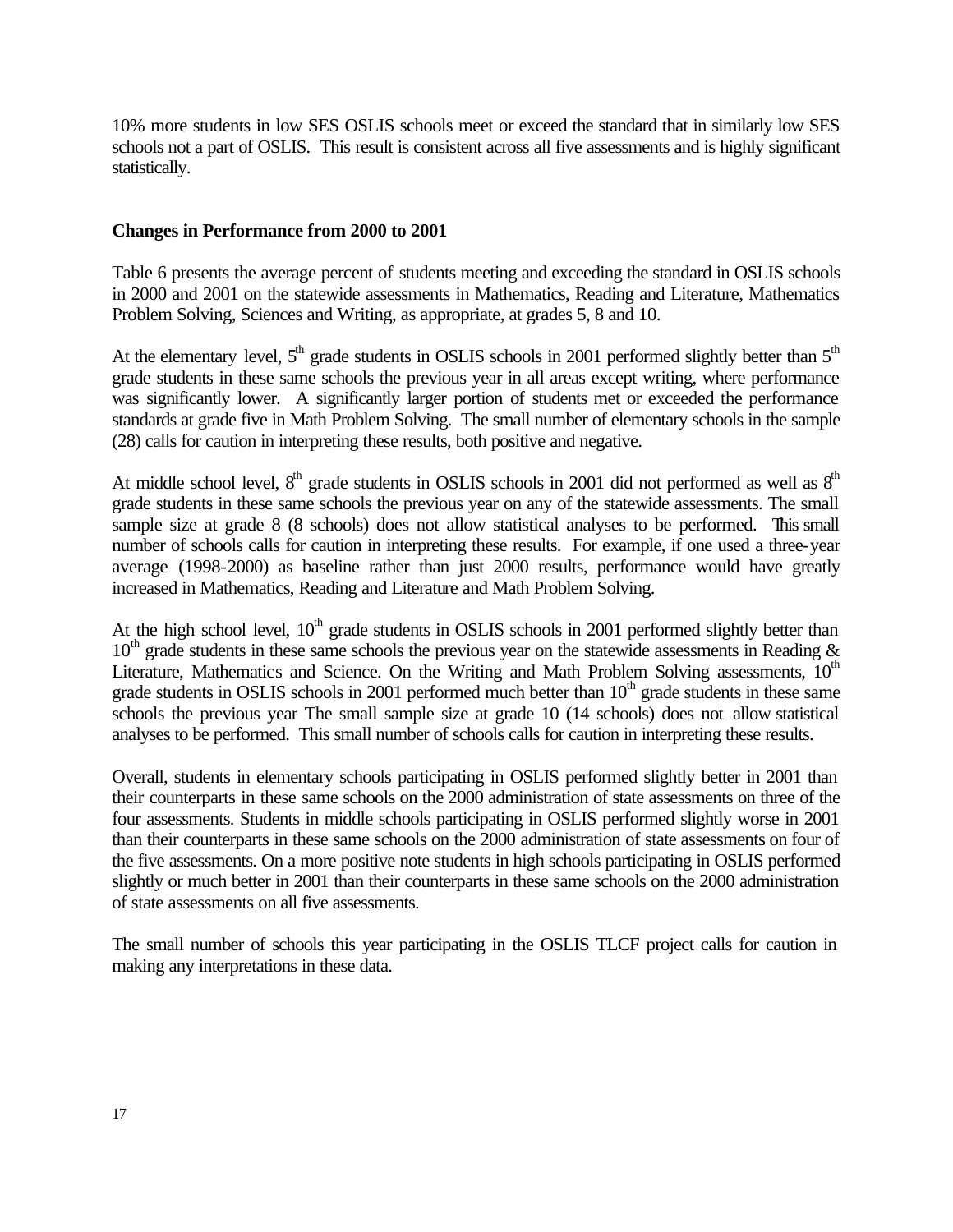10% more students in low SES OSLIS schools meet or exceed the standard that in similarly low SES schools not a part of OSLIS. This result is consistent across all five assessments and is highly significant statistically.

## **Changes in Performance from 2000 to 2001**

Table 6 presents the average percent of students meeting and exceeding the standard in OSLIS schools in 2000 and 2001 on the statewide assessments in Mathematics, Reading and Literature, Mathematics Problem Solving, Sciences and Writing, as appropriate, at grades 5, 8 and 10.

At the elementary level,  $5<sup>th</sup>$  grade students in OSLIS schools in 2001 performed slightly better than  $5<sup>th</sup>$ grade students in these same schools the previous year in all areas except writing, where performance was significantly lower. A significantly larger portion of students met or exceeded the performance standards at grade five in Math Problem Solving. The small number of elementary schools in the sample (28) calls for caution in interpreting these results, both positive and negative.

At middle school level,  $8<sup>th</sup>$  grade students in OSLIS schools in 2001 did not performed as well as  $8<sup>th</sup>$ grade students in these same schools the previous year on any of the statewide assessments. The small sample size at grade 8 (8 schools) does not allow statistical analyses to be performed. This small number of schools calls for caution in interpreting these results. For example, if one used a three-year average (1998-2000) as baseline rather than just 2000 results, performance would have greatly increased in Mathematics, Reading and Literature and Math Problem Solving.

At the high school level,  $10<sup>th</sup>$  grade students in OSLIS schools in 2001 performed slightly better than  $10<sup>th</sup>$  grade students in these same schools the previous year on the statewide assessments in Reading  $\&$ Literature, Mathematics and Science. On the Writing and Math Problem Solving assessments,  $10<sup>th</sup>$ grade students in OSLIS schools in 2001 performed much better than  $10<sup>th</sup>$  grade students in these same schools the previous year The small sample size at grade 10 (14 schools) does not allow statistical analyses to be performed. This small number of schools calls for caution in interpreting these results.

Overall, students in elementary schools participating in OSLIS performed slightly better in 2001 than their counterparts in these same schools on the 2000 administration of state assessments on three of the four assessments. Students in middle schools participating in OSLIS performed slightly worse in 2001 than their counterparts in these same schools on the 2000 administration of state assessments on four of the five assessments. On a more positive note students in high schools participating in OSLIS performed slightly or much better in 2001 than their counterparts in these same schools on the 2000 administration of state assessments on all five assessments.

The small number of schools this year participating in the OSLIS TLCF project calls for caution in making any interpretations in these data.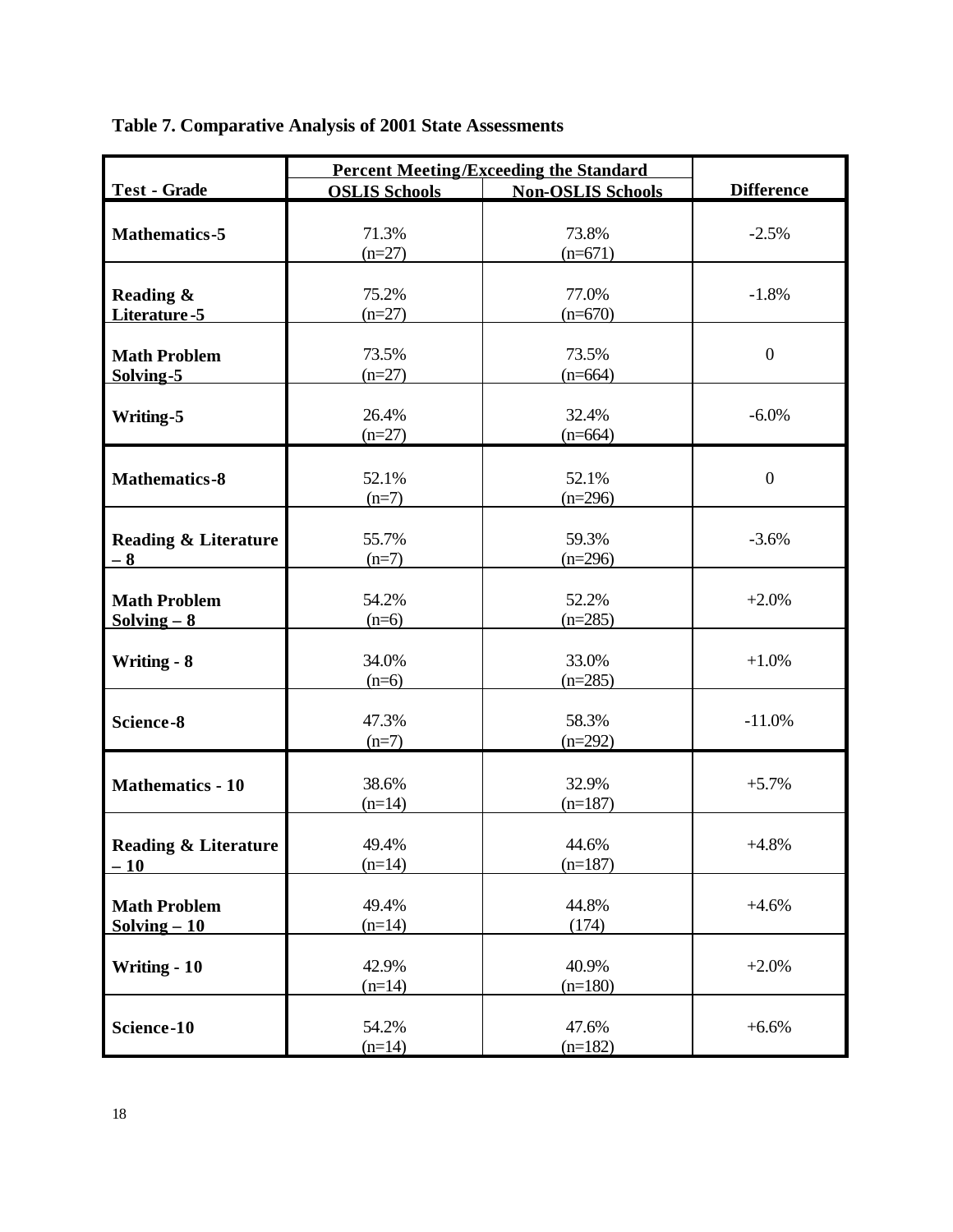|                                      |                      | <b>Percent Meeting/Exceeding the Standard</b> |                   |
|--------------------------------------|----------------------|-----------------------------------------------|-------------------|
| <b>Test - Grade</b>                  | <b>OSLIS Schools</b> | <b>Non-OSLIS Schools</b>                      | <b>Difference</b> |
|                                      |                      |                                               |                   |
| <b>Mathematics-5</b>                 | 71.3%                | 73.8%                                         | $-2.5%$           |
|                                      | $(n=27)$             | $(n=671)$                                     |                   |
|                                      |                      |                                               |                   |
| Reading &                            | 75.2%                | 77.0%                                         | $-1.8%$           |
| Literature-5                         | $(n=27)$             | $(n=670)$                                     |                   |
| <b>Math Problem</b>                  | 73.5%                | 73.5%                                         | $\boldsymbol{0}$  |
| Solving-5                            | $(n=27)$             | $(n=664)$                                     |                   |
|                                      |                      |                                               |                   |
| Writing-5                            | 26.4%                | 32.4%                                         | $-6.0\%$          |
|                                      | $(n=27)$             | $(n=664)$                                     |                   |
|                                      |                      |                                               |                   |
| <b>Mathematics-8</b>                 | 52.1%                | 52.1%                                         | $\overline{0}$    |
|                                      | $(n=7)$              | $(n=296)$                                     |                   |
|                                      |                      |                                               |                   |
| <b>Reading &amp; Literature</b>      | 55.7%                | 59.3%                                         | $-3.6%$           |
| $-8$                                 | $(n=7)$              | $(n=296)$                                     |                   |
|                                      | 54.2%                | 52.2%                                         | $+2.0%$           |
| <b>Math Problem</b><br>$Solving - 8$ | $(n=6)$              | $(n=285)$                                     |                   |
|                                      |                      |                                               |                   |
| <b>Writing - 8</b>                   | 34.0%                | 33.0%                                         | $+1.0%$           |
|                                      | $(n=6)$              | $(n=285)$                                     |                   |
|                                      |                      |                                               |                   |
| Science-8                            | 47.3%                | 58.3%                                         | $-11.0%$          |
|                                      | $(n=7)$              | $(n=292)$                                     |                   |
|                                      |                      |                                               |                   |
| <b>Mathematics - 10</b>              | 38.6%                | 32.9%                                         | $+5.7%$           |
|                                      | $(n=14)$             | $(n=187)$                                     |                   |
|                                      |                      |                                               |                   |
| Reading & Literature                 | 49.4%                | 44.6%                                         | $+4.8%$           |
| $-10$                                | $(n=14)$             | $(n=187)$                                     |                   |
| <b>Math Problem</b>                  | 49.4%                | 44.8%                                         | $+4.6%$           |
| $Solving - 10$                       | $(n=14)$             | (174)                                         |                   |
|                                      |                      |                                               |                   |
| Writing - 10                         | 42.9%                | 40.9%                                         | $+2.0%$           |
|                                      | $(n=14)$             | $(n=180)$                                     |                   |
|                                      |                      |                                               |                   |
| Science-10                           | 54.2%                | 47.6%                                         | $+6.6%$           |
|                                      | $(n=14)$             | $(n=182)$                                     |                   |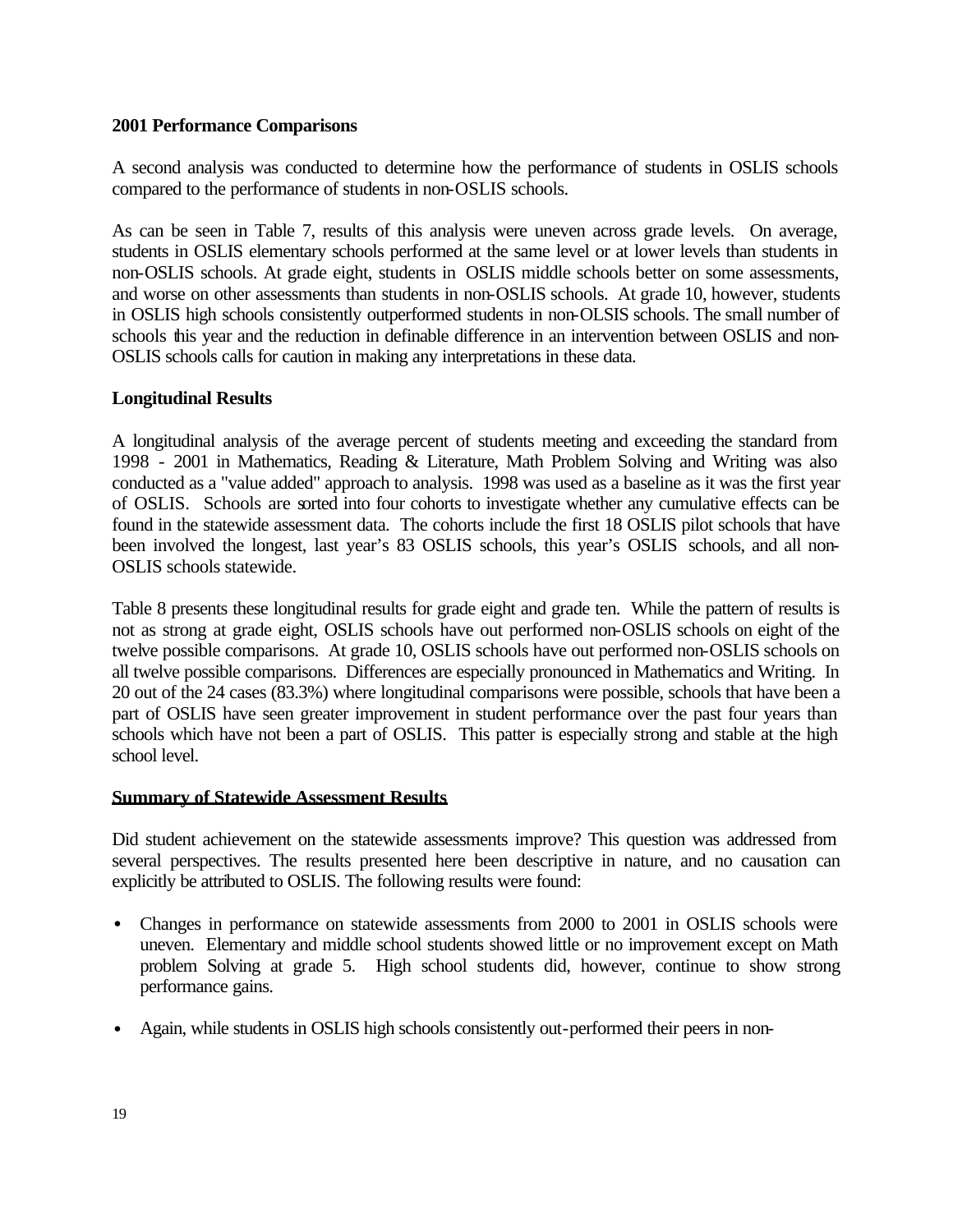## **2001 Performance Comparisons**

A second analysis was conducted to determine how the performance of students in OSLIS schools compared to the performance of students in non-OSLIS schools.

As can be seen in Table 7, results of this analysis were uneven across grade levels. On average, students in OSLIS elementary schools performed at the same level or at lower levels than students in non-OSLIS schools. At grade eight, students in OSLIS middle schools better on some assessments, and worse on other assessments than students in non-OSLIS schools. At grade 10, however, students in OSLIS high schools consistently outperformed students in non-OLSIS schools. The small number of schools this year and the reduction in definable difference in an intervention between OSLIS and non-OSLIS schools calls for caution in making any interpretations in these data.

## **Longitudinal Results**

A longitudinal analysis of the average percent of students meeting and exceeding the standard from 1998 - 2001 in Mathematics, Reading & Literature, Math Problem Solving and Writing was also conducted as a "value added" approach to analysis. 1998 was used as a baseline as it was the first year of OSLIS. Schools are sorted into four cohorts to investigate whether any cumulative effects can be found in the statewide assessment data. The cohorts include the first 18 OSLIS pilot schools that have been involved the longest, last year's 83 OSLIS schools, this year's OSLIS schools, and all non-OSLIS schools statewide.

Table 8 presents these longitudinal results for grade eight and grade ten. While the pattern of results is not as strong at grade eight, OSLIS schools have out performed non-OSLIS schools on eight of the twelve possible comparisons. At grade 10, OSLIS schools have out performed non-OSLIS schools on all twelve possible comparisons. Differences are especially pronounced in Mathematics and Writing. In 20 out of the 24 cases (83.3%) where longitudinal comparisons were possible, schools that have been a part of OSLIS have seen greater improvement in student performance over the past four years than schools which have not been a part of OSLIS. This patter is especially strong and stable at the high school level.

#### **Summary of Statewide Assessment Results**

Did student achievement on the statewide assessments improve? This question was addressed from several perspectives. The results presented here been descriptive in nature, and no causation can explicitly be attributed to OSLIS. The following results were found:

- Changes in performance on statewide assessments from 2000 to 2001 in OSLIS schools were uneven. Elementary and middle school students showed little or no improvement except on Math problem Solving at grade 5. High school students did, however, continue to show strong performance gains.
- Again, while students in OSLIS high schools consistently out-performed their peers in non-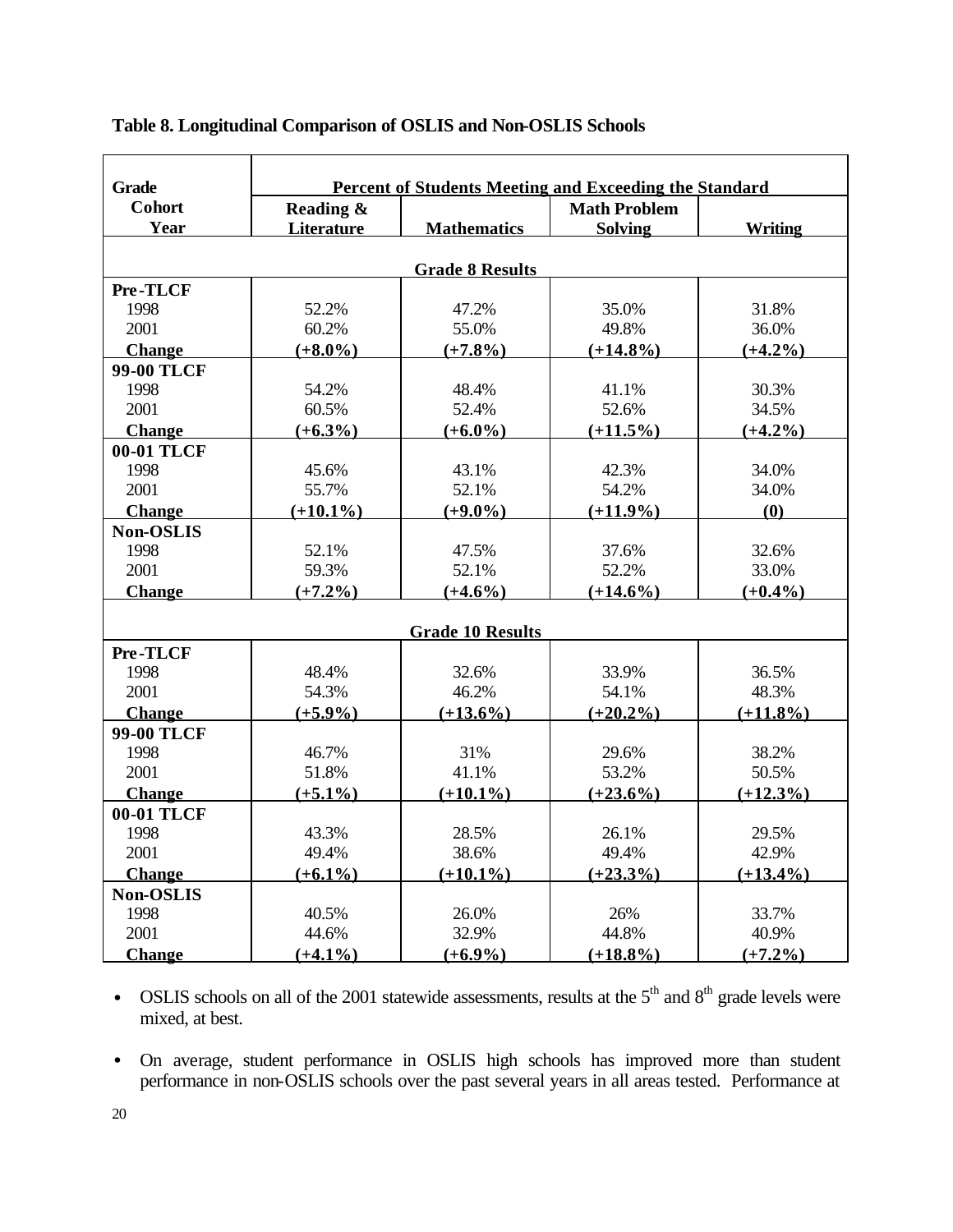| <b>Grade</b>      |             |                         | Percent of Students Meeting and Exceeding the Standard |                |
|-------------------|-------------|-------------------------|--------------------------------------------------------|----------------|
| Cohort            | Reading &   |                         | <b>Math Problem</b>                                    |                |
| Year              | Literature  | <b>Mathematics</b>      | <b>Solving</b>                                         | <b>Writing</b> |
|                   |             |                         |                                                        |                |
|                   |             | <b>Grade 8 Results</b>  |                                                        |                |
| Pre-TLCF          |             |                         |                                                        |                |
| 1998              | 52.2%       | 47.2%                   | 35.0%                                                  | 31.8%          |
| 2001              | 60.2%       | 55.0%                   | 49.8%                                                  | 36.0%          |
| <b>Change</b>     | $(+8.0\%)$  | $(+7.8\%)$              | $(+14.8\%)$                                            | $(+4.2\%)$     |
| <b>99-00 TLCF</b> |             |                         |                                                        |                |
| 1998              | 54.2%       | 48.4%                   | 41.1%                                                  | 30.3%          |
| 2001              | 60.5%       | 52.4%                   | 52.6%                                                  | 34.5%          |
| <b>Change</b>     | $(+6.3\%)$  | $(+6.0\%)$              | $(+11.5\%)$                                            | $(+4.2\%)$     |
| 00-01 TLCF        |             |                         |                                                        |                |
| 1998              | 45.6%       | 43.1%                   | 42.3%                                                  | 34.0%          |
| 2001              | 55.7%       | 52.1%                   | 54.2%                                                  | 34.0%          |
| <b>Change</b>     | $(+10.1\%)$ | $(+9.0\%)$              | $(+11.9\%)$                                            | (0)            |
| <b>Non-OSLIS</b>  |             |                         |                                                        |                |
| 1998              | 52.1%       | 47.5%                   | 37.6%                                                  | 32.6%          |
| 2001              | 59.3%       | 52.1%                   | 52.2%                                                  | 33.0%          |
| <b>Change</b>     | $(+7.2\%)$  | $(+4.6\%)$              | $(+14.6\%)$                                            | $(+0.4\%)$     |
|                   |             | <b>Grade 10 Results</b> |                                                        |                |
| Pre-TLCF          |             |                         |                                                        |                |
| 1998              | 48.4%       | 32.6%                   | 33.9%                                                  | 36.5%          |
| 2001              | 54.3%       | 46.2%                   | 54.1%                                                  | 48.3%          |
| <b>Change</b>     | $(+5.9\%)$  | $(+13.6\%)$             | $(+20.2\%)$                                            | $(+11.8\%)$    |
| <b>99-00 TLCF</b> |             |                         |                                                        |                |
| 1998              | 46.7%       | 31%                     | 29.6%                                                  | 38.2%          |
| 2001              | 51.8%       | 41.1%                   | 53.2%                                                  | 50.5%          |
| <b>Change</b>     | $(+5.1\%)$  | $(+10.1\%)$             | $(+23.6\%)$                                            | $(+12.3\%)$    |
| 00-01 TLCF        |             |                         |                                                        |                |
| 1998              | 43.3%       | 28.5%                   | 26.1%                                                  | 29.5%          |
| 2001              | 49.4%       | 38.6%                   | 49.4%                                                  | 42.9%          |
| <b>Change</b>     | $(+6.1\%)$  | $(+10.1\%)$             | $(+23.3\%)$                                            | $(+13.4\%)$    |
| <b>Non-OSLIS</b>  |             |                         |                                                        |                |
| 1998              | 40.5%       | 26.0%                   | 26%                                                    | 33.7%          |
| 2001              | 44.6%       | 32.9%                   | 44.8%                                                  | 40.9%          |
| Change            | $(+4.1\%)$  | $(+6.9\%)$              | $(+18.8\%)$                                            | $(+7.2\%)$     |

## **Table 8. Longitudinal Comparison of OSLIS and Non-OSLIS Schools**

• OSLIS schools on all of the 2001 statewide assessments, results at the  $5<sup>th</sup>$  and  $8<sup>th</sup>$  grade levels were mixed, at best.

• On average, student performance in OSLIS high schools has improved more than student performance in non-OSLIS schools over the past several years in all areas tested. Performance at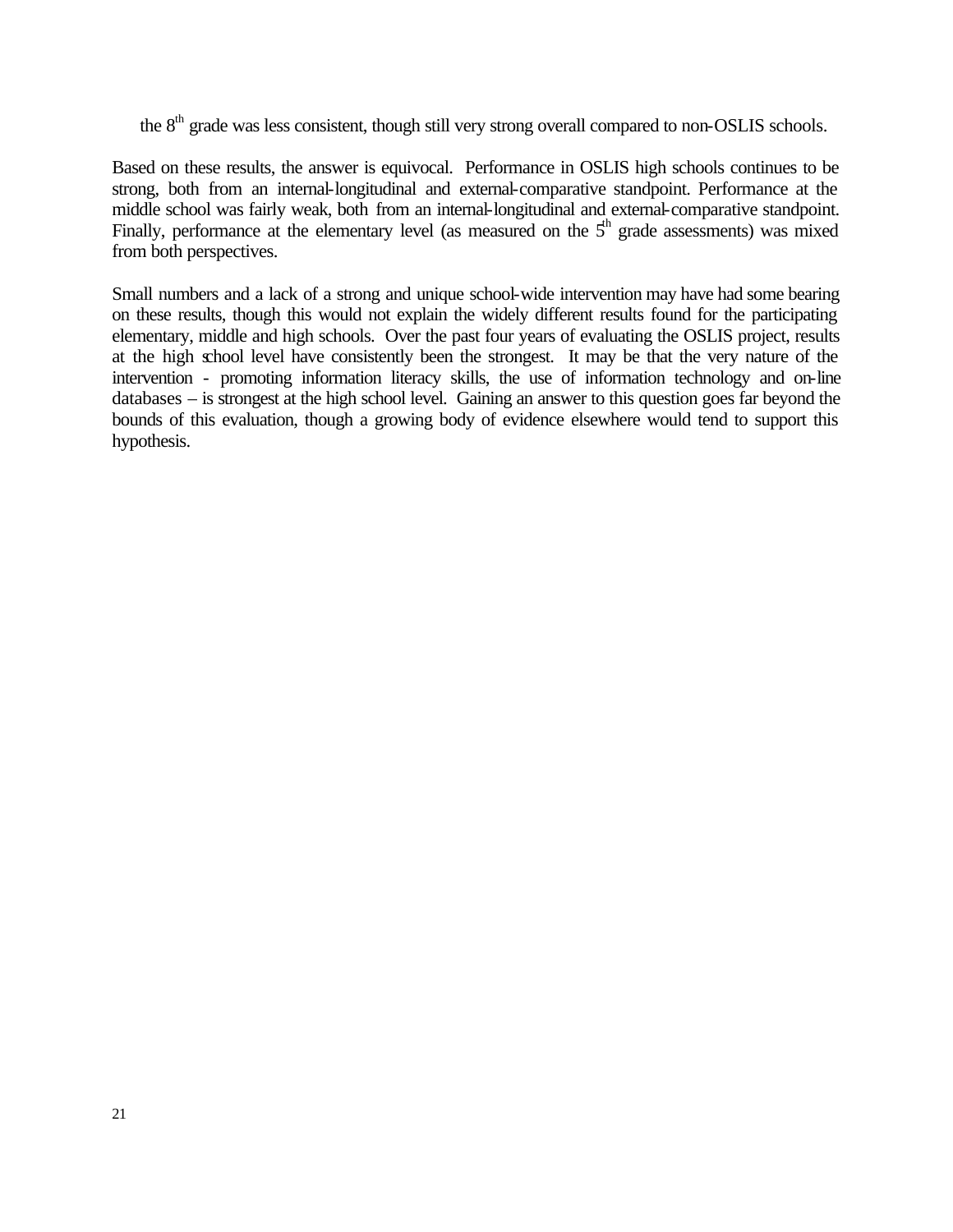the 8<sup>th</sup> grade was less consistent, though still very strong overall compared to non-OSLIS schools.

Based on these results, the answer is equivocal. Performance in OSLIS high schools continues to be strong, both from an internal-longitudinal and external-comparative standpoint. Performance at the middle school was fairly weak, both from an internal-longitudinal and external-comparative standpoint. Finally, performance at the elementary level (as measured on the  $5<sup>th</sup>$  grade assessments) was mixed from both perspectives.

Small numbers and a lack of a strong and unique school-wide intervention may have had some bearing on these results, though this would not explain the widely different results found for the participating elementary, middle and high schools. Over the past four years of evaluating the OSLIS project, results at the high school level have consistently been the strongest. It may be that the very nature of the intervention - promoting information literacy skills, the use of information technology and on-line databases – is strongest at the high school level. Gaining an answer to this question goes far beyond the bounds of this evaluation, though a growing body of evidence elsewhere would tend to support this hypothesis.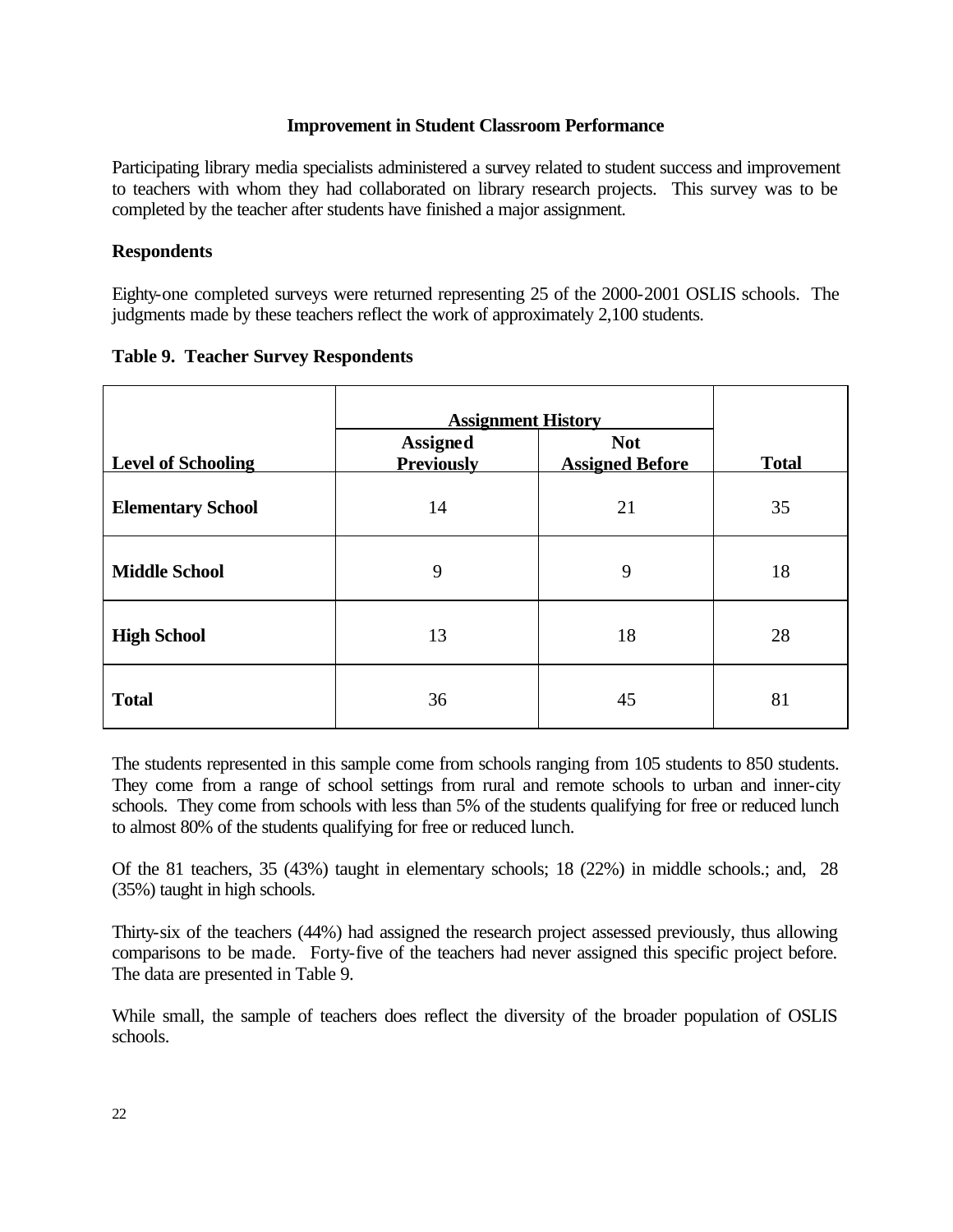## **Improvement in Student Classroom Performance**

Participating library media specialists administered a survey related to student success and improvement to teachers with whom they had collaborated on library research projects. This survey was to be completed by the teacher after students have finished a major assignment.

## **Respondents**

Eighty-one completed surveys were returned representing 25 of the 2000-2001 OSLIS schools. The judgments made by these teachers reflect the work of approximately 2,100 students.

|                           | <b>Assignment History</b>            |                                      |              |
|---------------------------|--------------------------------------|--------------------------------------|--------------|
| <b>Level of Schooling</b> | <b>Assigned</b><br><b>Previously</b> | <b>Not</b><br><b>Assigned Before</b> | <b>Total</b> |
| <b>Elementary School</b>  | 14                                   | 21                                   | 35           |
| <b>Middle School</b>      | 9                                    | 9                                    | 18           |
| <b>High School</b>        | 13                                   | 18                                   | 28           |
| <b>Total</b>              | 36                                   | 45                                   | 81           |

## **Table 9. Teacher Survey Respondents**

The students represented in this sample come from schools ranging from 105 students to 850 students. They come from a range of school settings from rural and remote schools to urban and inner-city schools. They come from schools with less than 5% of the students qualifying for free or reduced lunch to almost 80% of the students qualifying for free or reduced lunch.

Of the 81 teachers, 35 (43%) taught in elementary schools; 18 (22%) in middle schools.; and, 28 (35%) taught in high schools.

Thirty-six of the teachers (44%) had assigned the research project assessed previously, thus allowing comparisons to be made. Forty-five of the teachers had never assigned this specific project before. The data are presented in Table 9.

While small, the sample of teachers does reflect the diversity of the broader population of OSLIS schools.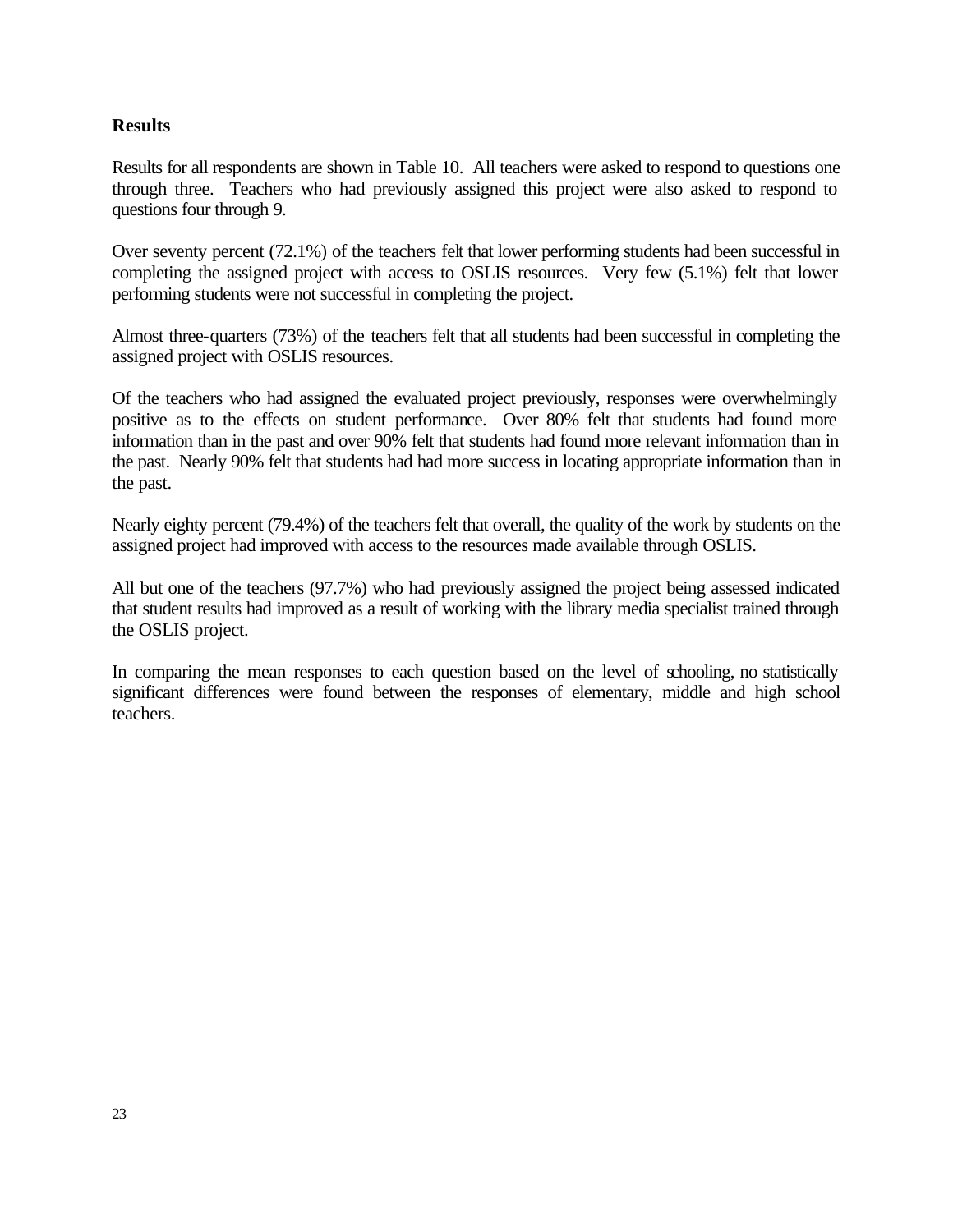## **Results**

Results for all respondents are shown in Table 10. All teachers were asked to respond to questions one through three. Teachers who had previously assigned this project were also asked to respond to questions four through 9.

Over seventy percent (72.1%) of the teachers felt that lower performing students had been successful in completing the assigned project with access to OSLIS resources. Very few (5.1%) felt that lower performing students were not successful in completing the project.

Almost three-quarters (73%) of the teachers felt that all students had been successful in completing the assigned project with OSLIS resources.

Of the teachers who had assigned the evaluated project previously, responses were overwhelmingly positive as to the effects on student performance. Over 80% felt that students had found more information than in the past and over 90% felt that students had found more relevant information than in the past. Nearly 90% felt that students had had more success in locating appropriate information than in the past.

Nearly eighty percent (79.4%) of the teachers felt that overall, the quality of the work by students on the assigned project had improved with access to the resources made available through OSLIS.

All but one of the teachers (97.7%) who had previously assigned the project being assessed indicated that student results had improved as a result of working with the library media specialist trained through the OSLIS project.

In comparing the mean responses to each question based on the level of schooling, no statistically significant differences were found between the responses of elementary, middle and high school teachers.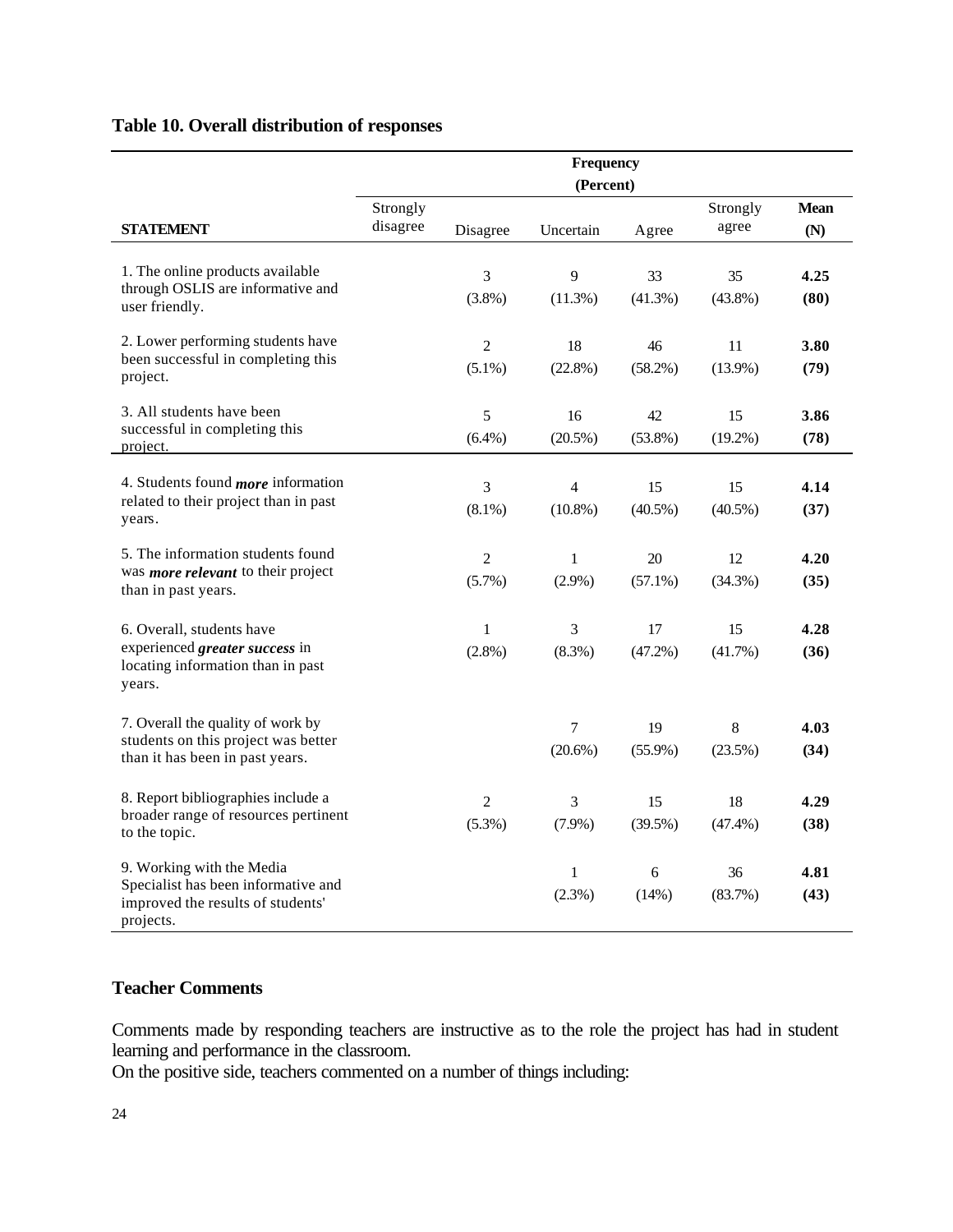## **Table 10. Overall distribution of responses**

|                                                                                       |                      |                | Frequency<br>(Percent) |            |                   |                    |
|---------------------------------------------------------------------------------------|----------------------|----------------|------------------------|------------|-------------------|--------------------|
| STATEMENT                                                                             | Strongly<br>disagree | Disagree       | Uncertain              | Agree      | Strongly<br>agree | <b>Mean</b><br>(N) |
|                                                                                       |                      |                |                        |            |                   |                    |
| 1. The online products available                                                      |                      | 3              | 9                      | 33         | 35                | 4.25               |
| through OSLIS are informative and<br>user friendly.                                   |                      | $(3.8\%)$      | (11.3%)                | $(41.3\%)$ | $(43.8\%)$        | (80)               |
| 2. Lower performing students have                                                     |                      | $\overline{c}$ | 18                     | 46         | 11                | 3.80               |
| been successful in completing this<br>project.                                        |                      | $(5.1\%)$      | $(22.8\%)$             | (58.2%)    | $(13.9\%)$        | (79)               |
| 3. All students have been                                                             |                      | 5              | 16                     | 42         | 15                | 3.86               |
| successful in completing this<br><u>project.</u>                                      |                      | $(6.4\%)$      | $(20.5\%)$             | $(53.8\%)$ | $(19.2\%)$        | (78)               |
| 4. Students found <i>more</i> information                                             |                      | 3              | 4                      | 15         | 15                | 4.14               |
| related to their project than in past<br>years.                                       |                      | $(8.1\%)$      | $(10.8\%)$             | $(40.5\%)$ | $(40.5\%)$        | (37)               |
| 5. The information students found                                                     |                      | $\overline{c}$ | $\mathbf{1}$           | 20         | 12                | 4.20               |
| was <i>more relevant</i> to their project<br>than in past years.                      |                      | $(5.7\%)$      | $(2.9\%)$              | $(57.1\%)$ | $(34.3\%)$        | (35)               |
| 6. Overall, students have                                                             |                      | $\mathbf{1}$   | 3                      | 17         | 15                | 4.28               |
| experienced greater success in<br>locating information than in past<br>years.         |                      | $(2.8\%)$      | $(8.3\%)$              | $(47.2\%)$ | (41.7%)           | (36)               |
| 7. Overall the quality of work by                                                     |                      |                | $\tau$                 | 19         | 8                 | 4.03               |
| students on this project was better<br>than it has been in past years.                |                      |                | $(20.6\%)$             | $(55.9\%)$ | (23.5%)           | (34)               |
| 8. Report bibliographies include a                                                    |                      | $\overline{c}$ | 3                      | 15         | 18                | 4.29               |
| broader range of resources pertinent<br>to the topic.                                 |                      | $(5.3\%)$      | $(7.9\%)$              | $(39.5\%)$ | (47.4%)           | (38)               |
| 9. Working with the Media                                                             |                      |                | $\mathbf{1}$           | 6          | 36                | 4.81               |
| Specialist has been informative and<br>improved the results of students'<br>projects. |                      |                | $(2.3\%)$              | (14%)      | (83.7%)           | (43)               |

## **Teacher Comments**

Comments made by responding teachers are instructive as to the role the project has had in student learning and performance in the classroom.

On the positive side, teachers commented on a number of things including: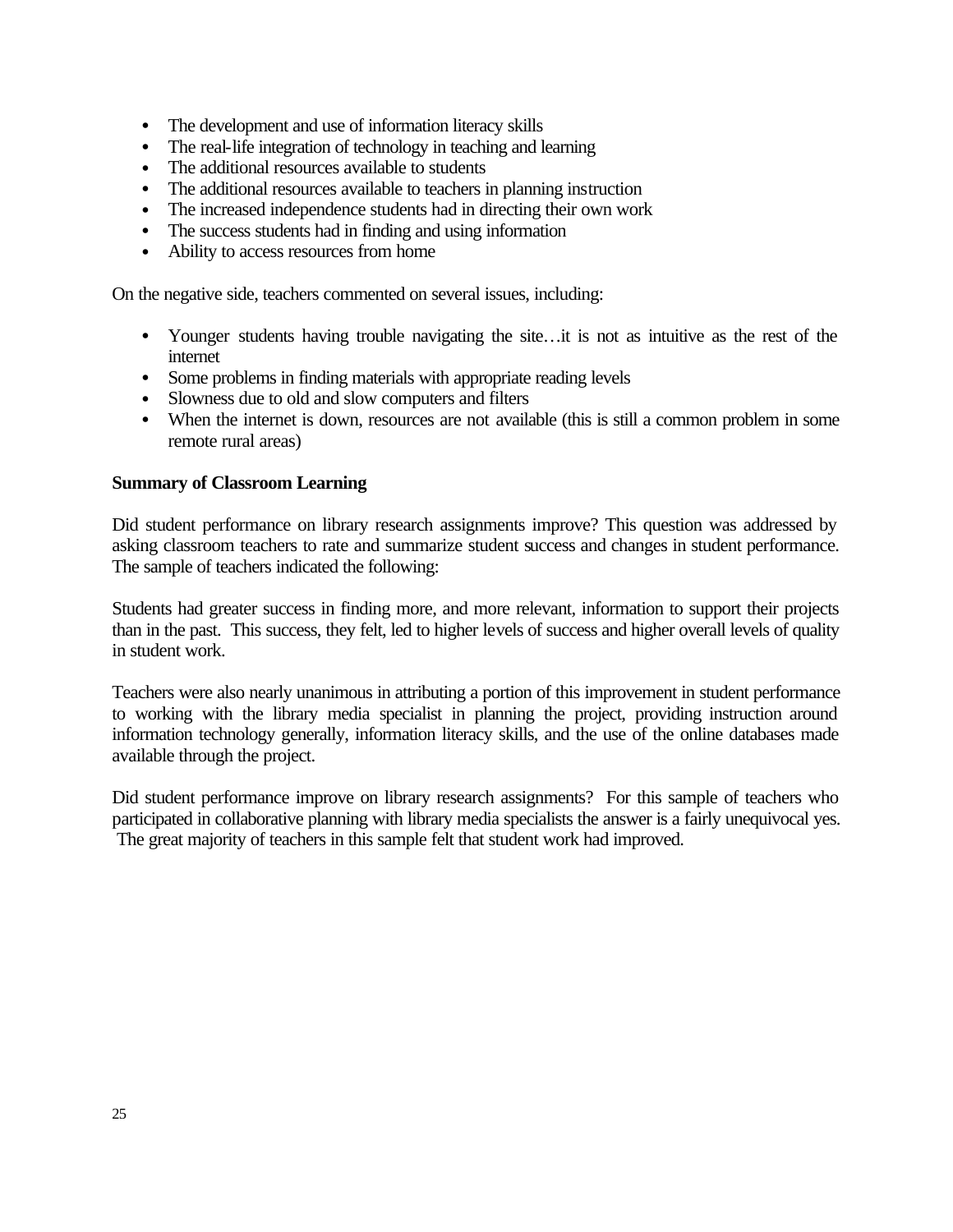- The development and use of information literacy skills
- The real-life integration of technology in teaching and learning
- The additional resources available to students
- The additional resources available to teachers in planning instruction
- The increased independence students had in directing their own work
- The success students had in finding and using information
- Ability to access resources from home

On the negative side, teachers commented on several issues, including:

- Younger students having trouble navigating the site... it is not as intuitive as the rest of the internet
- Some problems in finding materials with appropriate reading levels
- Slowness due to old and slow computers and filters
- When the internet is down, resources are not available (this is still a common problem in some remote rural areas)

## **Summary of Classroom Learning**

Did student performance on library research assignments improve? This question was addressed by asking classroom teachers to rate and summarize student success and changes in student performance. The sample of teachers indicated the following:

Students had greater success in finding more, and more relevant, information to support their projects than in the past. This success, they felt, led to higher levels of success and higher overall levels of quality in student work.

Teachers were also nearly unanimous in attributing a portion of this improvement in student performance to working with the library media specialist in planning the project, providing instruction around information technology generally, information literacy skills, and the use of the online databases made available through the project.

Did student performance improve on library research assignments? For this sample of teachers who participated in collaborative planning with library media specialists the answer is a fairly unequivocal yes. The great majority of teachers in this sample felt that student work had improved.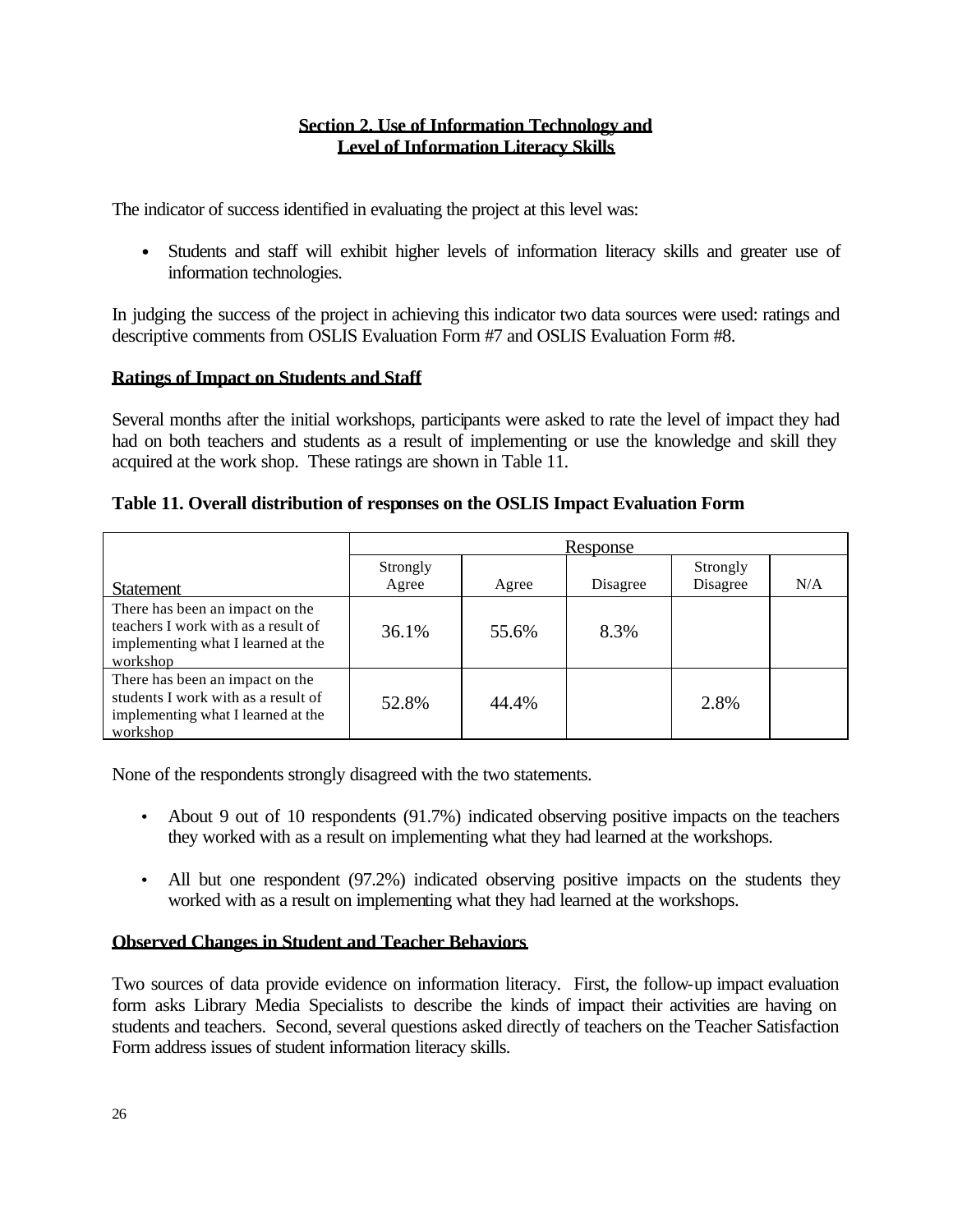## **Section 2. Use of Information Technology and Level of Information Literacy Skills**

The indicator of success identified in evaluating the project at this level was:

• Students and staff will exhibit higher levels of information literacy skills and greater use of information technologies.

In judging the success of the project in achieving this indicator two data sources were used: ratings and descriptive comments from OSLIS Evaluation Form #7 and OSLIS Evaluation Form #8.

## **Ratings of Impact on Students and Staff**

Several months after the initial workshops, participants were asked to rate the level of impact they had had on both teachers and students as a result of implementing or use the knowledge and skill they acquired at the work shop. These ratings are shown in Table 11.

## **Table 11. Overall distribution of responses on the OSLIS Impact Evaluation Form**

|                                                                                                                          | <b>Response</b>   |       |          |                      |     |  |
|--------------------------------------------------------------------------------------------------------------------------|-------------------|-------|----------|----------------------|-----|--|
| <b>Statement</b>                                                                                                         | Strongly<br>Agree | Agree | Disagree | Strongly<br>Disagree | N/A |  |
| There has been an impact on the<br>teachers I work with as a result of<br>implementing what I learned at the<br>workshop | 36.1%             | 55.6% | 8.3%     |                      |     |  |
| There has been an impact on the<br>students I work with as a result of<br>implementing what I learned at the<br>workshop | 52.8%             | 44.4% |          | 2.8%                 |     |  |

None of the respondents strongly disagreed with the two statements.

- About 9 out of 10 respondents (91.7%) indicated observing positive impacts on the teachers they worked with as a result on implementing what they had learned at the workshops.
- All but one respondent (97.2%) indicated observing positive impacts on the students they worked with as a result on implementing what they had learned at the workshops.

## **Observed Changes in Student and Teacher Behaviors**

Two sources of data provide evidence on information literacy. First, the follow-up impact evaluation form asks Library Media Specialists to describe the kinds of impact their activities are having on students and teachers. Second, several questions asked directly of teachers on the Teacher Satisfaction Form address issues of student information literacy skills.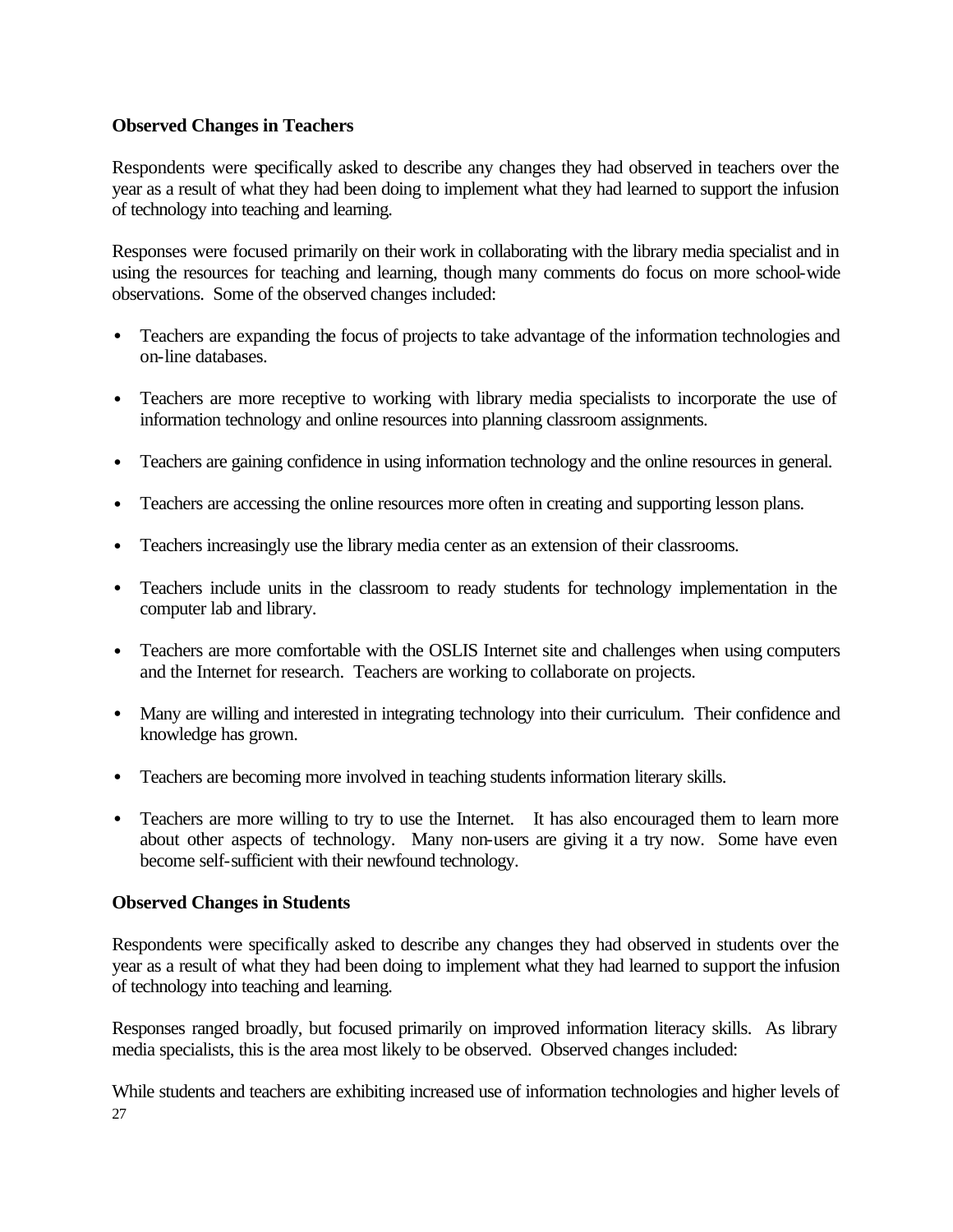## **Observed Changes in Teachers**

Respondents were specifically asked to describe any changes they had observed in teachers over the year as a result of what they had been doing to implement what they had learned to support the infusion of technology into teaching and learning.

Responses were focused primarily on their work in collaborating with the library media specialist and in using the resources for teaching and learning, though many comments do focus on more school-wide observations. Some of the observed changes included:

- Teachers are expanding the focus of projects to take advantage of the information technologies and on-line databases.
- Teachers are more receptive to working with library media specialists to incorporate the use of information technology and online resources into planning classroom assignments.
- Teachers are gaining confidence in using information technology and the online resources in general.
- Teachers are accessing the online resources more often in creating and supporting lesson plans.
- Teachers increasingly use the library media center as an extension of their classrooms.
- Teachers include units in the classroom to ready students for technology implementation in the computer lab and library.
- Teachers are more comfortable with the OSLIS Internet site and challenges when using computers and the Internet for research. Teachers are working to collaborate on projects.
- Many are willing and interested in integrating technology into their curriculum. Their confidence and knowledge has grown.
- Teachers are becoming more involved in teaching students information literary skills.
- Teachers are more willing to try to use the Internet. It has also encouraged them to learn more about other aspects of technology. Many non-users are giving it a try now. Some have even become self-sufficient with their newfound technology.

## **Observed Changes in Students**

Respondents were specifically asked to describe any changes they had observed in students over the year as a result of what they had been doing to implement what they had learned to support the infusion of technology into teaching and learning.

Responses ranged broadly, but focused primarily on improved information literacy skills. As library media specialists, this is the area most likely to be observed. Observed changes included:

27 While students and teachers are exhibiting increased use of information technologies and higher levels of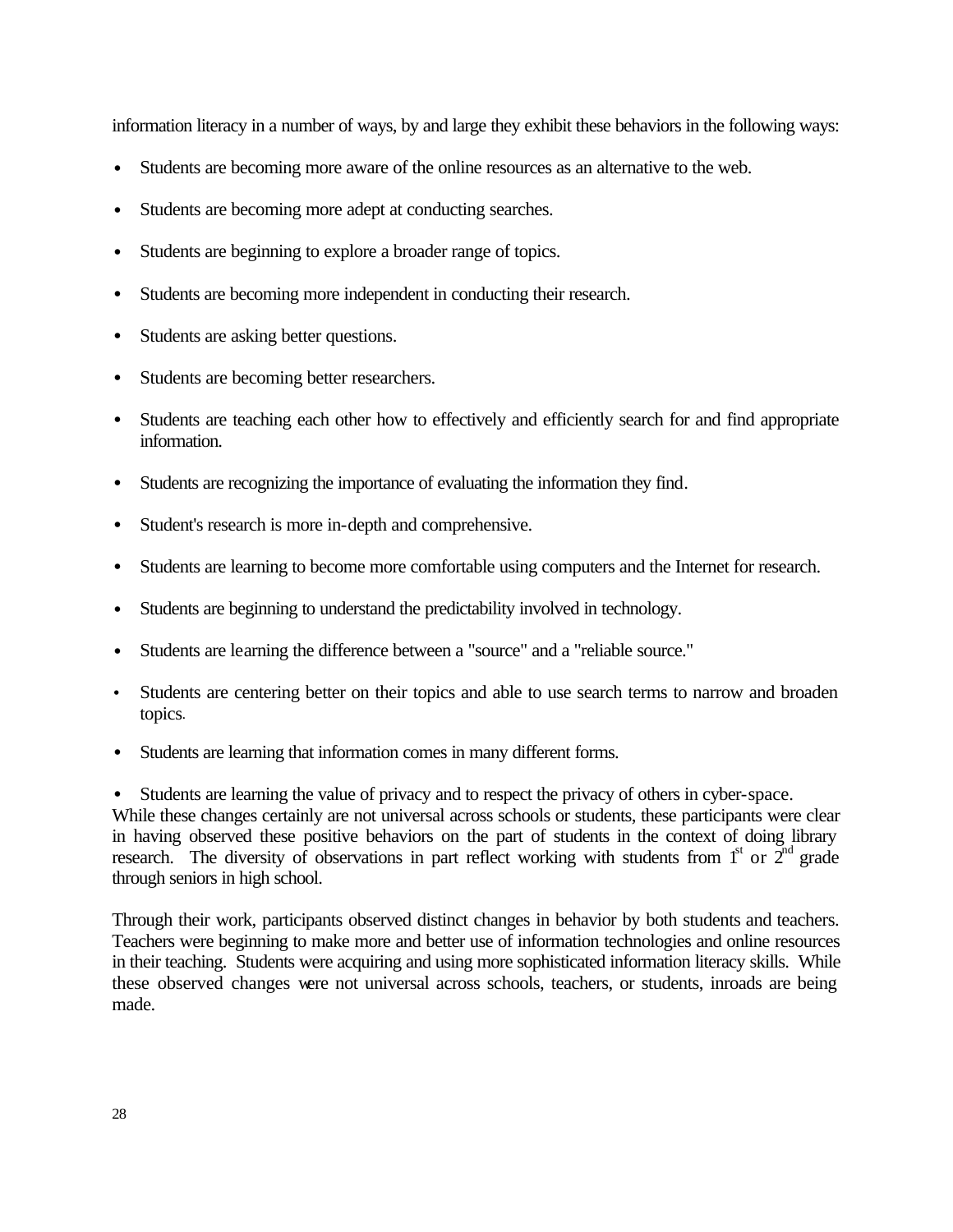information literacy in a number of ways, by and large they exhibit these behaviors in the following ways:

- Students are becoming more aware of the online resources as an alternative to the web.
- Students are becoming more adept at conducting searches.
- Students are beginning to explore a broader range of topics.
- Students are becoming more independent in conducting their research.
- Students are asking better questions.
- Students are becoming better researchers.
- Students are teaching each other how to effectively and efficiently search for and find appropriate information.
- Students are recognizing the importance of evaluating the information they find.
- Student's research is more in-depth and comprehensive.
- Students are learning to become more comfortable using computers and the Internet for research.
- Students are beginning to understand the predictability involved in technology.
- Students are learning the difference between a "source" and a "reliable source."
- Students are centering better on their topics and able to use search terms to narrow and broaden topics.
- Students are learning that information comes in many different forms.

Students are learning the value of privacy and to respect the privacy of others in cyber-space.

While these changes certainly are not universal across schools or students, these participants were clear in having observed these positive behaviors on the part of students in the context of doing library research. The diversity of observations in part reflect working with students from  $1<sup>st</sup>$  or  $2<sup>nd</sup>$  grade through seniors in high school.

Through their work, participants observed distinct changes in behavior by both students and teachers. Teachers were beginning to make more and better use of information technologies and online resources in their teaching. Students were acquiring and using more sophisticated information literacy skills. While these observed changes were not universal across schools, teachers, or students, inroads are being made.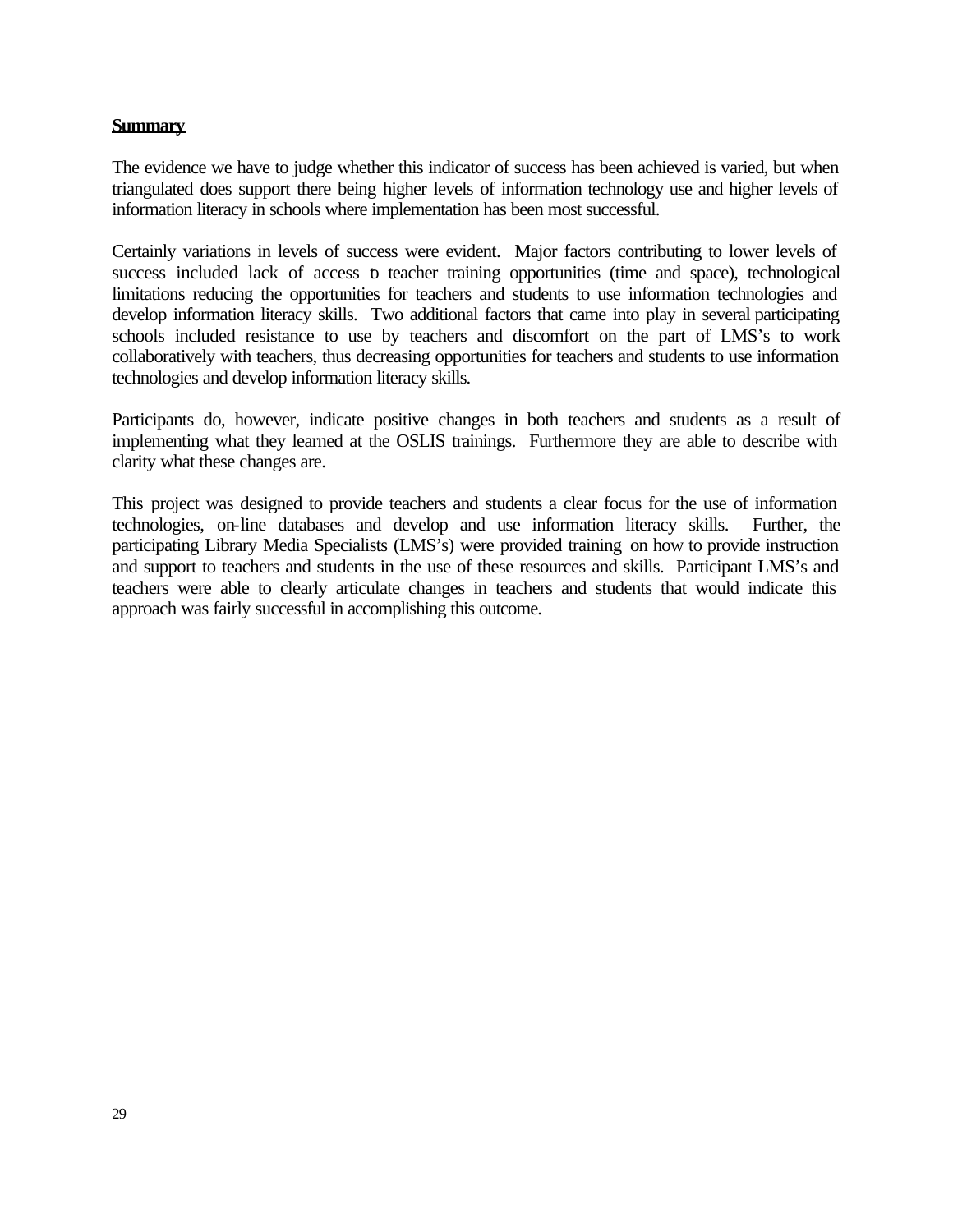## **Summary**

The evidence we have to judge whether this indicator of success has been achieved is varied, but when triangulated does support there being higher levels of information technology use and higher levels of information literacy in schools where implementation has been most successful.

Certainly variations in levels of success were evident. Major factors contributing to lower levels of success included lack of access to teacher training opportunities (time and space), technological limitations reducing the opportunities for teachers and students to use information technologies and develop information literacy skills. Two additional factors that came into play in several participating schools included resistance to use by teachers and discomfort on the part of LMS's to work collaboratively with teachers, thus decreasing opportunities for teachers and students to use information technologies and develop information literacy skills.

Participants do, however, indicate positive changes in both teachers and students as a result of implementing what they learned at the OSLIS trainings. Furthermore they are able to describe with clarity what these changes are.

This project was designed to provide teachers and students a clear focus for the use of information technologies, on-line databases and develop and use information literacy skills. Further, the participating Library Media Specialists (LMS's) were provided training on how to provide instruction and support to teachers and students in the use of these resources and skills. Participant LMS's and teachers were able to clearly articulate changes in teachers and students that would indicate this approach was fairly successful in accomplishing this outcome.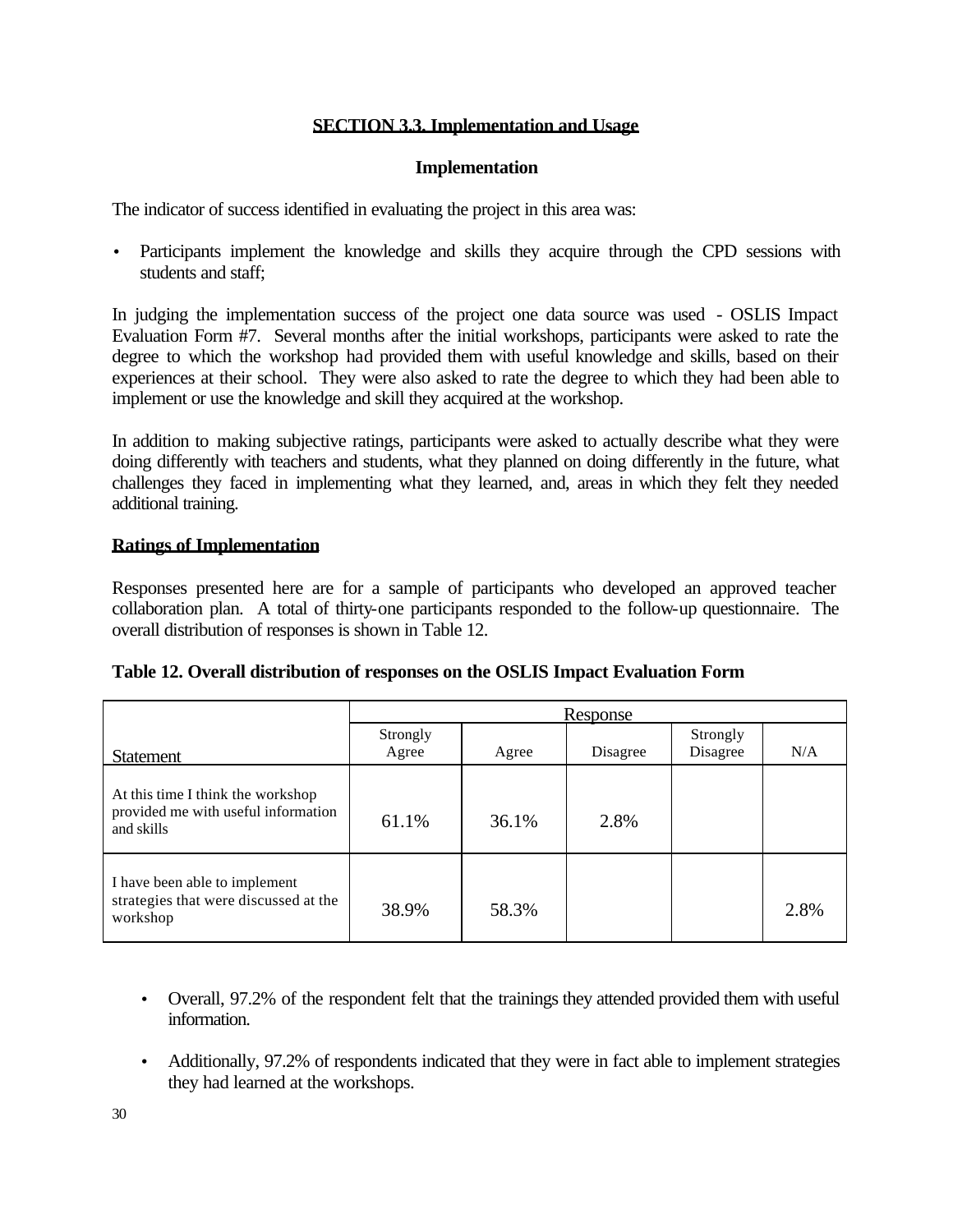## **SECTION 3.3. Implementation and Usage**

## **Implementation**

The indicator of success identified in evaluating the project in this area was:

• Participants implement the knowledge and skills they acquire through the CPD sessions with students and staff;

In judging the implementation success of the project one data source was used - OSLIS Impact Evaluation Form #7. Several months after the initial workshops, participants were asked to rate the degree to which the workshop had provided them with useful knowledge and skills, based on their experiences at their school. They were also asked to rate the degree to which they had been able to implement or use the knowledge and skill they acquired at the workshop.

In addition to making subjective ratings, participants were asked to actually describe what they were doing differently with teachers and students, what they planned on doing differently in the future, what challenges they faced in implementing what they learned, and, areas in which they felt they needed additional training.

## **Ratings of Implementation**

Responses presented here are for a sample of participants who developed an approved teacher collaboration plan. A total of thirty-one participants responded to the follow-up questionnaire. The overall distribution of responses is shown in Table 12.

|  |  | Table 12. Overall distribution of responses on the OSLIS Impact Evaluation Form |
|--|--|---------------------------------------------------------------------------------|
|  |  |                                                                                 |

|                                                                                        | <u>Response</u>   |       |          |                      |      |  |
|----------------------------------------------------------------------------------------|-------------------|-------|----------|----------------------|------|--|
| <b>Statement</b>                                                                       | Strongly<br>Agree | Agree | Disagree | Strongly<br>Disagree | N/A  |  |
| At this time I think the workshop<br>provided me with useful information<br>and skills | 61.1%             | 36.1% | 2.8%     |                      |      |  |
| I have been able to implement<br>strategies that were discussed at the<br>workshop     | 38.9%             | 58.3% |          |                      | 2.8% |  |

- Overall, 97.2% of the respondent felt that the trainings they attended provided them with useful information.
- Additionally, 97.2% of respondents indicated that they were in fact able to implement strategies they had learned at the workshops.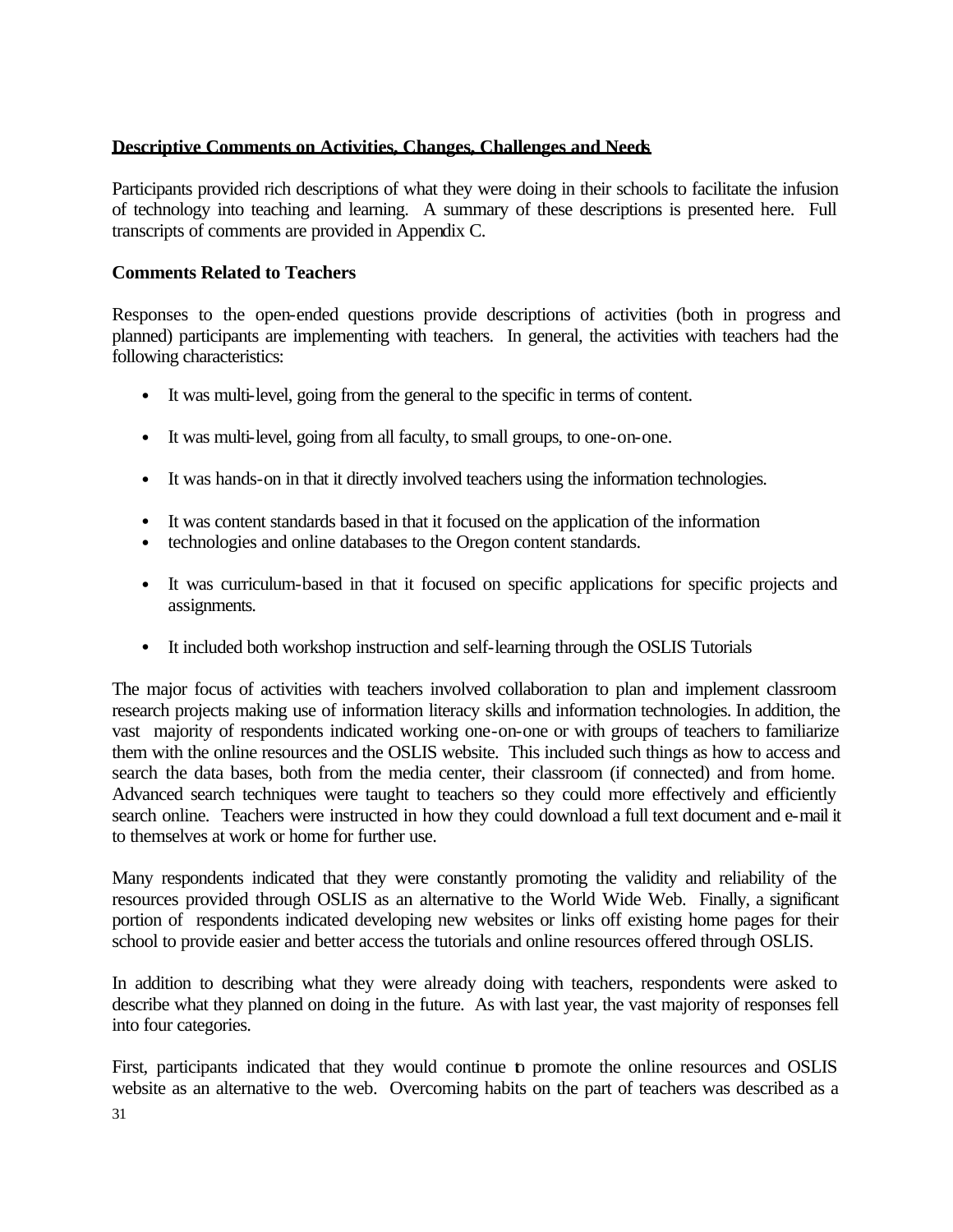## **Descriptive Comments on Activities, Changes, Challenges and Needs**

Participants provided rich descriptions of what they were doing in their schools to facilitate the infusion of technology into teaching and learning. A summary of these descriptions is presented here. Full transcripts of comments are provided in Appendix C.

## **Comments Related to Teachers**

Responses to the open-ended questions provide descriptions of activities (both in progress and planned) participants are implementing with teachers. In general, the activities with teachers had the following characteristics:

- It was multi-level, going from the general to the specific in terms of content.
- It was multi-level, going from all faculty, to small groups, to one-on-one.
- It was hands-on in that it directly involved teachers using the information technologies.
- It was content standards based in that it focused on the application of the information
- technologies and online databases to the Oregon content standards.
- It was curriculum-based in that it focused on specific applications for specific projects and assignments.
- It included both workshop instruction and self-learning through the OSLIS Tutorials

The major focus of activities with teachers involved collaboration to plan and implement classroom research projects making use of information literacy skills and information technologies. In addition, the vast majority of respondents indicated working one-on-one or with groups of teachers to familiarize them with the online resources and the OSLIS website. This included such things as how to access and search the data bases, both from the media center, their classroom (if connected) and from home. Advanced search techniques were taught to teachers so they could more effectively and efficiently search online. Teachers were instructed in how they could download a full text document and e-mail it to themselves at work or home for further use.

Many respondents indicated that they were constantly promoting the validity and reliability of the resources provided through OSLIS as an alternative to the World Wide Web. Finally, a significant portion of respondents indicated developing new websites or links off existing home pages for their school to provide easier and better access the tutorials and online resources offered through OSLIS.

In addition to describing what they were already doing with teachers, respondents were asked to describe what they planned on doing in the future. As with last year, the vast majority of responses fell into four categories.

First, participants indicated that they would continue to promote the online resources and OSLIS website as an alternative to the web. Overcoming habits on the part of teachers was described as a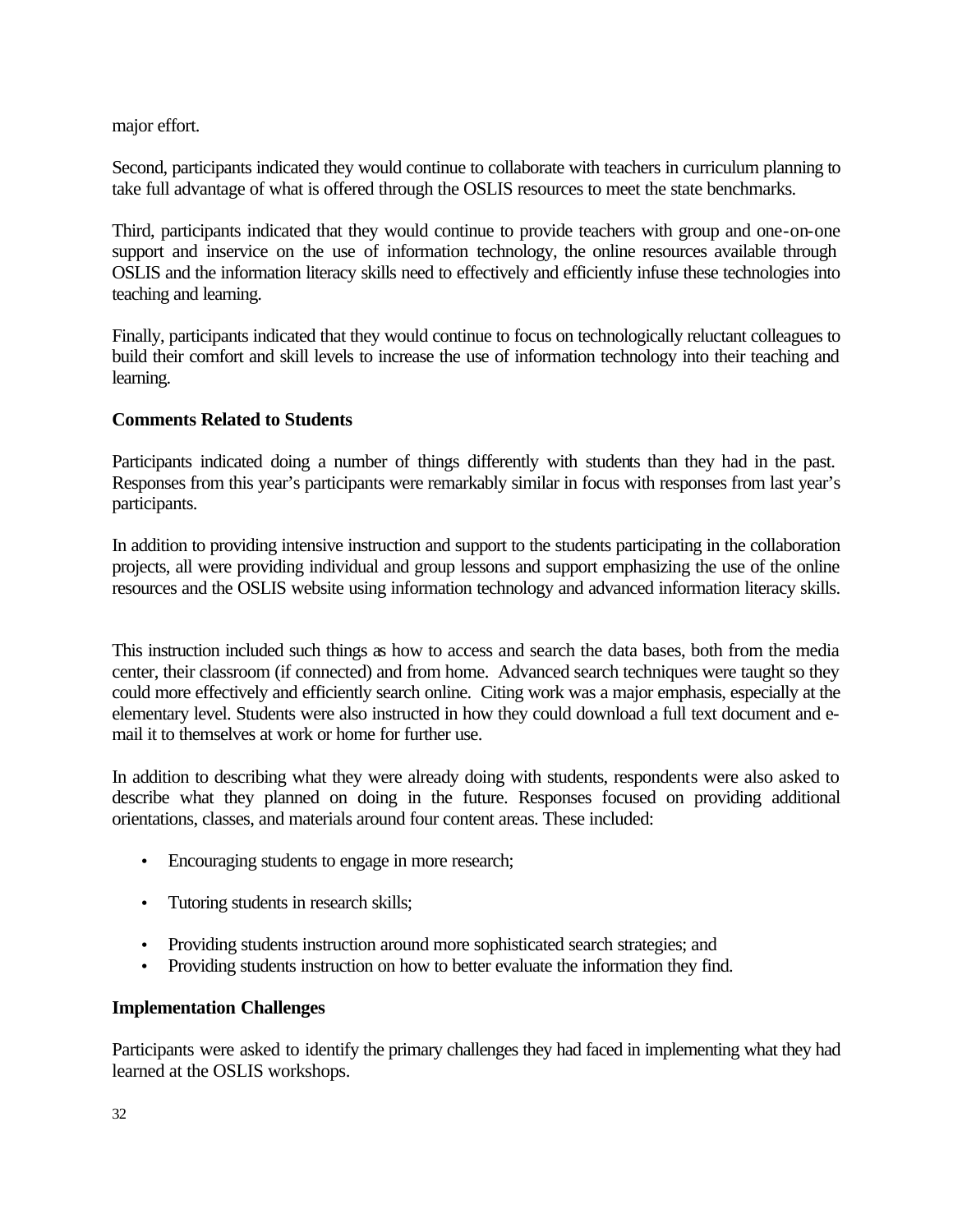major effort.

Second, participants indicated they would continue to collaborate with teachers in curriculum planning to take full advantage of what is offered through the OSLIS resources to meet the state benchmarks.

Third, participants indicated that they would continue to provide teachers with group and one-on-one support and inservice on the use of information technology, the online resources available through OSLIS and the information literacy skills need to effectively and efficiently infuse these technologies into teaching and learning.

Finally, participants indicated that they would continue to focus on technologically reluctant colleagues to build their comfort and skill levels to increase the use of information technology into their teaching and learning.

## **Comments Related to Students**

Participants indicated doing a number of things differently with students than they had in the past. Responses from this year's participants were remarkably similar in focus with responses from last year's participants.

In addition to providing intensive instruction and support to the students participating in the collaboration projects, all were providing individual and group lessons and support emphasizing the use of the online resources and the OSLIS website using information technology and advanced information literacy skills.

This instruction included such things as how to access and search the data bases, both from the media center, their classroom (if connected) and from home. Advanced search techniques were taught so they could more effectively and efficiently search online. Citing work was a major emphasis, especially at the elementary level. Students were also instructed in how they could download a full text document and email it to themselves at work or home for further use.

In addition to describing what they were already doing with students, respondents were also asked to describe what they planned on doing in the future. Responses focused on providing additional orientations, classes, and materials around four content areas. These included:

- Encouraging students to engage in more research;
- Tutoring students in research skills;
- Providing students instruction around more sophisticated search strategies; and
- Providing students instruction on how to better evaluate the information they find.

## **Implementation Challenges**

Participants were asked to identify the primary challenges they had faced in implementing what they had learned at the OSLIS workshops.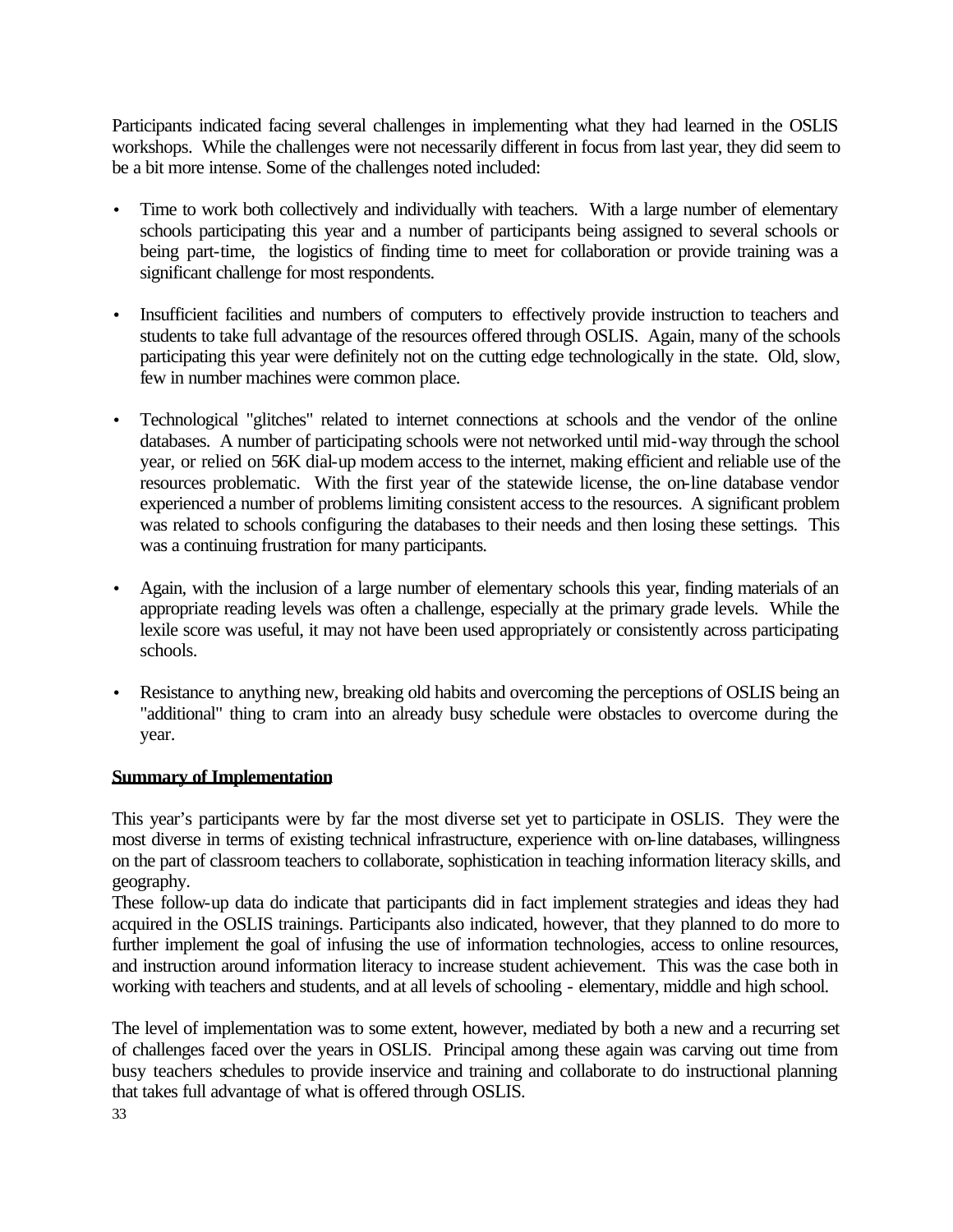Participants indicated facing several challenges in implementing what they had learned in the OSLIS workshops. While the challenges were not necessarily different in focus from last year, they did seem to be a bit more intense. Some of the challenges noted included:

- Time to work both collectively and individually with teachers. With a large number of elementary schools participating this year and a number of participants being assigned to several schools or being part-time, the logistics of finding time to meet for collaboration or provide training was a significant challenge for most respondents.
- Insufficient facilities and numbers of computers to effectively provide instruction to teachers and students to take full advantage of the resources offered through OSLIS. Again, many of the schools participating this year were definitely not on the cutting edge technologically in the state. Old, slow, few in number machines were common place.
- Technological "glitches" related to internet connections at schools and the vendor of the online databases. A number of participating schools were not networked until mid-way through the school year, or relied on 56K dial-up modem access to the internet, making efficient and reliable use of the resources problematic. With the first year of the statewide license, the on-line database vendor experienced a number of problems limiting consistent access to the resources. A significant problem was related to schools configuring the databases to their needs and then losing these settings. This was a continuing frustration for many participants.
- Again, with the inclusion of a large number of elementary schools this year, finding materials of an appropriate reading levels was often a challenge, especially at the primary grade levels. While the lexile score was useful, it may not have been used appropriately or consistently across participating schools.
- Resistance to anything new, breaking old habits and overcoming the perceptions of OSLIS being an "additional" thing to cram into an already busy schedule were obstacles to overcome during the year.

## **Summary of Implementation**

This year's participants were by far the most diverse set yet to participate in OSLIS. They were the most diverse in terms of existing technical infrastructure, experience with on-line databases, willingness on the part of classroom teachers to collaborate, sophistication in teaching information literacy skills, and geography.

These follow-up data do indicate that participants did in fact implement strategies and ideas they had acquired in the OSLIS trainings. Participants also indicated, however, that they planned to do more to further implement the goal of infusing the use of information technologies, access to online resources, and instruction around information literacy to increase student achievement. This was the case both in working with teachers and students, and at all levels of schooling - elementary, middle and high school.

The level of implementation was to some extent, however, mediated by both a new and a recurring set of challenges faced over the years in OSLIS. Principal among these again was carving out time from busy teachers schedules to provide inservice and training and collaborate to do instructional planning that takes full advantage of what is offered through OSLIS.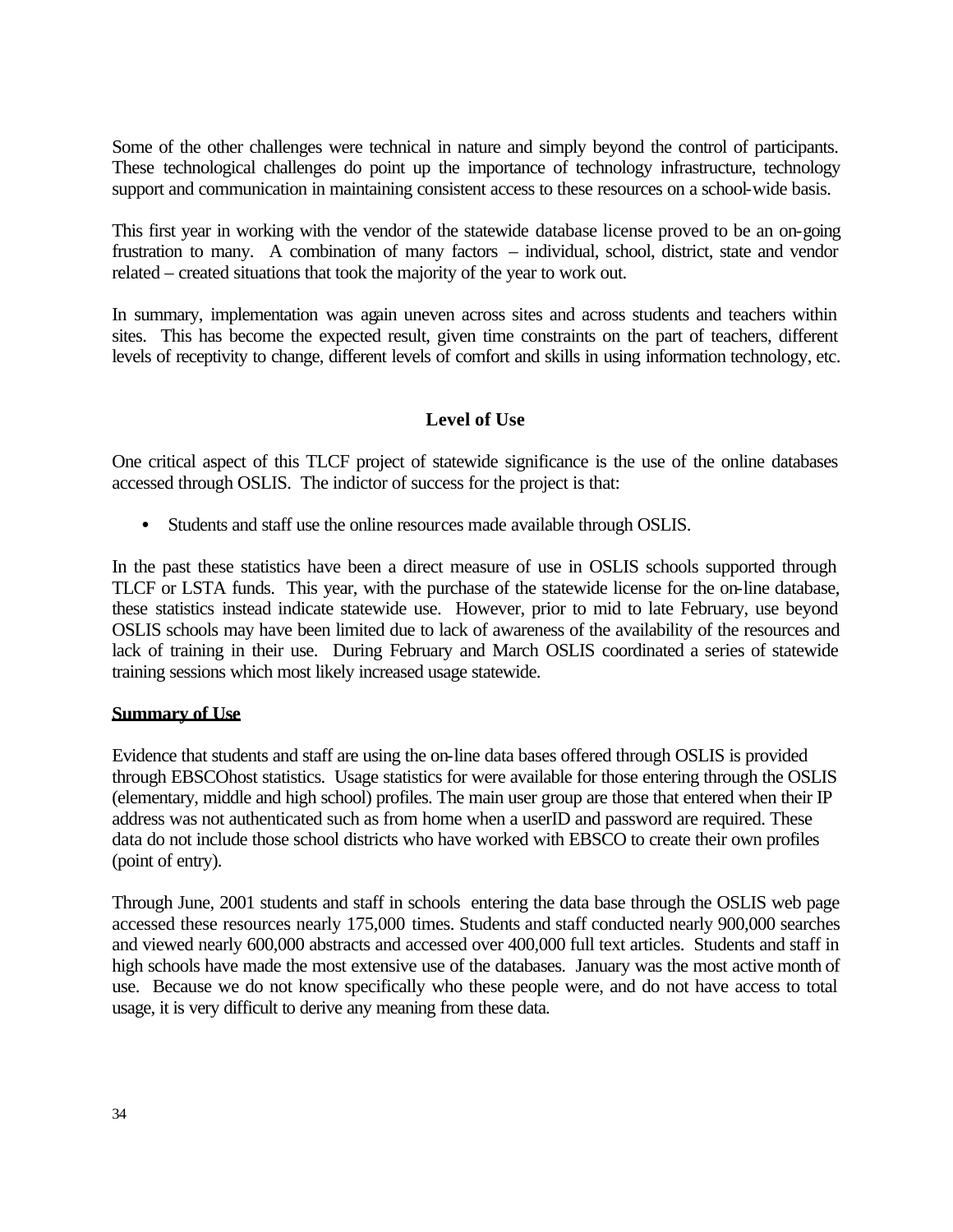Some of the other challenges were technical in nature and simply beyond the control of participants. These technological challenges do point up the importance of technology infrastructure, technology support and communication in maintaining consistent access to these resources on a school-wide basis.

This first year in working with the vendor of the statewide database license proved to be an on-going frustration to many. A combination of many factors – individual, school, district, state and vendor related – created situations that took the majority of the year to work out.

In summary, implementation was again uneven across sites and across students and teachers within sites. This has become the expected result, given time constraints on the part of teachers, different levels of receptivity to change, different levels of comfort and skills in using information technology, etc.

## **Level of Use**

One critical aspect of this TLCF project of statewide significance is the use of the online databases accessed through OSLIS. The indictor of success for the project is that:

• Students and staff use the online resources made available through OSLIS.

In the past these statistics have been a direct measure of use in OSLIS schools supported through TLCF or LSTA funds. This year, with the purchase of the statewide license for the on-line database, these statistics instead indicate statewide use. However, prior to mid to late February, use beyond OSLIS schools may have been limited due to lack of awareness of the availability of the resources and lack of training in their use. During February and March OSLIS coordinated a series of statewide training sessions which most likely increased usage statewide.

## **Summary of Use**

Evidence that students and staff are using the on-line data bases offered through OSLIS is provided through EBSCOhost statistics. Usage statistics for were available for those entering through the OSLIS (elementary, middle and high school) profiles. The main user group are those that entered when their IP address was not authenticated such as from home when a userID and password are required. These data do not include those school districts who have worked with EBSCO to create their own profiles (point of entry).

Through June, 2001 students and staff in schools entering the data base through the OSLIS web page accessed these resources nearly 175,000 times. Students and staff conducted nearly 900,000 searches and viewed nearly 600,000 abstracts and accessed over 400,000 full text articles. Students and staff in high schools have made the most extensive use of the databases. January was the most active month of use. Because we do not know specifically who these people were, and do not have access to total usage, it is very difficult to derive any meaning from these data.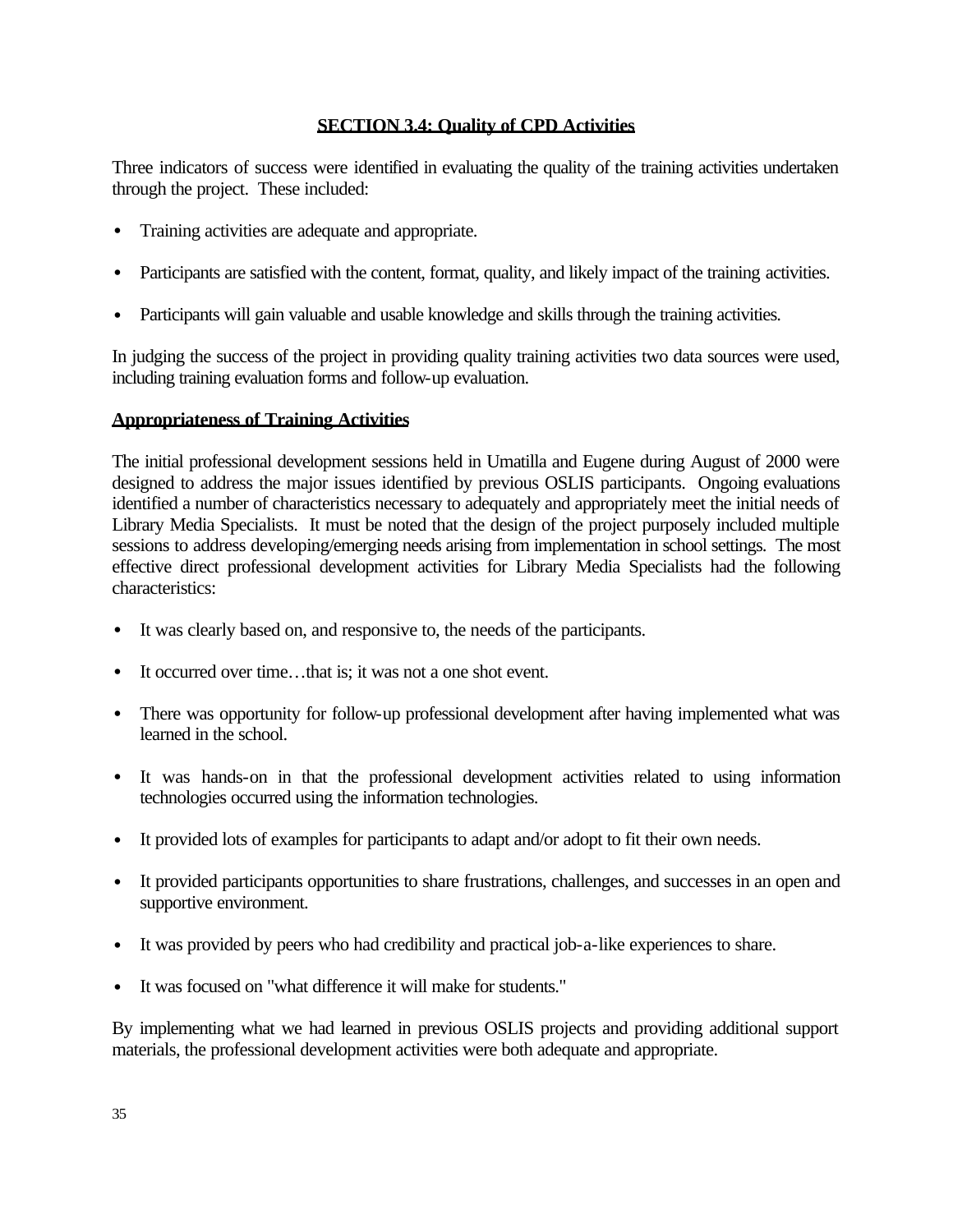## **SECTION 3.4: Quality of CPD Activities**

Three indicators of success were identified in evaluating the quality of the training activities undertaken through the project. These included:

- Training activities are adequate and appropriate.
- Participants are satisfied with the content, format, quality, and likely impact of the training activities.
- Participants will gain valuable and usable knowledge and skills through the training activities.

In judging the success of the project in providing quality training activities two data sources were used, including training evaluation forms and follow-up evaluation.

## **Appropriateness of Training Activities**

The initial professional development sessions held in Umatilla and Eugene during August of 2000 were designed to address the major issues identified by previous OSLIS participants. Ongoing evaluations identified a number of characteristics necessary to adequately and appropriately meet the initial needs of Library Media Specialists. It must be noted that the design of the project purposely included multiple sessions to address developing/emerging needs arising from implementation in school settings. The most effective direct professional development activities for Library Media Specialists had the following characteristics:

- It was clearly based on, and responsive to, the needs of the participants.
- It occurred over time...that is; it was not a one shot event.
- There was opportunity for follow-up professional development after having implemented what was learned in the school.
- It was hands-on in that the professional development activities related to using information technologies occurred using the information technologies.
- It provided lots of examples for participants to adapt and/or adopt to fit their own needs.
- It provided participants opportunities to share frustrations, challenges, and successes in an open and supportive environment.
- It was provided by peers who had credibility and practical job-a-like experiences to share.
- It was focused on "what difference it will make for students."

By implementing what we had learned in previous OSLIS projects and providing additional support materials, the professional development activities were both adequate and appropriate.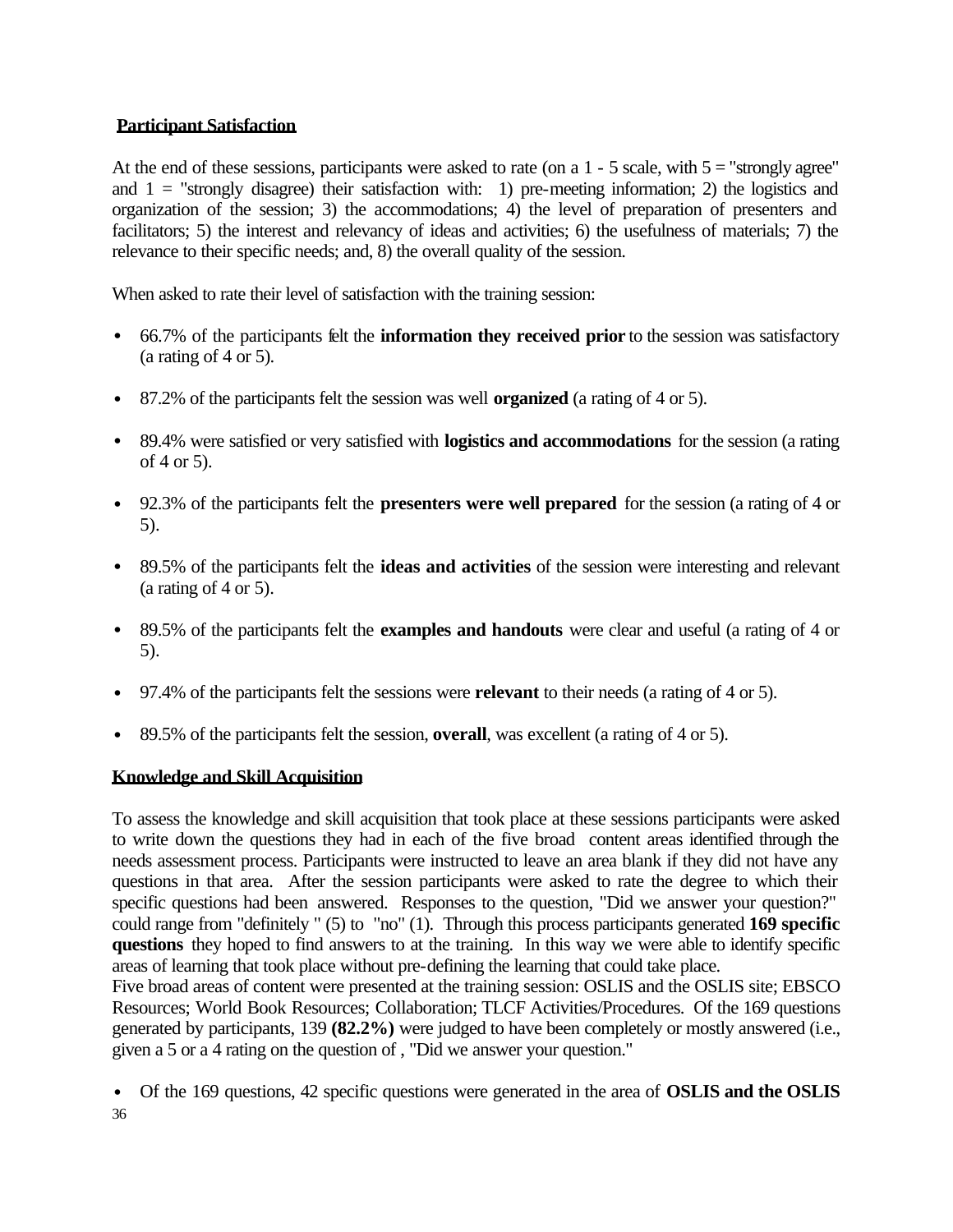## **Participant Satisfaction**

At the end of these sessions, participants were asked to rate (on a  $1 - 5$  scale, with  $5 =$  "strongly agree" and  $1 =$  "strongly disagree) their satisfaction with: 1) pre-meeting information; 2) the logistics and organization of the session; 3) the accommodations; 4) the level of preparation of presenters and facilitators; 5) the interest and relevancy of ideas and activities; 6) the usefulness of materials; 7) the relevance to their specific needs; and, 8) the overall quality of the session.

When asked to rate their level of satisfaction with the training session:

- 66.7% of the participants felt the **information they received prior** to the session was satisfactory (a rating of  $4$  or  $5$ ).
- 87.2% of the participants felt the session was well **organized** (a rating of 4 or 5).
- 89.4% were satisfied or very satisfied with **logistics and accommodations** for the session (a rating of 4 or 5).
- 92.3% of the participants felt the **presenters were well prepared** for the session (a rating of 4 or 5).
- 89.5% of the participants felt the **ideas and activities** of the session were interesting and relevant (a rating of 4 or 5).
- 89.5% of the participants felt the **examples and handouts** were clear and useful (a rating of 4 or 5).
- 97.4% of the participants felt the sessions were **relevant** to their needs (a rating of 4 or 5).
- 89.5% of the participants felt the session, **overall**, was excellent (a rating of 4 or 5).

## **Knowledge and Skill Acquisition**

To assess the knowledge and skill acquisition that took place at these sessions participants were asked to write down the questions they had in each of the five broad content areas identified through the needs assessment process. Participants were instructed to leave an area blank if they did not have any questions in that area. After the session participants were asked to rate the degree to which their specific questions had been answered. Responses to the question, "Did we answer your question?" could range from "definitely " (5) to "no" (1). Through this process participants generated **169 specific questions** they hoped to find answers to at the training. In this way we were able to identify specific areas of learning that took place without pre-defining the learning that could take place.

Five broad areas of content were presented at the training session: OSLIS and the OSLIS site; EBSCO Resources; World Book Resources; Collaboration; TLCF Activities/Procedures. Of the 169 questions generated by participants, 139 **(82.2%)** were judged to have been completely or mostly answered (i.e., given a 5 or a 4 rating on the question of , "Did we answer your question."

<sup>36</sup> • Of the 169 questions, 42 specific questions were generated in the area of **OSLIS and the OSLIS**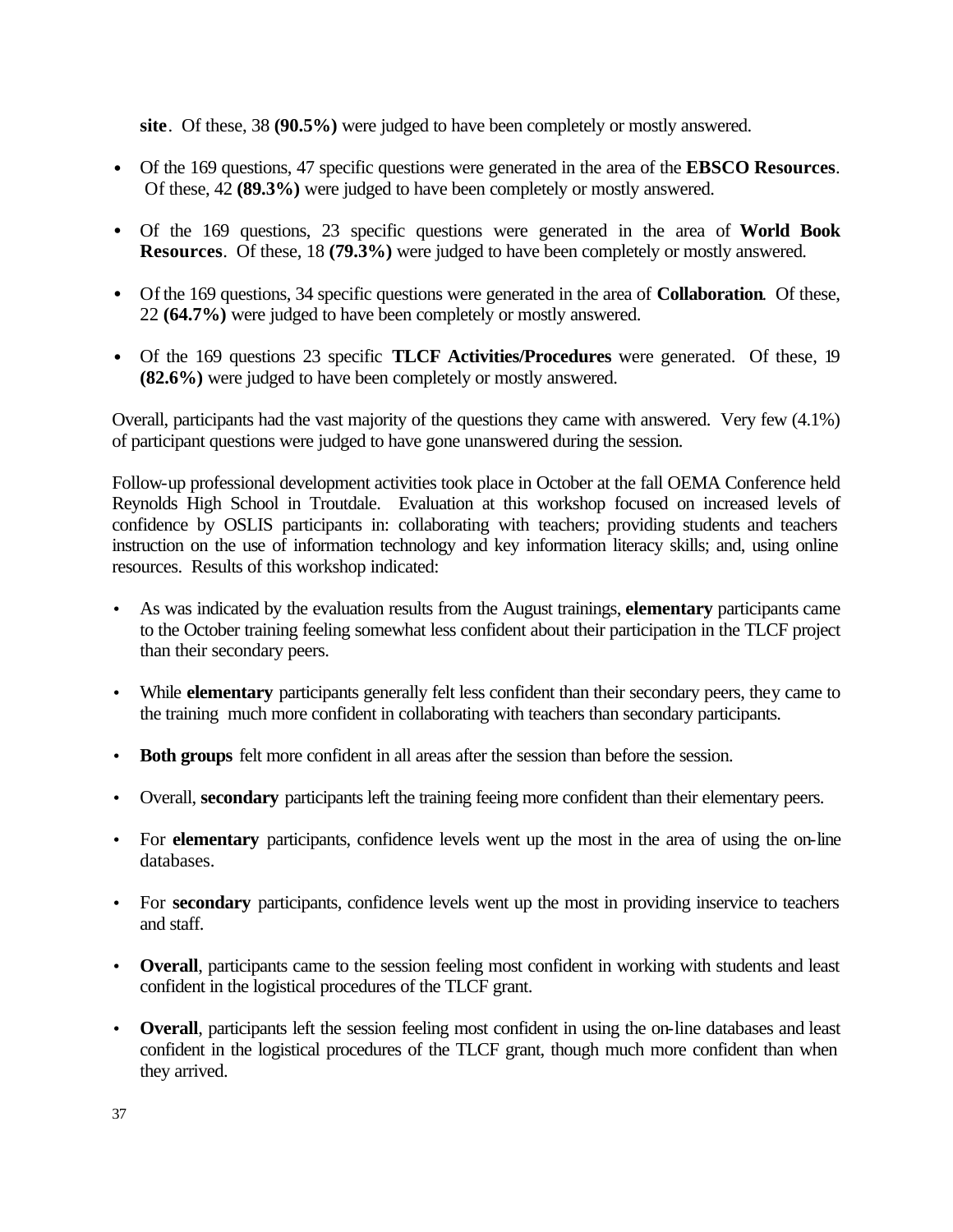**site**. Of these, 38 **(90.5%)** were judged to have been completely or mostly answered.

- Of the 169 questions, 47 specific questions were generated in the area of the **EBSCO Resources**. Of these, 42 **(89.3%)** were judged to have been completely or mostly answered.
- Of the 169 questions, 23 specific questions were generated in the area of **World Book Resources**. Of these, 18 **(79.3%)** were judged to have been completely or mostly answered.
- Of the 169 questions, 34 specific questions were generated in the area of **Collaboration**. Of these, 22 **(64.7%)** were judged to have been completely or mostly answered.
- Of the 169 questions 23 specific **TLCF Activities/Procedures** were generated. Of these, 19 **(82.6%)** were judged to have been completely or mostly answered.

Overall, participants had the vast majority of the questions they came with answered. Very few (4.1%) of participant questions were judged to have gone unanswered during the session.

Follow-up professional development activities took place in October at the fall OEMA Conference held Reynolds High School in Troutdale. Evaluation at this workshop focused on increased levels of confidence by OSLIS participants in: collaborating with teachers; providing students and teachers instruction on the use of information technology and key information literacy skills; and, using online resources. Results of this workshop indicated:

- As was indicated by the evaluation results from the August trainings, **elementary** participants came to the October training feeling somewhat less confident about their participation in the TLCF project than their secondary peers.
- While **elementary** participants generally felt less confident than their secondary peers, they came to the training much more confident in collaborating with teachers than secondary participants.
- **Both groups** felt more confident in all areas after the session than before the session.
- Overall, **secondary** participants left the training feeing more confident than their elementary peers.
- For **elementary** participants, confidence levels went up the most in the area of using the on-line databases.
- For **secondary** participants, confidence levels went up the most in providing inservice to teachers and staff.
- **Overall**, participants came to the session feeling most confident in working with students and least confident in the logistical procedures of the TLCF grant.
- **Overall**, participants left the session feeling most confident in using the on-line databases and least confident in the logistical procedures of the TLCF grant, though much more confident than when they arrived.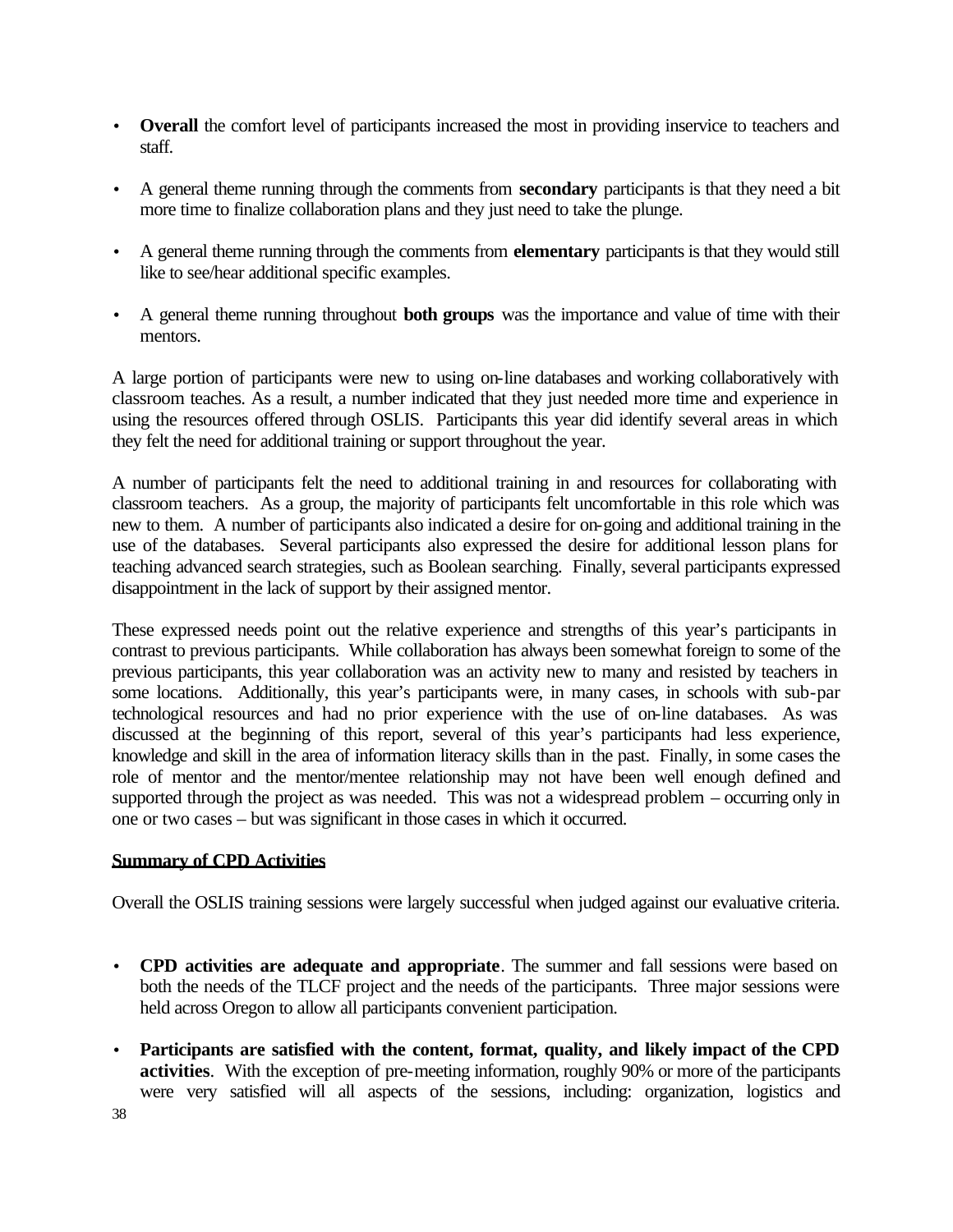- **Overall** the comfort level of participants increased the most in providing inservice to teachers and staff.
- A general theme running through the comments from **secondary** participants is that they need a bit more time to finalize collaboration plans and they just need to take the plunge.
- A general theme running through the comments from **elementary** participants is that they would still like to see/hear additional specific examples.
- A general theme running throughout **both groups** was the importance and value of time with their mentors.

A large portion of participants were new to using on-line databases and working collaboratively with classroom teaches. As a result, a number indicated that they just needed more time and experience in using the resources offered through OSLIS. Participants this year did identify several areas in which they felt the need for additional training or support throughout the year.

A number of participants felt the need to additional training in and resources for collaborating with classroom teachers. As a group, the majority of participants felt uncomfortable in this role which was new to them. A number of participants also indicated a desire for on-going and additional training in the use of the databases. Several participants also expressed the desire for additional lesson plans for teaching advanced search strategies, such as Boolean searching. Finally, several participants expressed disappointment in the lack of support by their assigned mentor.

These expressed needs point out the relative experience and strengths of this year's participants in contrast to previous participants. While collaboration has always been somewhat foreign to some of the previous participants, this year collaboration was an activity new to many and resisted by teachers in some locations. Additionally, this year's participants were, in many cases, in schools with sub-par technological resources and had no prior experience with the use of on-line databases. As was discussed at the beginning of this report, several of this year's participants had less experience, knowledge and skill in the area of information literacy skills than in the past. Finally, in some cases the role of mentor and the mentor/mentee relationship may not have been well enough defined and supported through the project as was needed. This was not a widespread problem – occurring only in one or two cases – but was significant in those cases in which it occurred.

#### **Summary of CPD Activities**

Overall the OSLIS training sessions were largely successful when judged against our evaluative criteria.

- **CPD activities are adequate and appropriate**. The summer and fall sessions were based on both the needs of the TLCF project and the needs of the participants. Three major sessions were held across Oregon to allow all participants convenient participation.
- **Participants are satisfied with the content, format, quality, and likely impact of the CPD activities**. With the exception of pre-meeting information, roughly 90% or more of the participants were very satisfied will all aspects of the sessions, including: organization, logistics and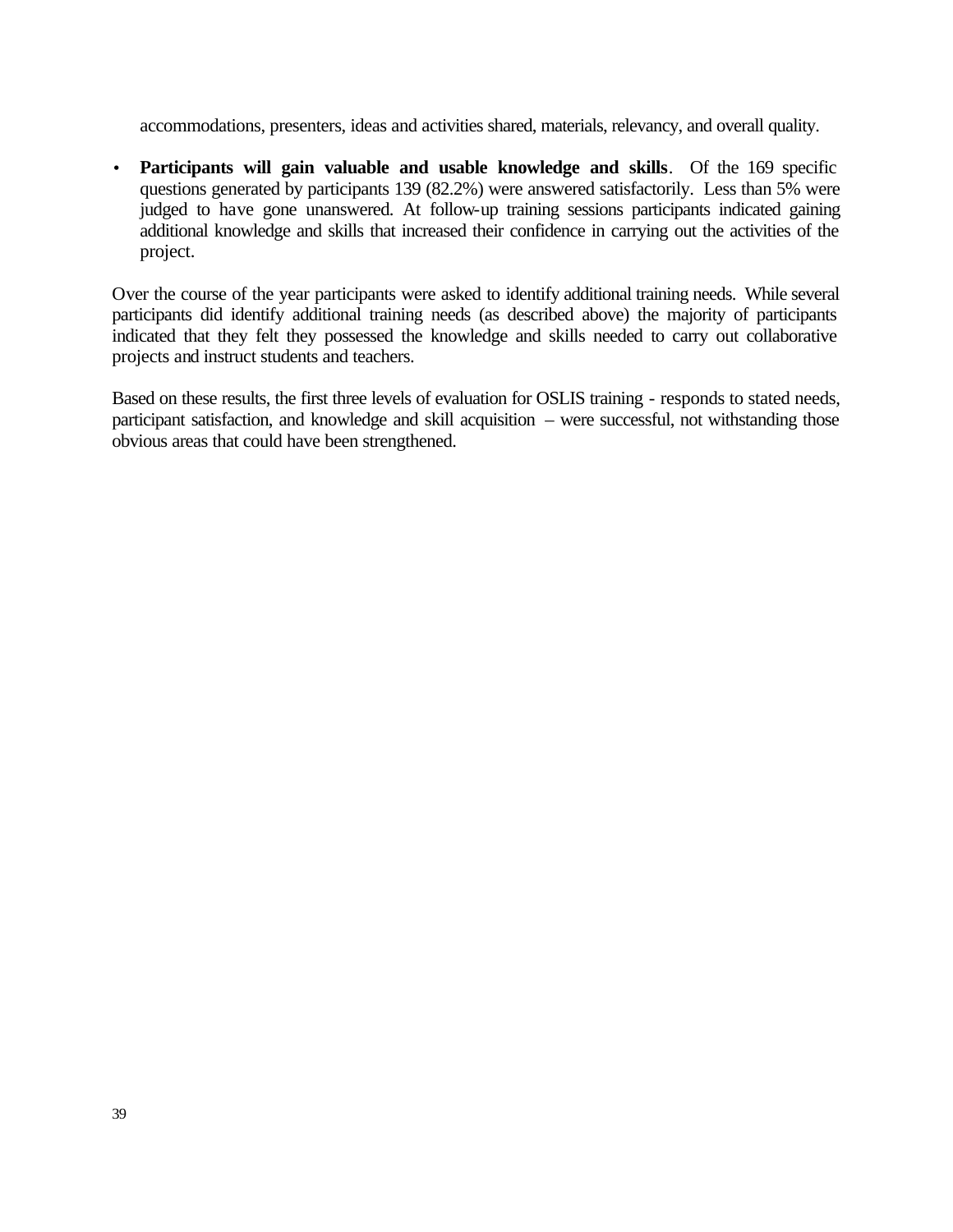accommodations, presenters, ideas and activities shared, materials, relevancy, and overall quality.

• **Participants will gain valuable and usable knowledge and skills**. Of the 169 specific questions generated by participants 139 (82.2%) were answered satisfactorily. Less than 5% were judged to have gone unanswered. At follow-up training sessions participants indicated gaining additional knowledge and skills that increased their confidence in carrying out the activities of the project.

Over the course of the year participants were asked to identify additional training needs. While several participants did identify additional training needs (as described above) the majority of participants indicated that they felt they possessed the knowledge and skills needed to carry out collaborative projects and instruct students and teachers.

Based on these results, the first three levels of evaluation for OSLIS training - responds to stated needs, participant satisfaction, and knowledge and skill acquisition – were successful, not withstanding those obvious areas that could have been strengthened.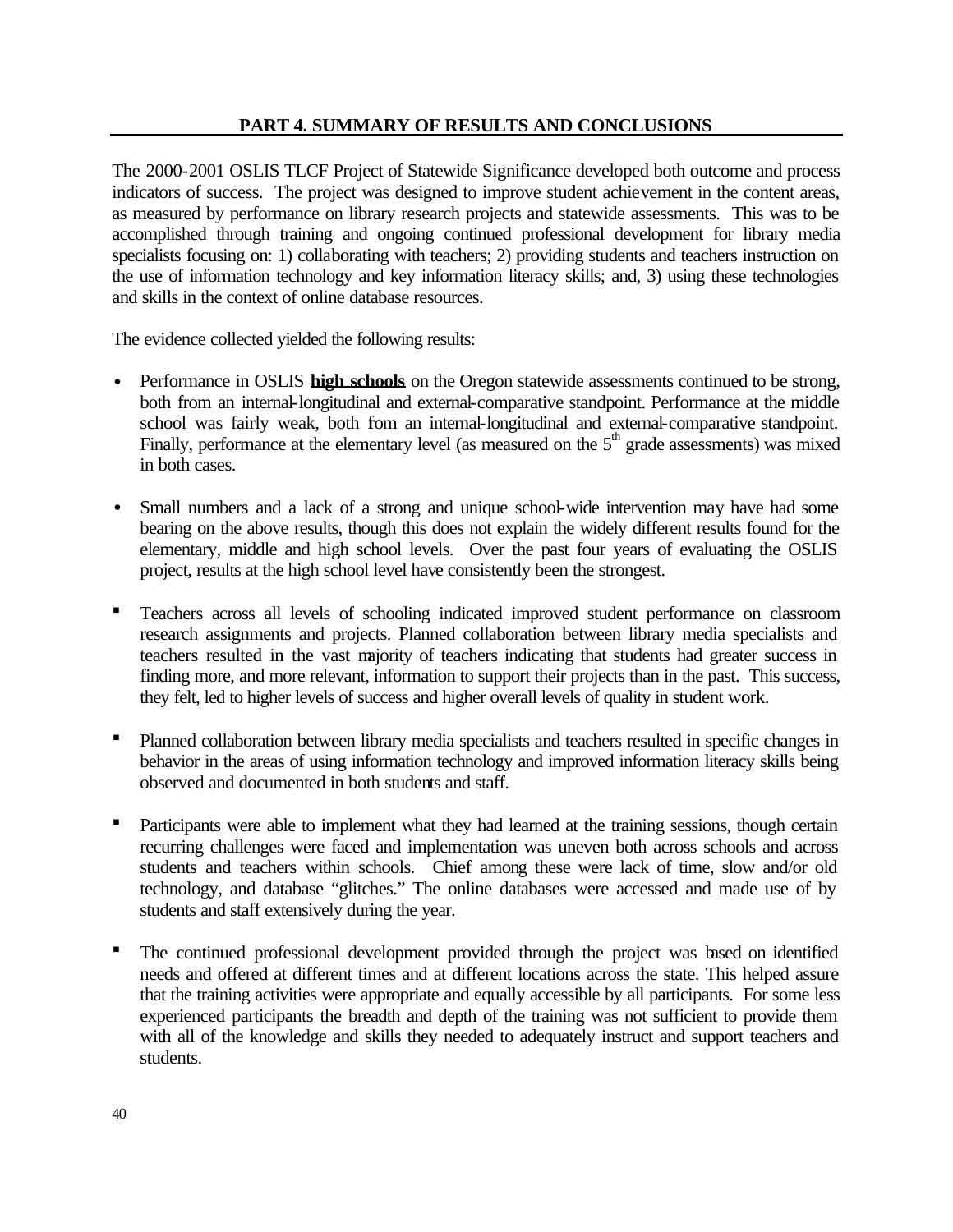## **PART 4. SUMMARY OF RESULTS AND CONCLUSIONS**

The 2000-2001 OSLIS TLCF Project of Statewide Significance developed both outcome and process indicators of success. The project was designed to improve student achievement in the content areas, as measured by performance on library research projects and statewide assessments. This was to be accomplished through training and ongoing continued professional development for library media specialists focusing on: 1) collaborating with teachers; 2) providing students and teachers instruction on the use of information technology and key information literacy skills; and, 3) using these technologies and skills in the context of online database resources.

The evidence collected yielded the following results:

- Performance in OSLIS **high schools** on the Oregon statewide assessments continued to be strong, both from an internal-longitudinal and external-comparative standpoint. Performance at the middle school was fairly weak, both fom an internal-longitudinal and external-comparative standpoint. Finally, performance at the elementary level (as measured on the  $5<sup>th</sup>$  grade assessments) was mixed in both cases.
- Small numbers and a lack of a strong and unique school-wide intervention may have had some bearing on the above results, though this does not explain the widely different results found for the elementary, middle and high school levels. Over the past four years of evaluating the OSLIS project, results at the high school level have consistently been the strongest.
- ß Teachers across all levels of schooling indicated improved student performance on classroom research assignments and projects. Planned collaboration between library media specialists and teachers resulted in the vast majority of teachers indicating that students had greater success in finding more, and more relevant, information to support their projects than in the past. This success, they felt, led to higher levels of success and higher overall levels of quality in student work.
- ß Planned collaboration between library media specialists and teachers resulted in specific changes in behavior in the areas of using information technology and improved information literacy skills being observed and documented in both students and staff.
- Participants were able to implement what they had learned at the training sessions, though certain recurring challenges were faced and implementation was uneven both across schools and across students and teachers within schools. Chief among these were lack of time, slow and/or old technology, and database "glitches." The online databases were accessed and made use of by students and staff extensively during the year.
- The continued professional development provided through the project was based on identified needs and offered at different times and at different locations across the state. This helped assure that the training activities were appropriate and equally accessible by all participants. For some less experienced participants the breadth and depth of the training was not sufficient to provide them with all of the knowledge and skills they needed to adequately instruct and support teachers and students.